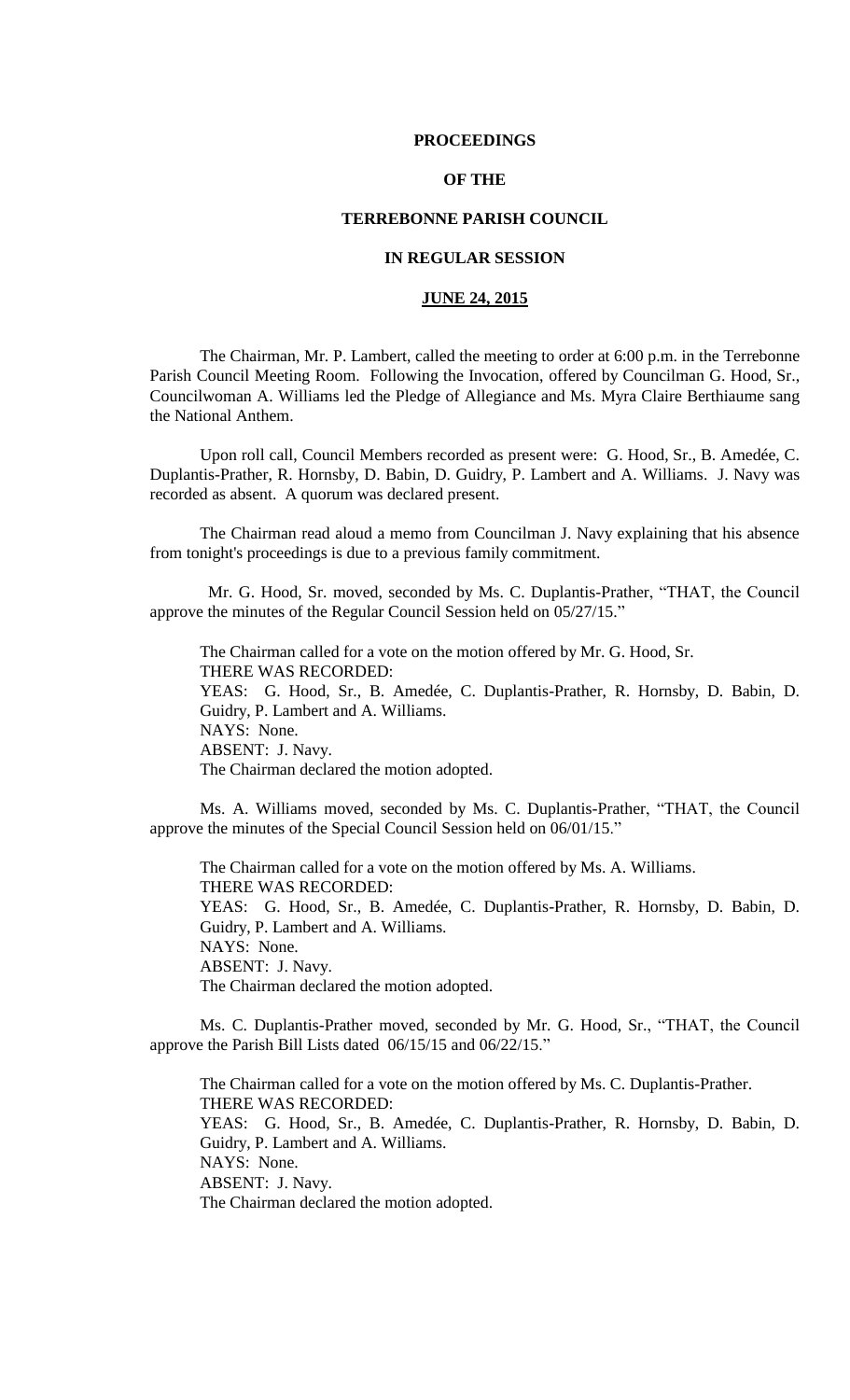#### **PROCEEDINGS**

# **OF THE**

## **TERREBONNE PARISH COUNCIL**

# **IN REGULAR SESSION**

# **JUNE 24, 2015**

The Chairman, Mr. P. Lambert, called the meeting to order at 6:00 p.m. in the Terrebonne Parish Council Meeting Room. Following the Invocation, offered by Councilman G. Hood, Sr., Councilwoman A. Williams led the Pledge of Allegiance and Ms. Myra Claire Berthiaume sang the National Anthem.

Upon roll call, Council Members recorded as present were: G. Hood, Sr., B. Amedée, C. Duplantis-Prather, R. Hornsby, D. Babin, D. Guidry, P. Lambert and A. Williams. J. Navy was recorded as absent. A quorum was declared present.

The Chairman read aloud a memo from Councilman J. Navy explaining that his absence from tonight's proceedings is due to a previous family commitment.

 Mr. G. Hood, Sr. moved, seconded by Ms. C. Duplantis-Prather, "THAT, the Council approve the minutes of the Regular Council Session held on 05/27/15."

The Chairman called for a vote on the motion offered by Mr. G. Hood, Sr. THERE WAS RECORDED: YEAS: G. Hood, Sr., B. Amedée, C. Duplantis-Prather, R. Hornsby, D. Babin, D. Guidry, P. Lambert and A. Williams. NAYS: None. ABSENT: J. Navy. The Chairman declared the motion adopted.

Ms. A. Williams moved, seconded by Ms. C. Duplantis-Prather, "THAT, the Council approve the minutes of the Special Council Session held on 06/01/15."

The Chairman called for a vote on the motion offered by Ms. A. Williams. THERE WAS RECORDED: YEAS: G. Hood, Sr., B. Amedée, C. Duplantis-Prather, R. Hornsby, D. Babin, D. Guidry, P. Lambert and A. Williams. NAYS: None. ABSENT: J. Navy. The Chairman declared the motion adopted.

Ms. C. Duplantis-Prather moved, seconded by Mr. G. Hood, Sr., "THAT, the Council approve the Parish Bill Lists dated 06/15/15 and 06/22/15."

The Chairman called for a vote on the motion offered by Ms. C. Duplantis-Prather. THERE WAS RECORDED: YEAS: G. Hood, Sr., B. Amedée, C. Duplantis-Prather, R. Hornsby, D. Babin, D. Guidry, P. Lambert and A. Williams. NAYS: None. ABSENT: J. Navy. The Chairman declared the motion adopted.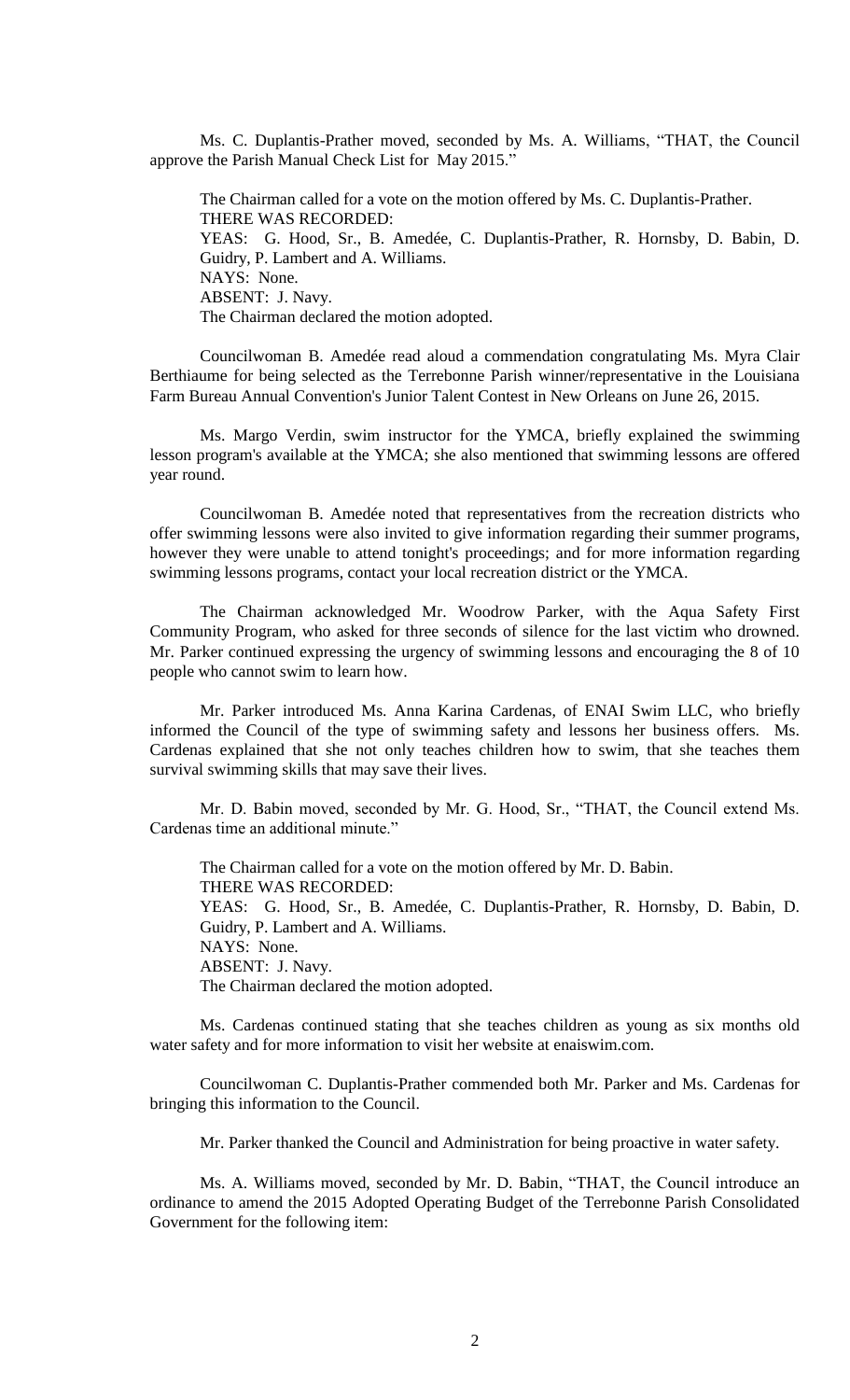Ms. C. Duplantis-Prather moved, seconded by Ms. A. Williams, "THAT, the Council approve the Parish Manual Check List for May 2015."

The Chairman called for a vote on the motion offered by Ms. C. Duplantis-Prather. THERE WAS RECORDED: YEAS: G. Hood, Sr., B. Amedée, C. Duplantis-Prather, R. Hornsby, D. Babin, D. Guidry, P. Lambert and A. Williams. NAYS: None. ABSENT: J. Navy. The Chairman declared the motion adopted.

Councilwoman B. Amedée read aloud a commendation congratulating Ms. Myra Clair Berthiaume for being selected as the Terrebonne Parish winner/representative in the Louisiana Farm Bureau Annual Convention's Junior Talent Contest in New Orleans on June 26, 2015.

Ms. Margo Verdin, swim instructor for the YMCA, briefly explained the swimming lesson program's available at the YMCA; she also mentioned that swimming lessons are offered year round.

Councilwoman B. Amedée noted that representatives from the recreation districts who offer swimming lessons were also invited to give information regarding their summer programs, however they were unable to attend tonight's proceedings; and for more information regarding swimming lessons programs, contact your local recreation district or the YMCA.

The Chairman acknowledged Mr. Woodrow Parker, with the Aqua Safety First Community Program, who asked for three seconds of silence for the last victim who drowned. Mr. Parker continued expressing the urgency of swimming lessons and encouraging the 8 of 10 people who cannot swim to learn how.

Mr. Parker introduced Ms. Anna Karina Cardenas, of ENAI Swim LLC, who briefly informed the Council of the type of swimming safety and lessons her business offers. Ms. Cardenas explained that she not only teaches children how to swim, that she teaches them survival swimming skills that may save their lives.

Mr. D. Babin moved, seconded by Mr. G. Hood, Sr., "THAT, the Council extend Ms. Cardenas time an additional minute."

The Chairman called for a vote on the motion offered by Mr. D. Babin. THERE WAS RECORDED: YEAS: G. Hood, Sr., B. Amedée, C. Duplantis-Prather, R. Hornsby, D. Babin, D. Guidry, P. Lambert and A. Williams. NAYS: None. ABSENT: J. Navy. The Chairman declared the motion adopted.

Ms. Cardenas continued stating that she teaches children as young as six months old water safety and for more information to visit her website at enaiswim.com.

Councilwoman C. Duplantis-Prather commended both Mr. Parker and Ms. Cardenas for bringing this information to the Council.

Mr. Parker thanked the Council and Administration for being proactive in water safety.

Ms. A. Williams moved, seconded by Mr. D. Babin, "THAT, the Council introduce an ordinance to amend the 2015 Adopted Operating Budget of the Terrebonne Parish Consolidated Government for the following item: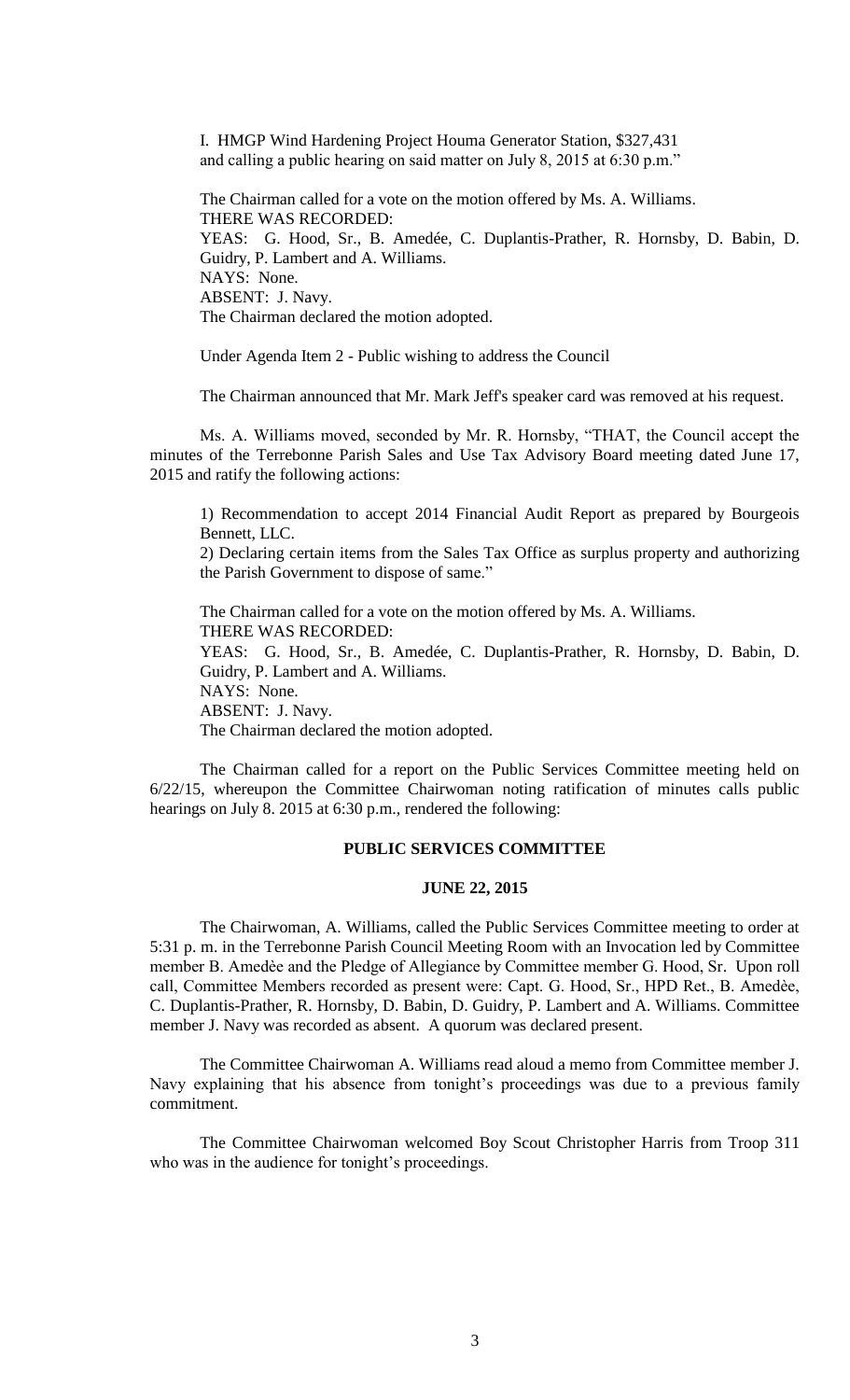I. HMGP Wind Hardening Project Houma Generator Station, \$327,431 and calling a public hearing on said matter on July 8, 2015 at 6:30 p.m."

The Chairman called for a vote on the motion offered by Ms. A. Williams. THERE WAS RECORDED: YEAS: G. Hood, Sr., B. Amedée, C. Duplantis-Prather, R. Hornsby, D. Babin, D. Guidry, P. Lambert and A. Williams. NAYS: None. ABSENT: J. Navy. The Chairman declared the motion adopted.

Under Agenda Item 2 - Public wishing to address the Council

The Chairman announced that Mr. Mark Jeff's speaker card was removed at his request.

Ms. A. Williams moved, seconded by Mr. R. Hornsby, "THAT, the Council accept the minutes of the Terrebonne Parish Sales and Use Tax Advisory Board meeting dated June 17, 2015 and ratify the following actions:

1) Recommendation to accept 2014 Financial Audit Report as prepared by Bourgeois Bennett, LLC.

2) Declaring certain items from the Sales Tax Office as surplus property and authorizing the Parish Government to dispose of same."

The Chairman called for a vote on the motion offered by Ms. A. Williams. THERE WAS RECORDED: YEAS: G. Hood, Sr., B. Amedée, C. Duplantis-Prather, R. Hornsby, D. Babin, D. Guidry, P. Lambert and A. Williams. NAYS: None. ABSENT: J. Navy. The Chairman declared the motion adopted.

The Chairman called for a report on the Public Services Committee meeting held on 6/22/15, whereupon the Committee Chairwoman noting ratification of minutes calls public hearings on July 8. 2015 at 6:30 p.m., rendered the following:

## **PUBLIC SERVICES COMMITTEE**

## **JUNE 22, 2015**

The Chairwoman, A. Williams, called the Public Services Committee meeting to order at 5:31 p. m. in the Terrebonne Parish Council Meeting Room with an Invocation led by Committee member B. Amedèe and the Pledge of Allegiance by Committee member G. Hood, Sr. Upon roll call, Committee Members recorded as present were: Capt. G. Hood, Sr., HPD Ret., B. Amedѐe, C. Duplantis-Prather, R. Hornsby, D. Babin, D. Guidry, P. Lambert and A. Williams. Committee member J. Navy was recorded as absent. A quorum was declared present.

The Committee Chairwoman A. Williams read aloud a memo from Committee member J. Navy explaining that his absence from tonight's proceedings was due to a previous family commitment.

The Committee Chairwoman welcomed Boy Scout Christopher Harris from Troop 311 who was in the audience for tonight's proceedings.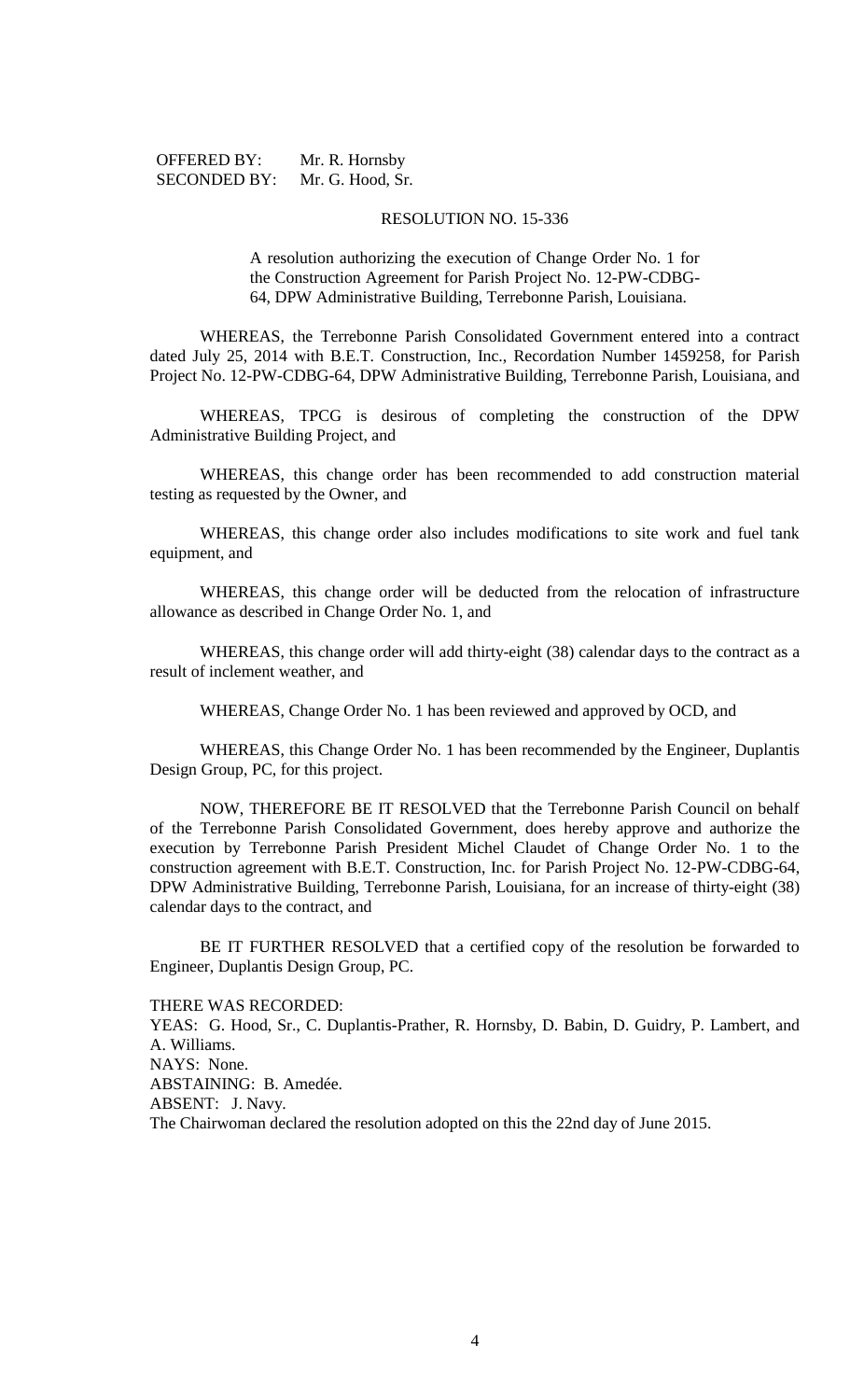| <b>OFFERED BY:</b>  | Mr. R. Hornsby   |
|---------------------|------------------|
| <b>SECONDED BY:</b> | Mr. G. Hood, Sr. |

#### RESOLUTION NO. 15-336

A resolution authorizing the execution of Change Order No. 1 for the Construction Agreement for Parish Project No. 12-PW-CDBG-64, DPW Administrative Building, Terrebonne Parish, Louisiana.

WHEREAS, the Terrebonne Parish Consolidated Government entered into a contract dated July 25, 2014 with B.E.T. Construction, Inc., Recordation Number 1459258, for Parish Project No. 12-PW-CDBG-64, DPW Administrative Building, Terrebonne Parish, Louisiana, and

WHEREAS, TPCG is desirous of completing the construction of the DPW Administrative Building Project, and

WHEREAS, this change order has been recommended to add construction material testing as requested by the Owner, and

WHEREAS, this change order also includes modifications to site work and fuel tank equipment, and

WHEREAS, this change order will be deducted from the relocation of infrastructure allowance as described in Change Order No. 1, and

WHEREAS, this change order will add thirty-eight (38) calendar days to the contract as a result of inclement weather, and

WHEREAS, Change Order No. 1 has been reviewed and approved by OCD, and

WHEREAS, this Change Order No. 1 has been recommended by the Engineer, Duplantis Design Group, PC, for this project.

NOW, THEREFORE BE IT RESOLVED that the Terrebonne Parish Council on behalf of the Terrebonne Parish Consolidated Government, does hereby approve and authorize the execution by Terrebonne Parish President Michel Claudet of Change Order No. 1 to the construction agreement with B.E.T. Construction, Inc. for Parish Project No. 12-PW-CDBG-64, DPW Administrative Building, Terrebonne Parish, Louisiana, for an increase of thirty-eight (38) calendar days to the contract, and

BE IT FURTHER RESOLVED that a certified copy of the resolution be forwarded to Engineer, Duplantis Design Group, PC.

THERE WAS RECORDED:

YEAS: G. Hood, Sr., C. Duplantis-Prather, R. Hornsby, D. Babin, D. Guidry, P. Lambert, and A. Williams. NAYS: None. ABSTAINING: B. Amedée. ABSENT: J. Navy. The Chairwoman declared the resolution adopted on this the 22nd day of June 2015.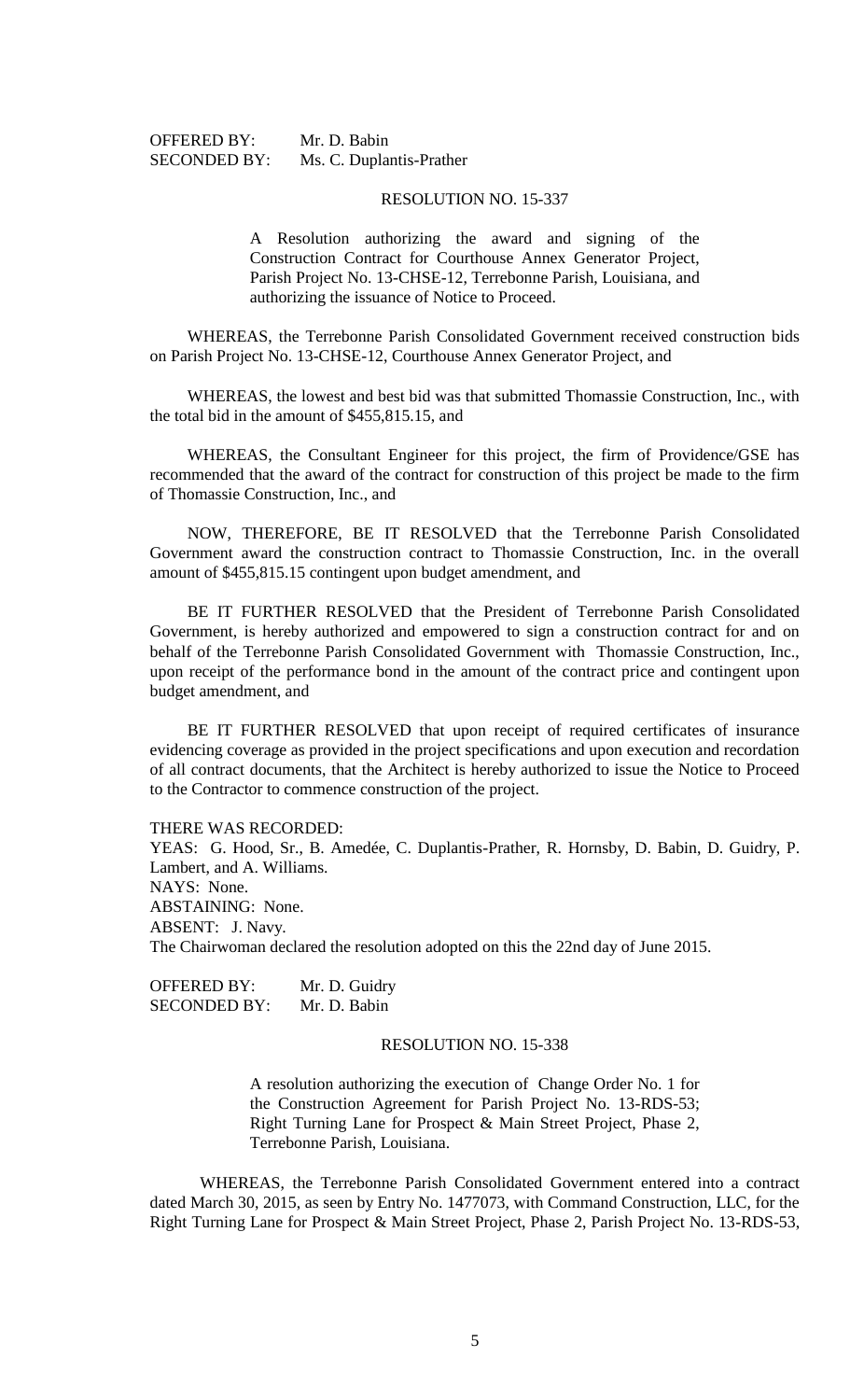| <b>OFFERED BY:</b>  | Mr. D. |
|---------------------|--------|
| <b>SECONDED BY:</b> | Ms. C. |

# Babin Duplantis-Prather

#### RESOLUTION NO. 15-337

A Resolution authorizing the award and signing of the Construction Contract for Courthouse Annex Generator Project, Parish Project No. 13-CHSE-12, Terrebonne Parish, Louisiana, and authorizing the issuance of Notice to Proceed.

WHEREAS, the Terrebonne Parish Consolidated Government received construction bids on Parish Project No. 13-CHSE-12, Courthouse Annex Generator Project, and

WHEREAS, the lowest and best bid was that submitted Thomassie Construction, Inc., with the total bid in the amount of \$455,815.15, and

WHEREAS, the Consultant Engineer for this project, the firm of Providence/GSE has recommended that the award of the contract for construction of this project be made to the firm of Thomassie Construction, Inc., and

NOW, THEREFORE, BE IT RESOLVED that the Terrebonne Parish Consolidated Government award the construction contract to Thomassie Construction, Inc. in the overall amount of \$455,815.15 contingent upon budget amendment, and

BE IT FURTHER RESOLVED that the President of Terrebonne Parish Consolidated Government, is hereby authorized and empowered to sign a construction contract for and on behalf of the Terrebonne Parish Consolidated Government with Thomassie Construction, Inc., upon receipt of the performance bond in the amount of the contract price and contingent upon budget amendment, and

BE IT FURTHER RESOLVED that upon receipt of required certificates of insurance evidencing coverage as provided in the project specifications and upon execution and recordation of all contract documents, that the Architect is hereby authorized to issue the Notice to Proceed to the Contractor to commence construction of the project.

THERE WAS RECORDED:

YEAS: G. Hood, Sr., B. Amedée, C. Duplantis-Prather, R. Hornsby, D. Babin, D. Guidry, P. Lambert, and A. Williams. NAYS: None. ABSTAINING: None. ABSENT: J. Navy. The Chairwoman declared the resolution adopted on this the 22nd day of June 2015.

OFFERED BY: Mr. D. Guidry SECONDED BY: Mr. D. Babin

## RESOLUTION NO. 15-338

A resolution authorizing the execution of Change Order No. 1 for the Construction Agreement for Parish Project No. 13-RDS-53; Right Turning Lane for Prospect & Main Street Project, Phase 2, Terrebonne Parish, Louisiana.

WHEREAS, the Terrebonne Parish Consolidated Government entered into a contract dated March 30, 2015, as seen by Entry No. 1477073, with Command Construction, LLC, for the Right Turning Lane for Prospect & Main Street Project, Phase 2, Parish Project No. 13-RDS-53,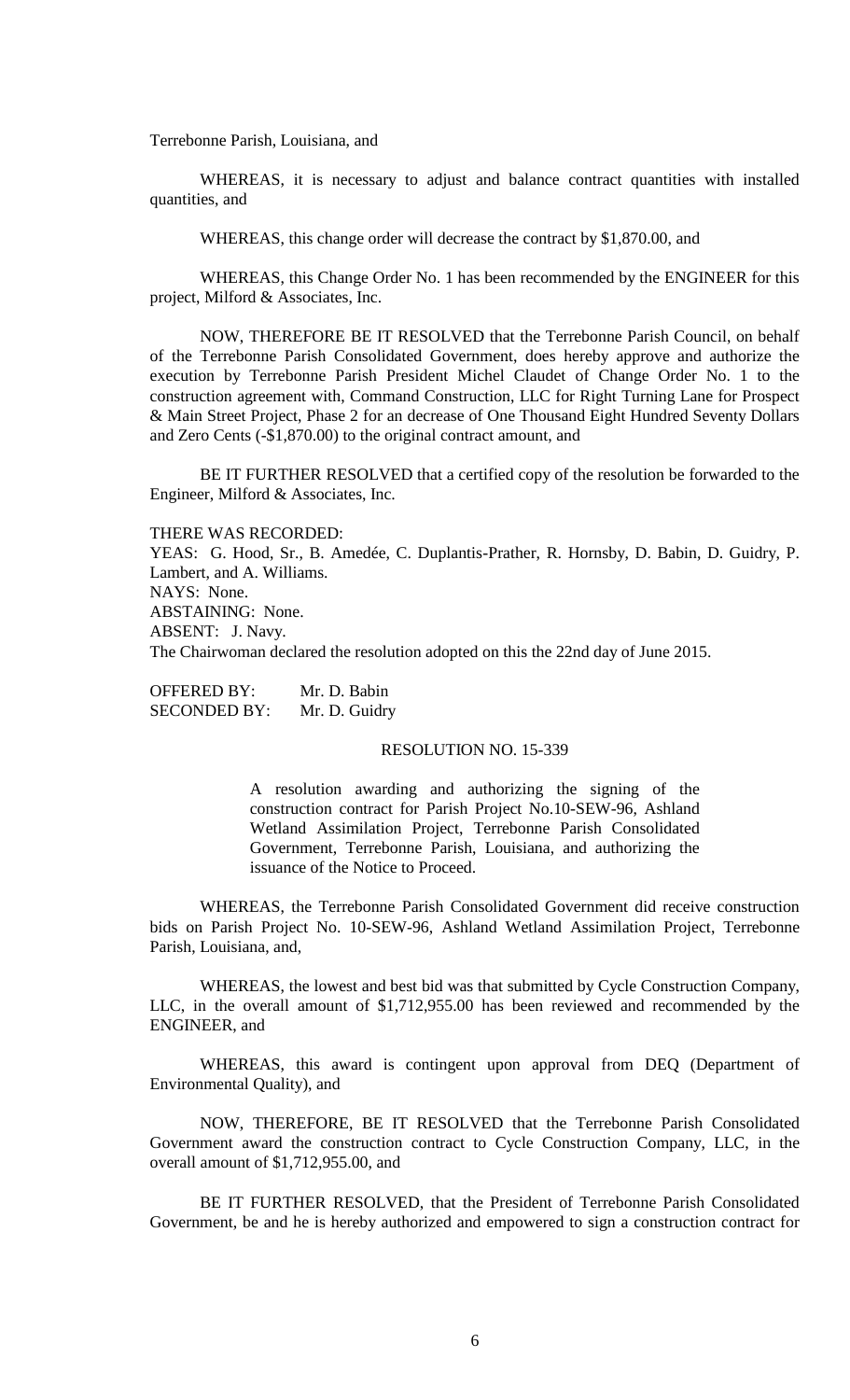Terrebonne Parish, Louisiana, and

WHEREAS, it is necessary to adjust and balance contract quantities with installed quantities, and

WHEREAS, this change order will decrease the contract by \$1,870.00, and

WHEREAS, this Change Order No. 1 has been recommended by the ENGINEER for this project, Milford & Associates, Inc.

NOW, THEREFORE BE IT RESOLVED that the Terrebonne Parish Council, on behalf of the Terrebonne Parish Consolidated Government, does hereby approve and authorize the execution by Terrebonne Parish President Michel Claudet of Change Order No. 1 to the construction agreement with, Command Construction, LLC for Right Turning Lane for Prospect & Main Street Project, Phase 2 for an decrease of One Thousand Eight Hundred Seventy Dollars and Zero Cents (-\$1,870.00) to the original contract amount, and

BE IT FURTHER RESOLVED that a certified copy of the resolution be forwarded to the Engineer, Milford & Associates, Inc.

THERE WAS RECORDED: YEAS: G. Hood, Sr., B. Amedée, C. Duplantis-Prather, R. Hornsby, D. Babin, D. Guidry, P. Lambert, and A. Williams. NAYS: None. ABSTAINING: None. ABSENT: J. Navy. The Chairwoman declared the resolution adopted on this the 22nd day of June 2015.

OFFERED BY: Mr. D. Babin SECONDED BY: Mr. D. Guidry

#### RESOLUTION NO. 15-339

A resolution awarding and authorizing the signing of the construction contract for Parish Project No.10-SEW-96, Ashland Wetland Assimilation Project, Terrebonne Parish Consolidated Government, Terrebonne Parish, Louisiana, and authorizing the issuance of the Notice to Proceed.

WHEREAS, the Terrebonne Parish Consolidated Government did receive construction bids on Parish Project No. 10-SEW-96, Ashland Wetland Assimilation Project, Terrebonne Parish, Louisiana, and,

WHEREAS, the lowest and best bid was that submitted by Cycle Construction Company, LLC, in the overall amount of \$1,712,955.00 has been reviewed and recommended by the ENGINEER, and

WHEREAS, this award is contingent upon approval from DEQ (Department of Environmental Quality), and

NOW, THEREFORE, BE IT RESOLVED that the Terrebonne Parish Consolidated Government award the construction contract to Cycle Construction Company, LLC, in the overall amount of \$1,712,955.00, and

BE IT FURTHER RESOLVED, that the President of Terrebonne Parish Consolidated Government, be and he is hereby authorized and empowered to sign a construction contract for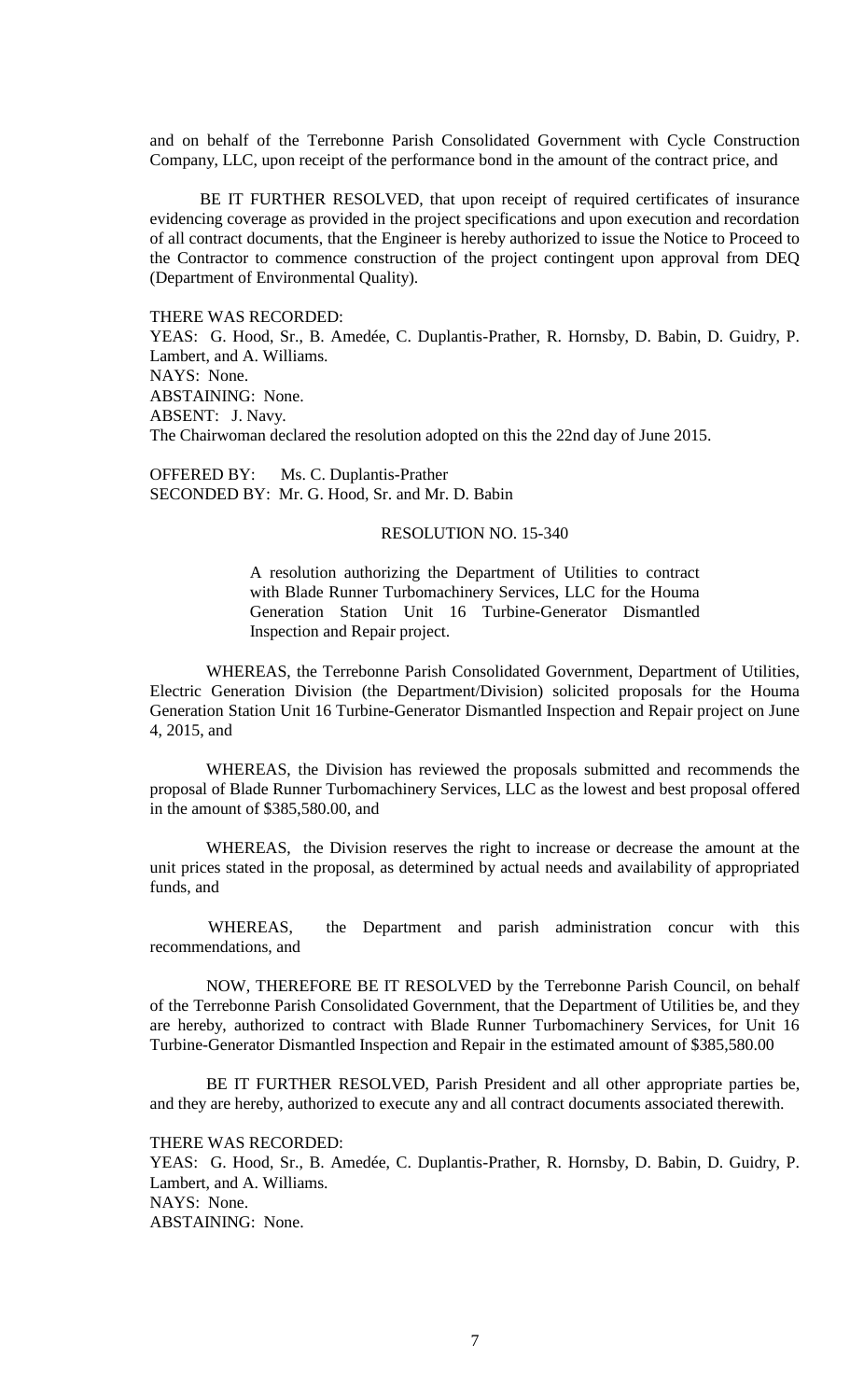and on behalf of the Terrebonne Parish Consolidated Government with Cycle Construction Company, LLC, upon receipt of the performance bond in the amount of the contract price, and

BE IT FURTHER RESOLVED, that upon receipt of required certificates of insurance evidencing coverage as provided in the project specifications and upon execution and recordation of all contract documents, that the Engineer is hereby authorized to issue the Notice to Proceed to the Contractor to commence construction of the project contingent upon approval from DEQ (Department of Environmental Quality).

THERE WAS RECORDED:

YEAS: G. Hood, Sr., B. Amedée, C. Duplantis-Prather, R. Hornsby, D. Babin, D. Guidry, P. Lambert, and A. Williams. NAYS: None. ABSTAINING: None. ABSENT: J. Navy. The Chairwoman declared the resolution adopted on this the 22nd day of June 2015.

OFFERED BY: Ms. C. Duplantis-Prather SECONDED BY: Mr. G. Hood, Sr. and Mr. D. Babin

### RESOLUTION NO. 15-340

A resolution authorizing the Department of Utilities to contract with Blade Runner Turbomachinery Services, LLC for the Houma Generation Station Unit 16 Turbine-Generator Dismantled Inspection and Repair project.

WHEREAS, the Terrebonne Parish Consolidated Government, Department of Utilities, Electric Generation Division (the Department/Division) solicited proposals for the Houma Generation Station Unit 16 Turbine-Generator Dismantled Inspection and Repair project on June 4, 2015, and

WHEREAS, the Division has reviewed the proposals submitted and recommends the proposal of Blade Runner Turbomachinery Services, LLC as the lowest and best proposal offered in the amount of \$385,580.00, and

WHEREAS, the Division reserves the right to increase or decrease the amount at the unit prices stated in the proposal, as determined by actual needs and availability of appropriated funds, and

 WHEREAS, the Department and parish administration concur with this recommendations, and

NOW, THEREFORE BE IT RESOLVED by the Terrebonne Parish Council, on behalf of the Terrebonne Parish Consolidated Government, that the Department of Utilities be, and they are hereby, authorized to contract with Blade Runner Turbomachinery Services, for Unit 16 Turbine-Generator Dismantled Inspection and Repair in the estimated amount of \$385,580.00

BE IT FURTHER RESOLVED, Parish President and all other appropriate parties be, and they are hereby, authorized to execute any and all contract documents associated therewith.

THERE WAS RECORDED:

YEAS: G. Hood, Sr., B. Amedée, C. Duplantis-Prather, R. Hornsby, D. Babin, D. Guidry, P. Lambert, and A. Williams. NAYS: None. ABSTAINING: None.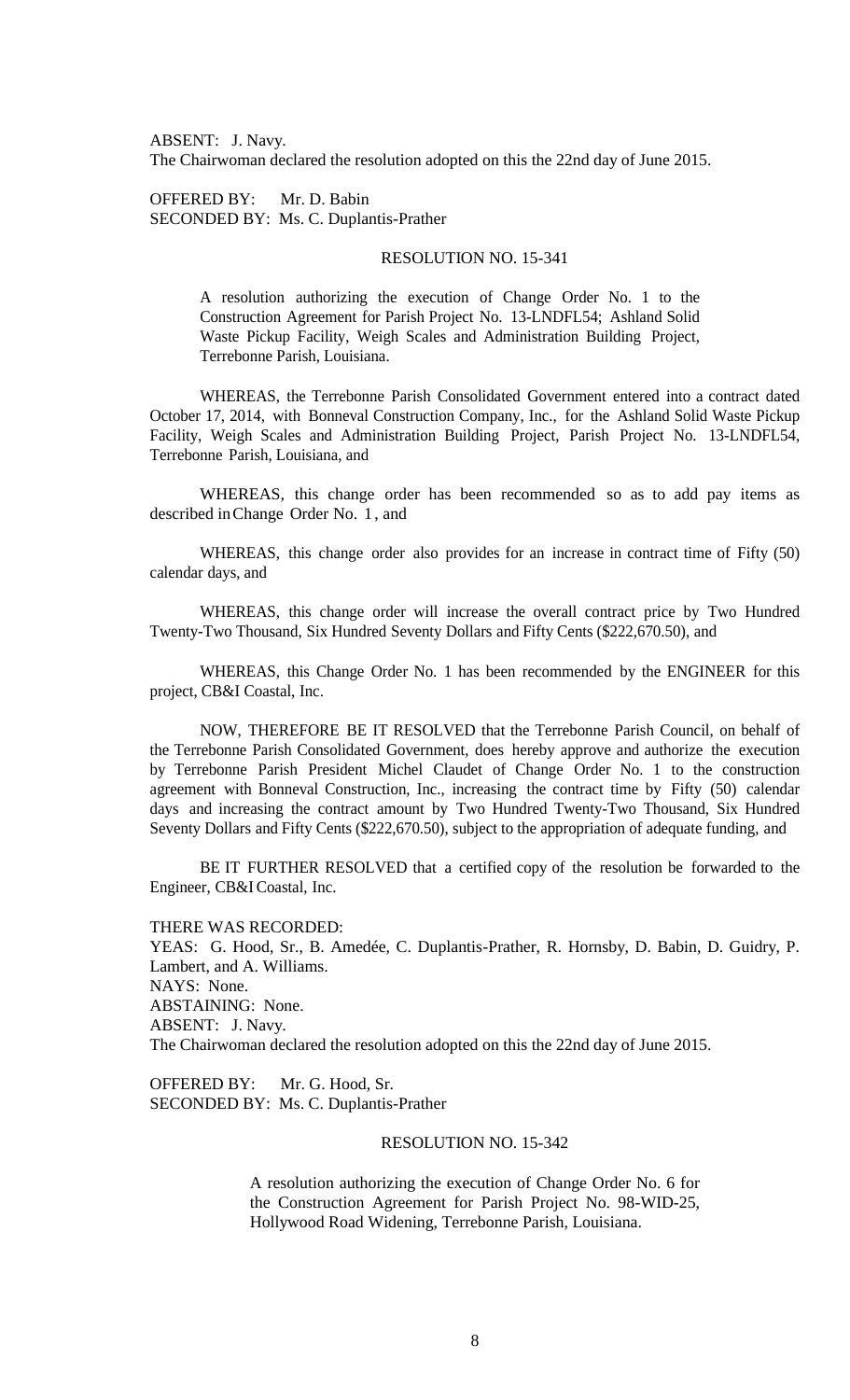ABSENT: J. Navy. The Chairwoman declared the resolution adopted on this the 22nd day of June 2015.

OFFERED BY: Mr. D. Babin SECONDED BY: Ms. C. Duplantis-Prather

## RESOLUTION NO. 15-341

A resolution authorizing the execution of Change Order No. 1 to the Construction Agreement for Parish Project No. 13-LNDFL54; Ashland Solid Waste Pickup Facility, Weigh Scales and Administration Building Project, Terrebonne Parish, Louisiana.

WHEREAS, the Terrebonne Parish Consolidated Government entered into a contract dated October 17, 2014, with Bonneval Construction Company, Inc., for the Ashland Solid Waste Pickup Facility, Weigh Scales and Administration Building Project, Parish Project No. 13-LNDFL54, Terrebonne Parish, Louisiana, and

WHEREAS, this change order has been recommended so as to add pay items as described inChange Order No. 1 , and

WHEREAS, this change order also provides for an increase in contract time of Fifty (50) calendar days, and

WHEREAS, this change order will increase the overall contract price by Two Hundred Twenty-Two Thousand, Six Hundred Seventy Dollars and Fifty Cents (\$222,670.50), and

WHEREAS, this Change Order No. 1 has been recommended by the ENGINEER for this project, CB&I Coastal, Inc.

NOW, THEREFORE BE IT RESOLVED that the Terrebonne Parish Council, on behalf of the Terrebonne Parish Consolidated Government, does hereby approve and authorize the execution by Terrebonne Parish President Michel Claudet of Change Order No. 1 to the construction agreement with Bonneval Construction, Inc., increasing the contract time by Fifty (50) calendar days and increasing the contract amount by Two Hundred Twenty-Two Thousand, Six Hundred Seventy Dollars and Fifty Cents (\$222,670.50), subject to the appropriation of adequate funding, and

BE IT FURTHER RESOLVED that a certified copy of the resolution be forwarded to the Engineer, CB&I Coastal, Inc.

THERE WAS RECORDED: YEAS: G. Hood, Sr., B. Amedée, C. Duplantis-Prather, R. Hornsby, D. Babin, D. Guidry, P. Lambert, and A. Williams. NAYS: None. ABSTAINING: None. ABSENT: J. Navy. The Chairwoman declared the resolution adopted on this the 22nd day of June 2015.

OFFERED BY: Mr. G. Hood, Sr. SECONDED BY: Ms. C. Duplantis-Prather

## RESOLUTION NO. 15-342

A resolution authorizing the execution of Change Order No. 6 for the Construction Agreement for Parish Project No. 98-WID-25, Hollywood Road Widening, Terrebonne Parish, Louisiana.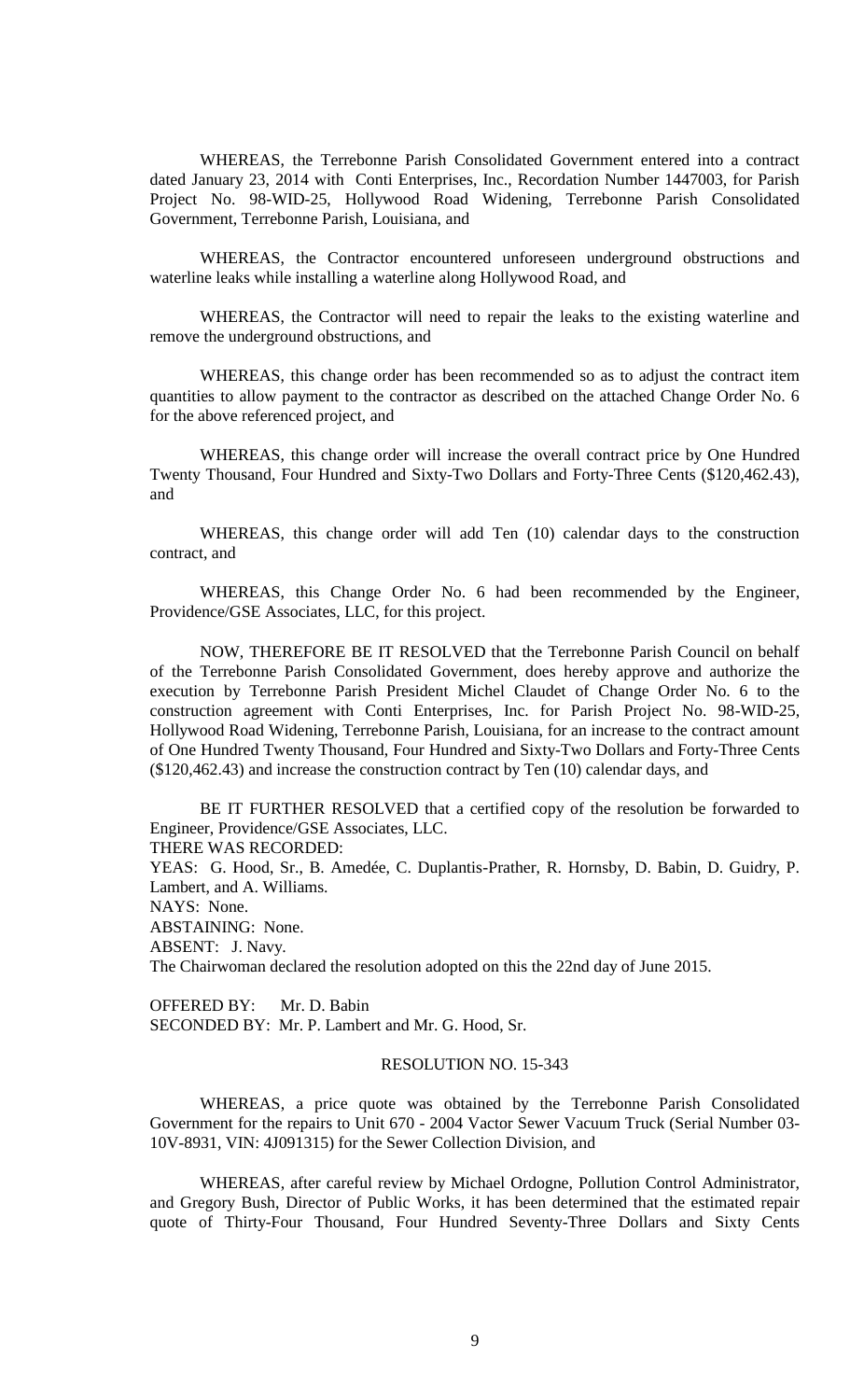WHEREAS, the Terrebonne Parish Consolidated Government entered into a contract dated January 23, 2014 with Conti Enterprises, Inc., Recordation Number 1447003, for Parish Project No. 98-WID-25, Hollywood Road Widening, Terrebonne Parish Consolidated Government, Terrebonne Parish, Louisiana, and

WHEREAS, the Contractor encountered unforeseen underground obstructions and waterline leaks while installing a waterline along Hollywood Road, and

WHEREAS, the Contractor will need to repair the leaks to the existing waterline and remove the underground obstructions, and

WHEREAS, this change order has been recommended so as to adjust the contract item quantities to allow payment to the contractor as described on the attached Change Order No. 6 for the above referenced project, and

WHEREAS, this change order will increase the overall contract price by One Hundred Twenty Thousand, Four Hundred and Sixty-Two Dollars and Forty-Three Cents (\$120,462.43), and

WHEREAS, this change order will add Ten (10) calendar days to the construction contract, and

WHEREAS, this Change Order No. 6 had been recommended by the Engineer, Providence/GSE Associates, LLC, for this project.

NOW, THEREFORE BE IT RESOLVED that the Terrebonne Parish Council on behalf of the Terrebonne Parish Consolidated Government, does hereby approve and authorize the execution by Terrebonne Parish President Michel Claudet of Change Order No. 6 to the construction agreement with Conti Enterprises, Inc. for Parish Project No. 98-WID-25, Hollywood Road Widening, Terrebonne Parish, Louisiana, for an increase to the contract amount of One Hundred Twenty Thousand, Four Hundred and Sixty-Two Dollars and Forty-Three Cents (\$120,462.43) and increase the construction contract by Ten (10) calendar days, and

BE IT FURTHER RESOLVED that a certified copy of the resolution be forwarded to Engineer, Providence/GSE Associates, LLC.

THERE WAS RECORDED:

YEAS: G. Hood, Sr., B. Amedée, C. Duplantis-Prather, R. Hornsby, D. Babin, D. Guidry, P. Lambert, and A. Williams.

NAYS: None.

ABSTAINING: None.

ABSENT: J. Navy.

The Chairwoman declared the resolution adopted on this the 22nd day of June 2015.

OFFERED BY: Mr. D. Babin SECONDED BY: Mr. P. Lambert and Mr. G. Hood, Sr.

## RESOLUTION NO. 15-343

WHEREAS, a price quote was obtained by the Terrebonne Parish Consolidated Government for the repairs to Unit 670 - 2004 Vactor Sewer Vacuum Truck (Serial Number 03- 10V-8931, VIN: 4J091315) for the Sewer Collection Division, and

WHEREAS, after careful review by Michael Ordogne, Pollution Control Administrator, and Gregory Bush, Director of Public Works, it has been determined that the estimated repair quote of Thirty-Four Thousand, Four Hundred Seventy-Three Dollars and Sixty Cents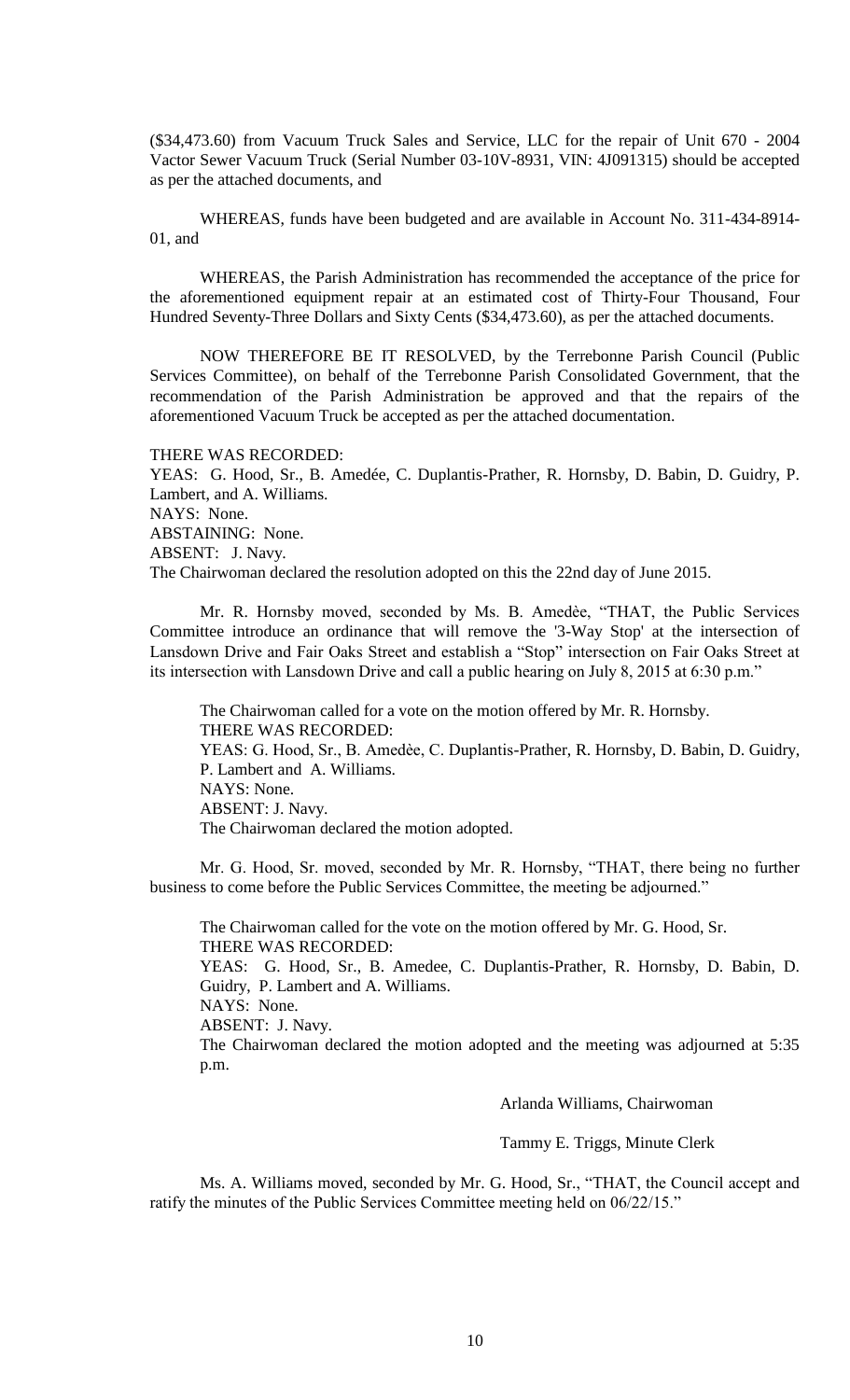(\$34,473.60) from Vacuum Truck Sales and Service, LLC for the repair of Unit 670 - 2004 Vactor Sewer Vacuum Truck (Serial Number 03-10V-8931, VIN: 4J091315) should be accepted as per the attached documents, and

WHEREAS, funds have been budgeted and are available in Account No. 311-434-8914- 01, and

WHEREAS, the Parish Administration has recommended the acceptance of the price for the aforementioned equipment repair at an estimated cost of Thirty-Four Thousand, Four Hundred Seventy-Three Dollars and Sixty Cents (\$34,473.60), as per the attached documents.

NOW THEREFORE BE IT RESOLVED, by the Terrebonne Parish Council (Public Services Committee), on behalf of the Terrebonne Parish Consolidated Government, that the recommendation of the Parish Administration be approved and that the repairs of the aforementioned Vacuum Truck be accepted as per the attached documentation.

#### THERE WAS RECORDED:

YEAS: G. Hood, Sr., B. Amedée, C. Duplantis-Prather, R. Hornsby, D. Babin, D. Guidry, P. Lambert, and A. Williams. NAYS: None. ABSTAINING: None. ABSENT: J. Navy. The Chairwoman declared the resolution adopted on this the 22nd day of June 2015.

Mr. R. Hornsby moved, seconded by Ms. B. Amedèe, "THAT, the Public Services Committee introduce an ordinance that will remove the '3-Way Stop' at the intersection of Lansdown Drive and Fair Oaks Street and establish a "Stop" intersection on Fair Oaks Street at its intersection with Lansdown Drive and call a public hearing on July 8, 2015 at 6:30 p.m."

The Chairwoman called for a vote on the motion offered by Mr. R. Hornsby. THERE WAS RECORDED: YEAS: G. Hood, Sr., B. Amedèe, C. Duplantis-Prather, R. Hornsby, D. Babin, D. Guidry, P. Lambert and A. Williams. NAYS: None. ABSENT: J. Navy. The Chairwoman declared the motion adopted.

Mr. G. Hood, Sr. moved, seconded by Mr. R. Hornsby, "THAT, there being no further business to come before the Public Services Committee, the meeting be adjourned."

The Chairwoman called for the vote on the motion offered by Mr. G. Hood, Sr. THERE WAS RECORDED: YEAS: G. Hood, Sr., B. Amedee, C. Duplantis-Prather, R. Hornsby, D. Babin, D. Guidry, P. Lambert and A. Williams. NAYS: None. ABSENT: J. Navy. The Chairwoman declared the motion adopted and the meeting was adjourned at 5:35 p.m.

Arlanda Williams, Chairwoman

Tammy E. Triggs, Minute Clerk

Ms. A. Williams moved, seconded by Mr. G. Hood, Sr., "THAT, the Council accept and ratify the minutes of the Public Services Committee meeting held on 06/22/15."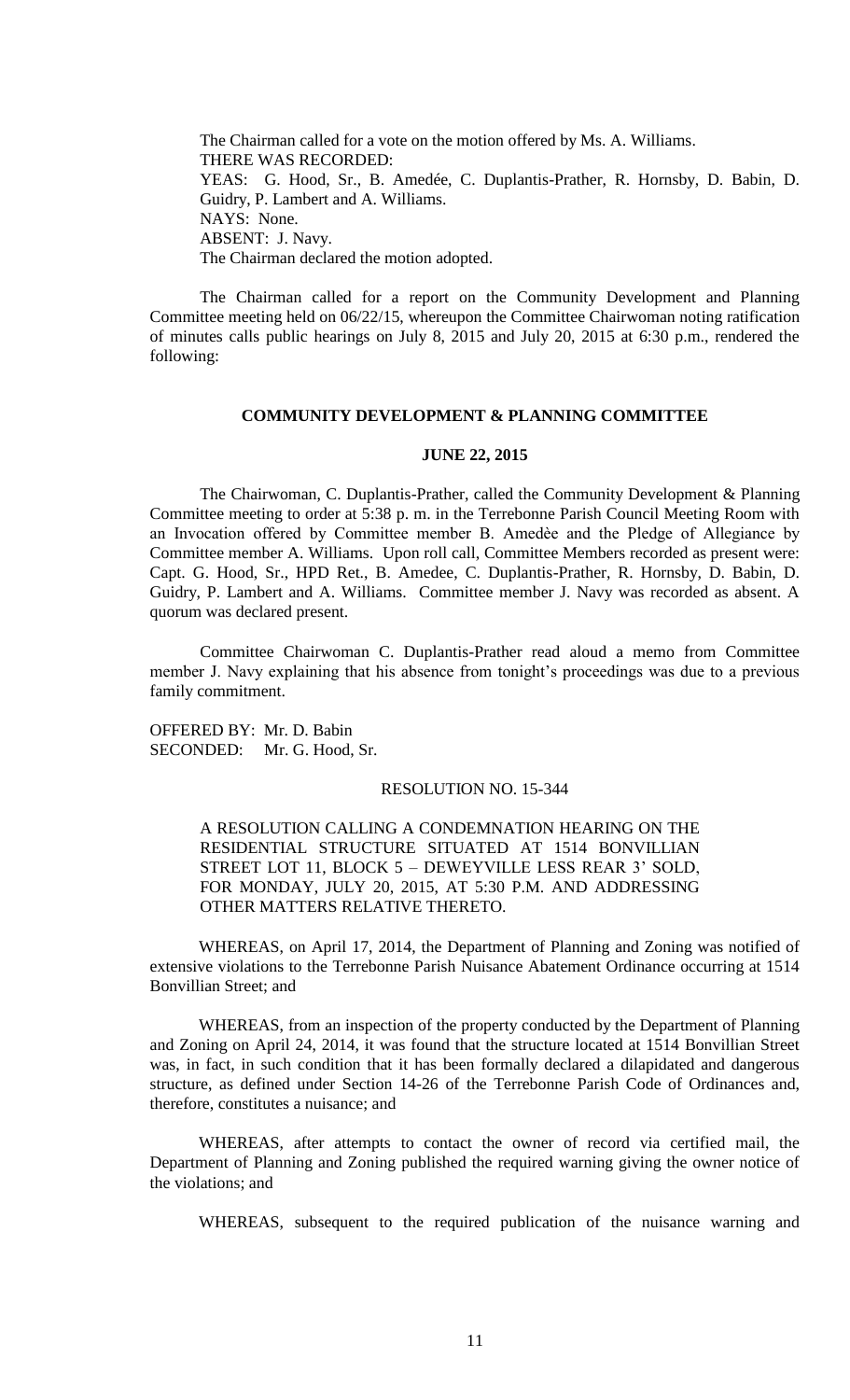The Chairman called for a vote on the motion offered by Ms. A. Williams. THERE WAS RECORDED: YEAS: G. Hood, Sr., B. Amedée, C. Duplantis-Prather, R. Hornsby, D. Babin, D. Guidry, P. Lambert and A. Williams. NAYS: None. ABSENT: J. Navy. The Chairman declared the motion adopted.

The Chairman called for a report on the Community Development and Planning Committee meeting held on 06/22/15, whereupon the Committee Chairwoman noting ratification of minutes calls public hearings on July 8, 2015 and July 20, 2015 at 6:30 p.m., rendered the following:

## **COMMUNITY DEVELOPMENT & PLANNING COMMITTEE**

#### **JUNE 22, 2015**

The Chairwoman, C. Duplantis-Prather, called the Community Development & Planning Committee meeting to order at 5:38 p. m. in the Terrebonne Parish Council Meeting Room with an Invocation offered by Committee member B. Amedèe and the Pledge of Allegiance by Committee member A. Williams. Upon roll call, Committee Members recorded as present were: Capt. G. Hood, Sr., HPD Ret., B. Amedee, C. Duplantis-Prather, R. Hornsby, D. Babin, D. Guidry, P. Lambert and A. Williams. Committee member J. Navy was recorded as absent. A quorum was declared present.

Committee Chairwoman C. Duplantis-Prather read aloud a memo from Committee member J. Navy explaining that his absence from tonight's proceedings was due to a previous family commitment.

OFFERED BY: Mr. D. Babin SECONDED: Mr. G. Hood, Sr.

## RESOLUTION NO. 15-344

A RESOLUTION CALLING A CONDEMNATION HEARING ON THE RESIDENTIAL STRUCTURE SITUATED AT 1514 BONVILLIAN STREET LOT 11, BLOCK 5 – DEWEYVILLE LESS REAR 3' SOLD, FOR MONDAY, JULY 20, 2015, AT 5:30 P.M. AND ADDRESSING OTHER MATTERS RELATIVE THERETO.

WHEREAS, on April 17, 2014, the Department of Planning and Zoning was notified of extensive violations to the Terrebonne Parish Nuisance Abatement Ordinance occurring at 1514 Bonvillian Street; and

WHEREAS, from an inspection of the property conducted by the Department of Planning and Zoning on April 24, 2014, it was found that the structure located at 1514 Bonvillian Street was, in fact, in such condition that it has been formally declared a dilapidated and dangerous structure, as defined under Section 14-26 of the Terrebonne Parish Code of Ordinances and, therefore, constitutes a nuisance; and

WHEREAS, after attempts to contact the owner of record via certified mail, the Department of Planning and Zoning published the required warning giving the owner notice of the violations; and

WHEREAS, subsequent to the required publication of the nuisance warning and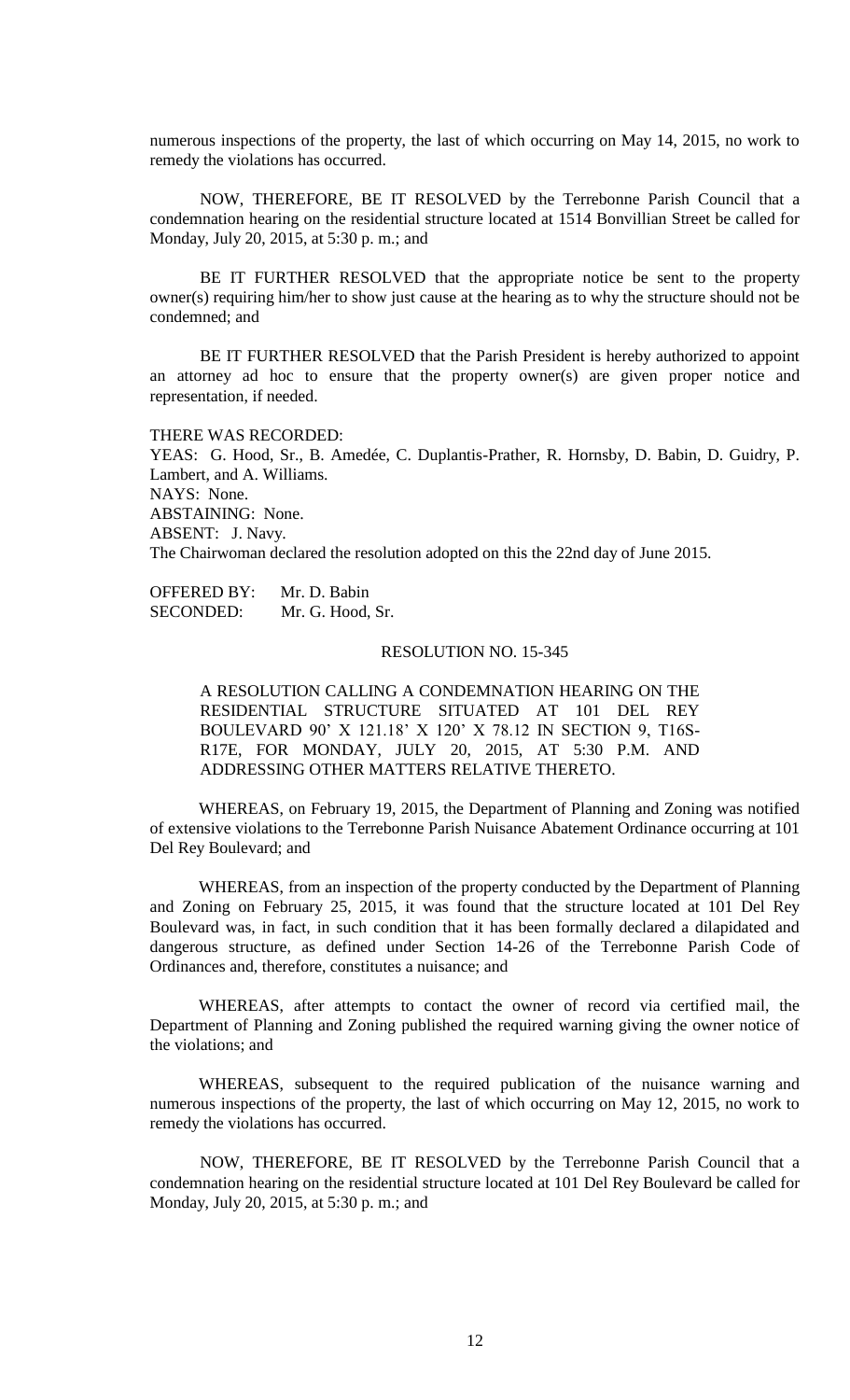numerous inspections of the property, the last of which occurring on May 14, 2015, no work to remedy the violations has occurred.

NOW, THEREFORE, BE IT RESOLVED by the Terrebonne Parish Council that a condemnation hearing on the residential structure located at 1514 Bonvillian Street be called for Monday, July 20, 2015, at 5:30 p. m.; and

BE IT FURTHER RESOLVED that the appropriate notice be sent to the property owner(s) requiring him/her to show just cause at the hearing as to why the structure should not be condemned; and

BE IT FURTHER RESOLVED that the Parish President is hereby authorized to appoint an attorney ad hoc to ensure that the property owner(s) are given proper notice and representation, if needed.

THERE WAS RECORDED: YEAS: G. Hood, Sr., B. Amedée, C. Duplantis-Prather, R. Hornsby, D. Babin, D. Guidry, P. Lambert, and A. Williams. NAYS: None. ABSTAINING: None. ABSENT: J. Navy. The Chairwoman declared the resolution adopted on this the 22nd day of June 2015.

OFFERED BY: Mr. D. Babin SECONDED: Mr. G. Hood, Sr.

#### RESOLUTION NO. 15-345

A RESOLUTION CALLING A CONDEMNATION HEARING ON THE RESIDENTIAL STRUCTURE SITUATED AT 101 DEL REY BOULEVARD 90' X 121.18' X 120' X 78.12 IN SECTION 9, T16S-R17E, FOR MONDAY, JULY 20, 2015, AT 5:30 P.M. AND ADDRESSING OTHER MATTERS RELATIVE THERETO.

WHEREAS, on February 19, 2015, the Department of Planning and Zoning was notified of extensive violations to the Terrebonne Parish Nuisance Abatement Ordinance occurring at 101 Del Rey Boulevard; and

WHEREAS, from an inspection of the property conducted by the Department of Planning and Zoning on February 25, 2015, it was found that the structure located at 101 Del Rey Boulevard was, in fact, in such condition that it has been formally declared a dilapidated and dangerous structure, as defined under Section 14-26 of the Terrebonne Parish Code of Ordinances and, therefore, constitutes a nuisance; and

WHEREAS, after attempts to contact the owner of record via certified mail, the Department of Planning and Zoning published the required warning giving the owner notice of the violations; and

WHEREAS, subsequent to the required publication of the nuisance warning and numerous inspections of the property, the last of which occurring on May 12, 2015, no work to remedy the violations has occurred.

NOW, THEREFORE, BE IT RESOLVED by the Terrebonne Parish Council that a condemnation hearing on the residential structure located at 101 Del Rey Boulevard be called for Monday, July 20, 2015, at 5:30 p. m.; and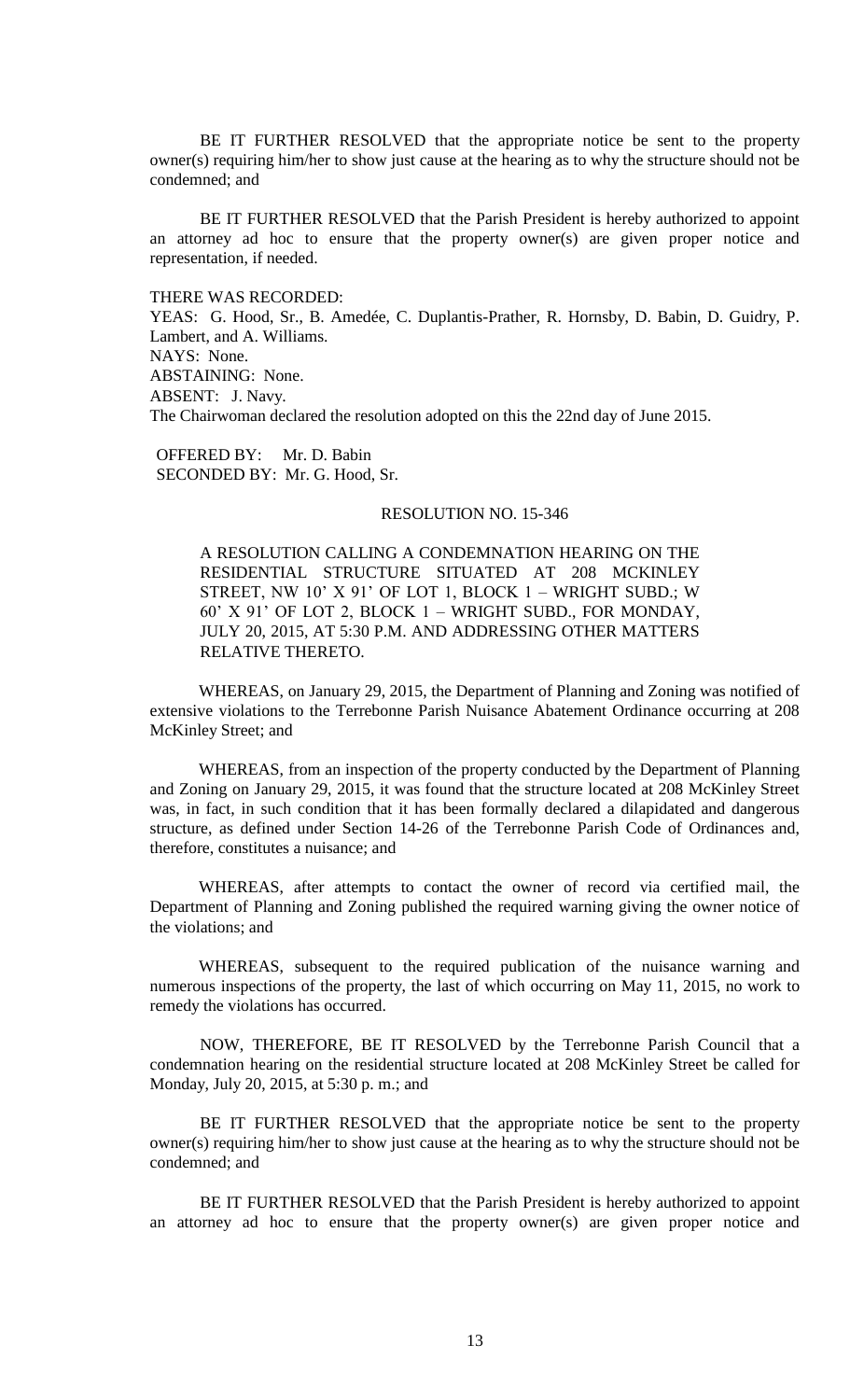BE IT FURTHER RESOLVED that the appropriate notice be sent to the property owner(s) requiring him/her to show just cause at the hearing as to why the structure should not be condemned; and

BE IT FURTHER RESOLVED that the Parish President is hereby authorized to appoint an attorney ad hoc to ensure that the property owner(s) are given proper notice and representation, if needed.

THERE WAS RECORDED:

YEAS: G. Hood, Sr., B. Amedée, C. Duplantis-Prather, R. Hornsby, D. Babin, D. Guidry, P. Lambert, and A. Williams. NAYS: None. ABSTAINING: None. ABSENT: J. Navy. The Chairwoman declared the resolution adopted on this the 22nd day of June 2015.

OFFERED BY: Mr. D. Babin SECONDED BY: Mr. G. Hood, Sr.

## RESOLUTION NO. 15-346

A RESOLUTION CALLING A CONDEMNATION HEARING ON THE RESIDENTIAL STRUCTURE SITUATED AT 208 MCKINLEY STREET, NW 10' X 91' OF LOT 1, BLOCK 1 – WRIGHT SUBD.; W 60' X 91' OF LOT 2, BLOCK 1 – WRIGHT SUBD., FOR MONDAY, JULY 20, 2015, AT 5:30 P.M. AND ADDRESSING OTHER MATTERS RELATIVE THERETO.

WHEREAS, on January 29, 2015, the Department of Planning and Zoning was notified of extensive violations to the Terrebonne Parish Nuisance Abatement Ordinance occurring at 208 McKinley Street; and

WHEREAS, from an inspection of the property conducted by the Department of Planning and Zoning on January 29, 2015, it was found that the structure located at 208 McKinley Street was, in fact, in such condition that it has been formally declared a dilapidated and dangerous structure, as defined under Section 14-26 of the Terrebonne Parish Code of Ordinances and, therefore, constitutes a nuisance; and

WHEREAS, after attempts to contact the owner of record via certified mail, the Department of Planning and Zoning published the required warning giving the owner notice of the violations; and

WHEREAS, subsequent to the required publication of the nuisance warning and numerous inspections of the property, the last of which occurring on May 11, 2015, no work to remedy the violations has occurred.

NOW, THEREFORE, BE IT RESOLVED by the Terrebonne Parish Council that a condemnation hearing on the residential structure located at 208 McKinley Street be called for Monday, July 20, 2015, at 5:30 p. m.; and

BE IT FURTHER RESOLVED that the appropriate notice be sent to the property owner(s) requiring him/her to show just cause at the hearing as to why the structure should not be condemned; and

BE IT FURTHER RESOLVED that the Parish President is hereby authorized to appoint an attorney ad hoc to ensure that the property owner(s) are given proper notice and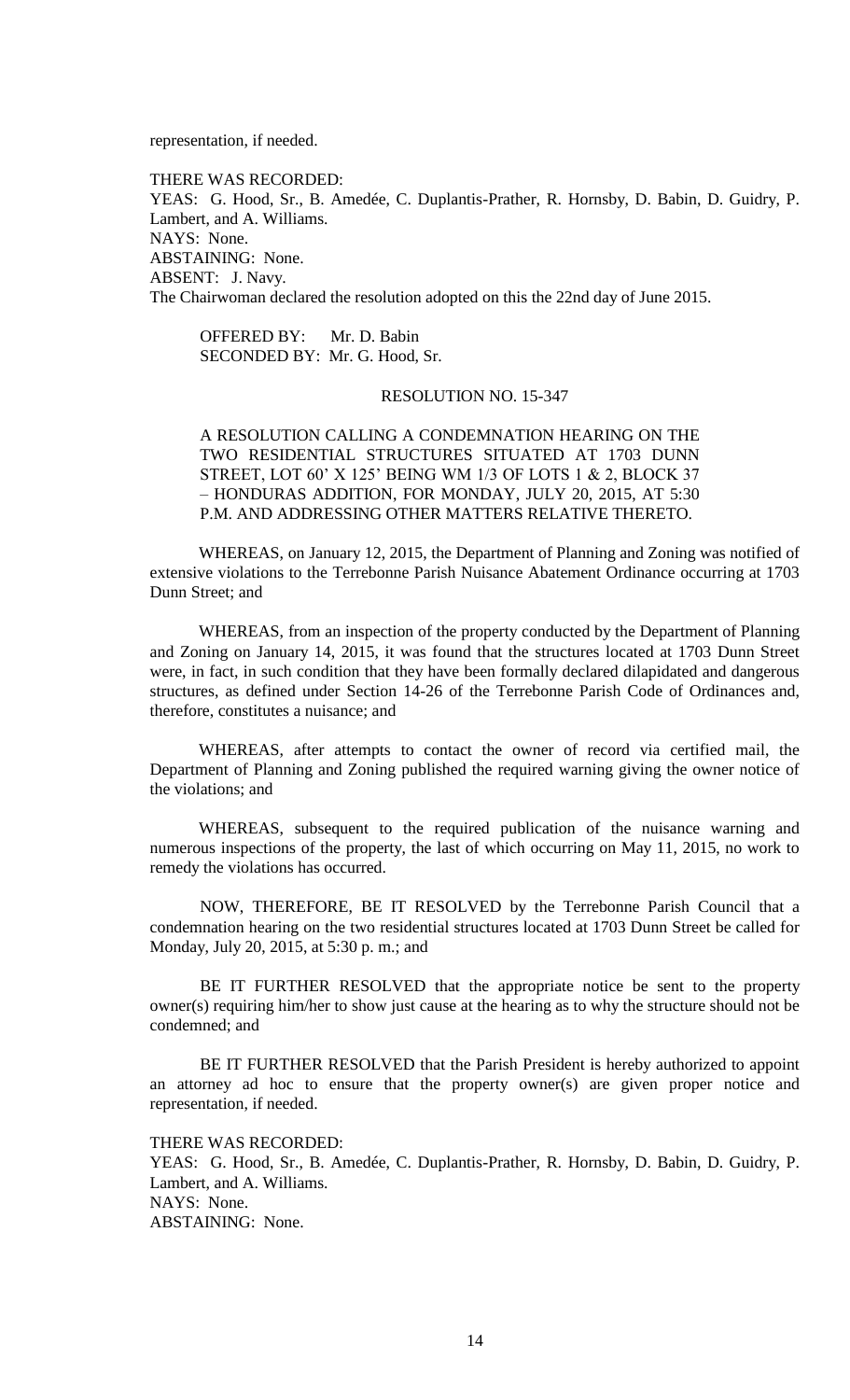representation, if needed.

THERE WAS RECORDED: YEAS: G. Hood, Sr., B. Amedée, C. Duplantis-Prather, R. Hornsby, D. Babin, D. Guidry, P. Lambert, and A. Williams. NAYS: None. ABSTAINING: None. ABSENT: J. Navy. The Chairwoman declared the resolution adopted on this the 22nd day of June 2015.

OFFERED BY: Mr. D. Babin SECONDED BY: Mr. G. Hood, Sr.

# RESOLUTION NO. 15-347

A RESOLUTION CALLING A CONDEMNATION HEARING ON THE TWO RESIDENTIAL STRUCTURES SITUATED AT 1703 DUNN STREET, LOT 60' X 125' BEING WM 1/3 OF LOTS 1 & 2, BLOCK 37 – HONDURAS ADDITION, FOR MONDAY, JULY 20, 2015, AT 5:30 P.M. AND ADDRESSING OTHER MATTERS RELATIVE THERETO.

WHEREAS, on January 12, 2015, the Department of Planning and Zoning was notified of extensive violations to the Terrebonne Parish Nuisance Abatement Ordinance occurring at 1703 Dunn Street; and

WHEREAS, from an inspection of the property conducted by the Department of Planning and Zoning on January 14, 2015, it was found that the structures located at 1703 Dunn Street were, in fact, in such condition that they have been formally declared dilapidated and dangerous structures, as defined under Section 14-26 of the Terrebonne Parish Code of Ordinances and, therefore, constitutes a nuisance; and

WHEREAS, after attempts to contact the owner of record via certified mail, the Department of Planning and Zoning published the required warning giving the owner notice of the violations; and

WHEREAS, subsequent to the required publication of the nuisance warning and numerous inspections of the property, the last of which occurring on May 11, 2015, no work to remedy the violations has occurred.

NOW, THEREFORE, BE IT RESOLVED by the Terrebonne Parish Council that a condemnation hearing on the two residential structures located at 1703 Dunn Street be called for Monday, July 20, 2015, at 5:30 p. m.; and

BE IT FURTHER RESOLVED that the appropriate notice be sent to the property owner(s) requiring him/her to show just cause at the hearing as to why the structure should not be condemned; and

BE IT FURTHER RESOLVED that the Parish President is hereby authorized to appoint an attorney ad hoc to ensure that the property owner(s) are given proper notice and representation, if needed.

THERE WAS RECORDED:

YEAS: G. Hood, Sr., B. Amedée, C. Duplantis-Prather, R. Hornsby, D. Babin, D. Guidry, P. Lambert, and A. Williams. NAYS: None. ABSTAINING: None.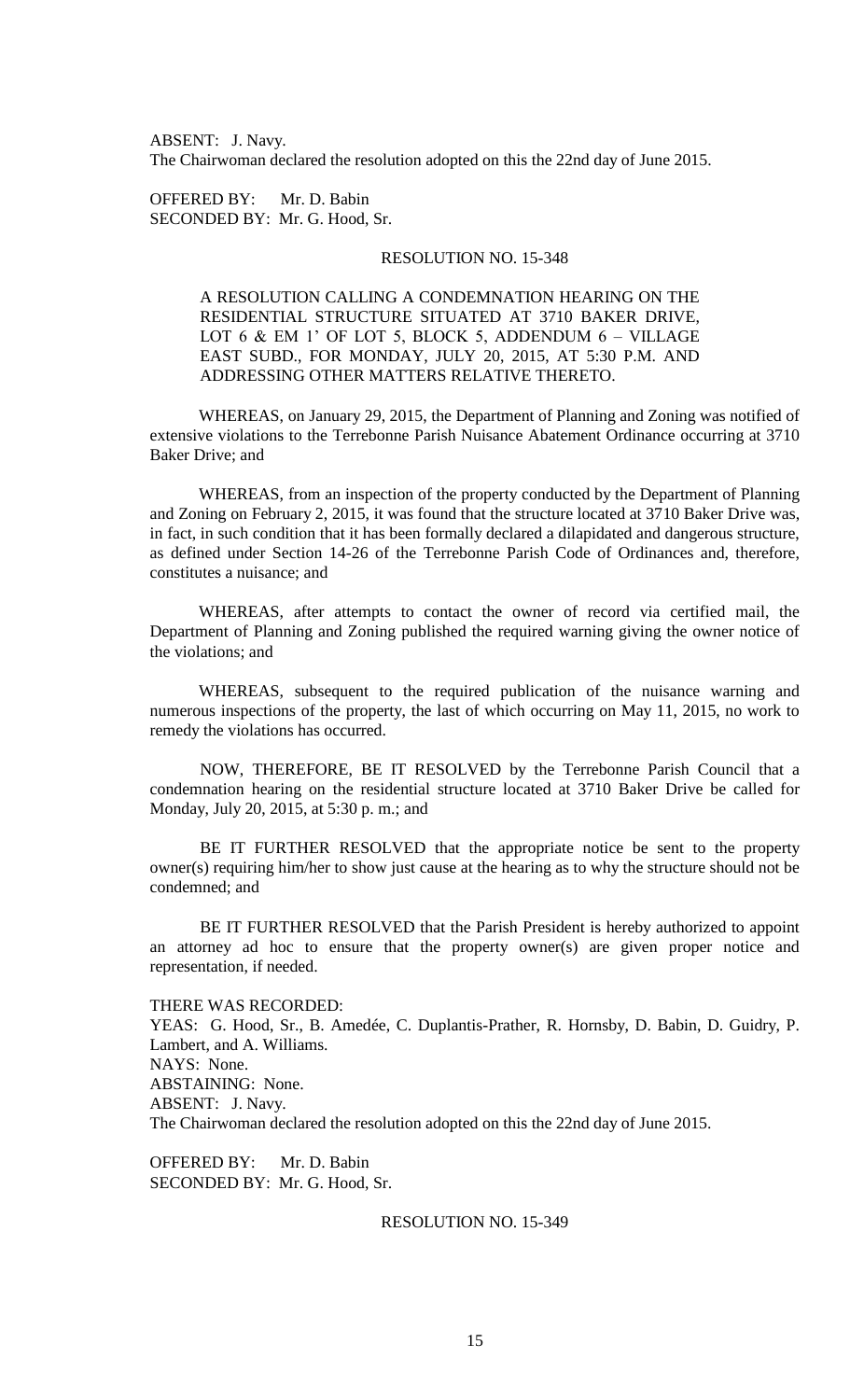ABSENT: J. Navy. The Chairwoman declared the resolution adopted on this the 22nd day of June 2015.

OFFERED BY: Mr. D. Babin SECONDED BY: Mr. G. Hood, Sr.

# RESOLUTION NO. 15-348

A RESOLUTION CALLING A CONDEMNATION HEARING ON THE RESIDENTIAL STRUCTURE SITUATED AT 3710 BAKER DRIVE, LOT 6 & EM 1' OF LOT 5, BLOCK 5, ADDENDUM 6 – VILLAGE EAST SUBD., FOR MONDAY, JULY 20, 2015, AT 5:30 P.M. AND ADDRESSING OTHER MATTERS RELATIVE THERETO.

WHEREAS, on January 29, 2015, the Department of Planning and Zoning was notified of extensive violations to the Terrebonne Parish Nuisance Abatement Ordinance occurring at 3710 Baker Drive; and

WHEREAS, from an inspection of the property conducted by the Department of Planning and Zoning on February 2, 2015, it was found that the structure located at 3710 Baker Drive was, in fact, in such condition that it has been formally declared a dilapidated and dangerous structure, as defined under Section 14-26 of the Terrebonne Parish Code of Ordinances and, therefore, constitutes a nuisance; and

WHEREAS, after attempts to contact the owner of record via certified mail, the Department of Planning and Zoning published the required warning giving the owner notice of the violations; and

WHEREAS, subsequent to the required publication of the nuisance warning and numerous inspections of the property, the last of which occurring on May 11, 2015, no work to remedy the violations has occurred.

NOW, THEREFORE, BE IT RESOLVED by the Terrebonne Parish Council that a condemnation hearing on the residential structure located at 3710 Baker Drive be called for Monday, July 20, 2015, at 5:30 p. m.; and

BE IT FURTHER RESOLVED that the appropriate notice be sent to the property owner(s) requiring him/her to show just cause at the hearing as to why the structure should not be condemned; and

BE IT FURTHER RESOLVED that the Parish President is hereby authorized to appoint an attorney ad hoc to ensure that the property owner(s) are given proper notice and representation, if needed.

THERE WAS RECORDED:

YEAS: G. Hood, Sr., B. Amedée, C. Duplantis-Prather, R. Hornsby, D. Babin, D. Guidry, P. Lambert, and A. Williams. NAYS: None. ABSTAINING: None. ABSENT: J. Navy. The Chairwoman declared the resolution adopted on this the 22nd day of June 2015.

OFFERED BY: Mr. D. Babin SECONDED BY: Mr. G. Hood, Sr.

# RESOLUTION NO. 15-349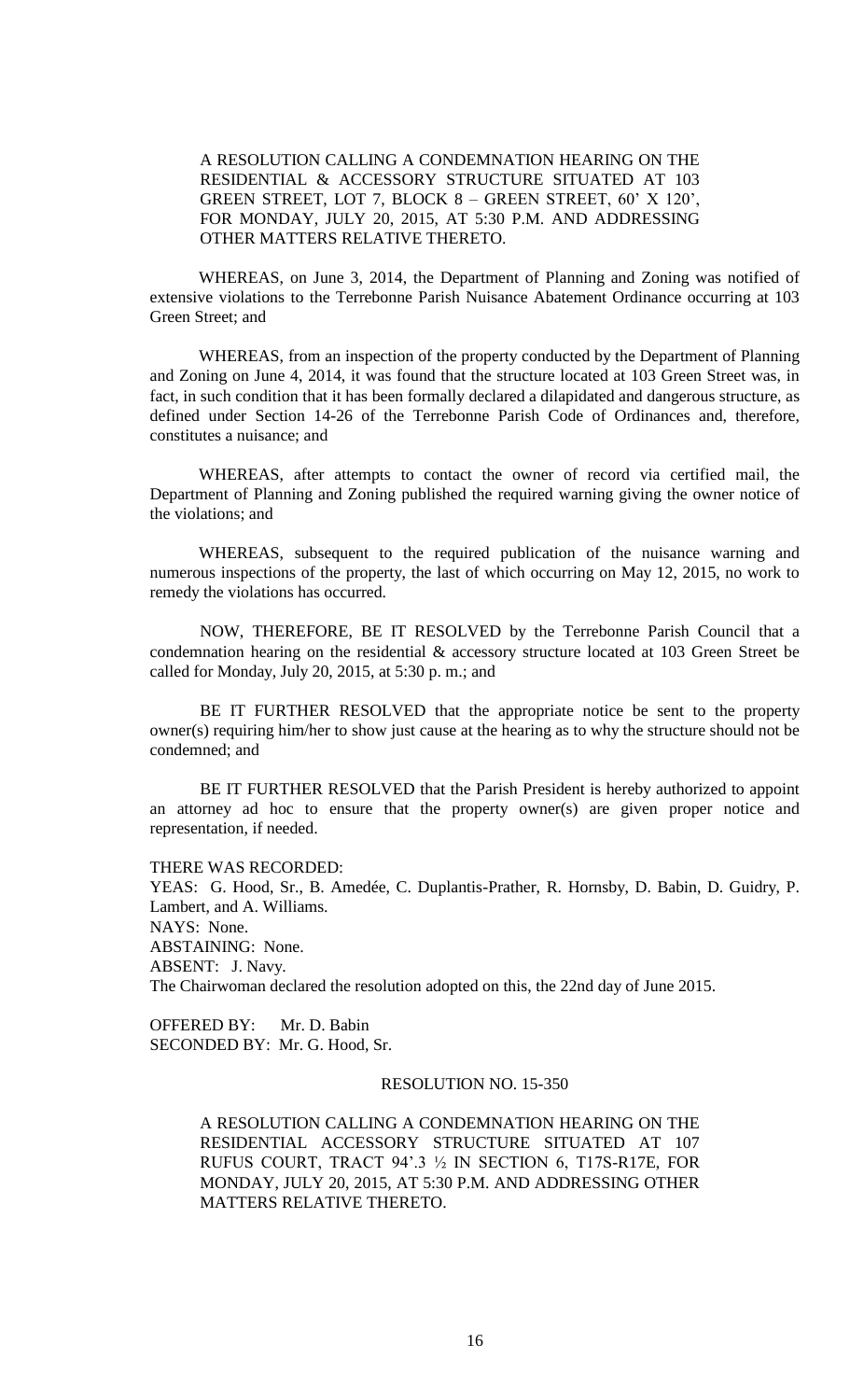A RESOLUTION CALLING A CONDEMNATION HEARING ON THE RESIDENTIAL & ACCESSORY STRUCTURE SITUATED AT 103 GREEN STREET, LOT 7, BLOCK 8 – GREEN STREET, 60' X 120', FOR MONDAY, JULY 20, 2015, AT 5:30 P.M. AND ADDRESSING OTHER MATTERS RELATIVE THERETO.

WHEREAS, on June 3, 2014, the Department of Planning and Zoning was notified of extensive violations to the Terrebonne Parish Nuisance Abatement Ordinance occurring at 103 Green Street; and

WHEREAS, from an inspection of the property conducted by the Department of Planning and Zoning on June 4, 2014, it was found that the structure located at 103 Green Street was, in fact, in such condition that it has been formally declared a dilapidated and dangerous structure, as defined under Section 14-26 of the Terrebonne Parish Code of Ordinances and, therefore, constitutes a nuisance; and

WHEREAS, after attempts to contact the owner of record via certified mail, the Department of Planning and Zoning published the required warning giving the owner notice of the violations; and

WHEREAS, subsequent to the required publication of the nuisance warning and numerous inspections of the property, the last of which occurring on May 12, 2015, no work to remedy the violations has occurred.

NOW, THEREFORE, BE IT RESOLVED by the Terrebonne Parish Council that a condemnation hearing on the residential & accessory structure located at 103 Green Street be called for Monday, July 20, 2015, at 5:30 p. m.; and

BE IT FURTHER RESOLVED that the appropriate notice be sent to the property owner(s) requiring him/her to show just cause at the hearing as to why the structure should not be condemned; and

BE IT FURTHER RESOLVED that the Parish President is hereby authorized to appoint an attorney ad hoc to ensure that the property owner(s) are given proper notice and representation, if needed.

THERE WAS RECORDED:

YEAS: G. Hood, Sr., B. Amedée, C. Duplantis-Prather, R. Hornsby, D. Babin, D. Guidry, P. Lambert, and A. Williams. NAYS: None. ABSTAINING: None. ABSENT: J. Navy. The Chairwoman declared the resolution adopted on this, the 22nd day of June 2015.

OFFERED BY: Mr. D. Babin SECONDED BY: Mr. G. Hood, Sr.

# RESOLUTION NO. 15-350

A RESOLUTION CALLING A CONDEMNATION HEARING ON THE RESIDENTIAL ACCESSORY STRUCTURE SITUATED AT 107 RUFUS COURT, TRACT 94'.3 ½ IN SECTION 6, T17S-R17E, FOR MONDAY, JULY 20, 2015, AT 5:30 P.M. AND ADDRESSING OTHER MATTERS RELATIVE THERETO.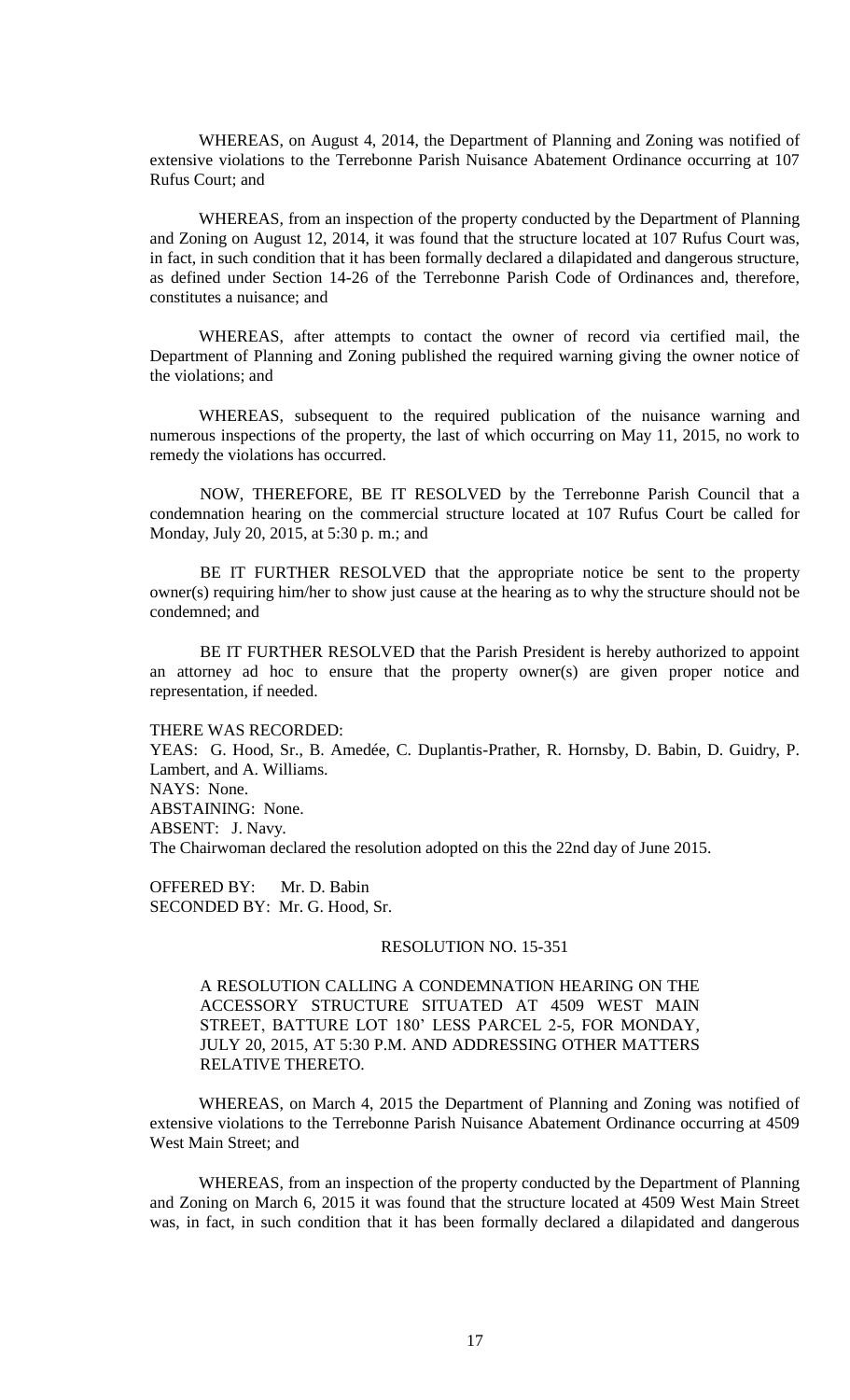WHEREAS, on August 4, 2014, the Department of Planning and Zoning was notified of extensive violations to the Terrebonne Parish Nuisance Abatement Ordinance occurring at 107 Rufus Court; and

WHEREAS, from an inspection of the property conducted by the Department of Planning and Zoning on August 12, 2014, it was found that the structure located at 107 Rufus Court was, in fact, in such condition that it has been formally declared a dilapidated and dangerous structure, as defined under Section 14-26 of the Terrebonne Parish Code of Ordinances and, therefore, constitutes a nuisance; and

WHEREAS, after attempts to contact the owner of record via certified mail, the Department of Planning and Zoning published the required warning giving the owner notice of the violations; and

WHEREAS, subsequent to the required publication of the nuisance warning and numerous inspections of the property, the last of which occurring on May 11, 2015, no work to remedy the violations has occurred.

NOW, THEREFORE, BE IT RESOLVED by the Terrebonne Parish Council that a condemnation hearing on the commercial structure located at 107 Rufus Court be called for Monday, July 20, 2015, at 5:30 p. m.; and

BE IT FURTHER RESOLVED that the appropriate notice be sent to the property owner(s) requiring him/her to show just cause at the hearing as to why the structure should not be condemned; and

BE IT FURTHER RESOLVED that the Parish President is hereby authorized to appoint an attorney ad hoc to ensure that the property owner(s) are given proper notice and representation, if needed.

#### THERE WAS RECORDED:

YEAS: G. Hood, Sr., B. Amedée, C. Duplantis-Prather, R. Hornsby, D. Babin, D. Guidry, P. Lambert, and A. Williams. NAYS: None. ABSTAINING: None. ABSENT: J. Navy. The Chairwoman declared the resolution adopted on this the 22nd day of June 2015.

OFFERED BY: Mr. D. Babin SECONDED BY: Mr. G. Hood, Sr.

#### RESOLUTION NO. 15-351

A RESOLUTION CALLING A CONDEMNATION HEARING ON THE ACCESSORY STRUCTURE SITUATED AT 4509 WEST MAIN STREET, BATTURE LOT 180' LESS PARCEL 2-5, FOR MONDAY, JULY 20, 2015, AT 5:30 P.M. AND ADDRESSING OTHER MATTERS RELATIVE THERETO.

WHEREAS, on March 4, 2015 the Department of Planning and Zoning was notified of extensive violations to the Terrebonne Parish Nuisance Abatement Ordinance occurring at 4509 West Main Street; and

WHEREAS, from an inspection of the property conducted by the Department of Planning and Zoning on March 6, 2015 it was found that the structure located at 4509 West Main Street was, in fact, in such condition that it has been formally declared a dilapidated and dangerous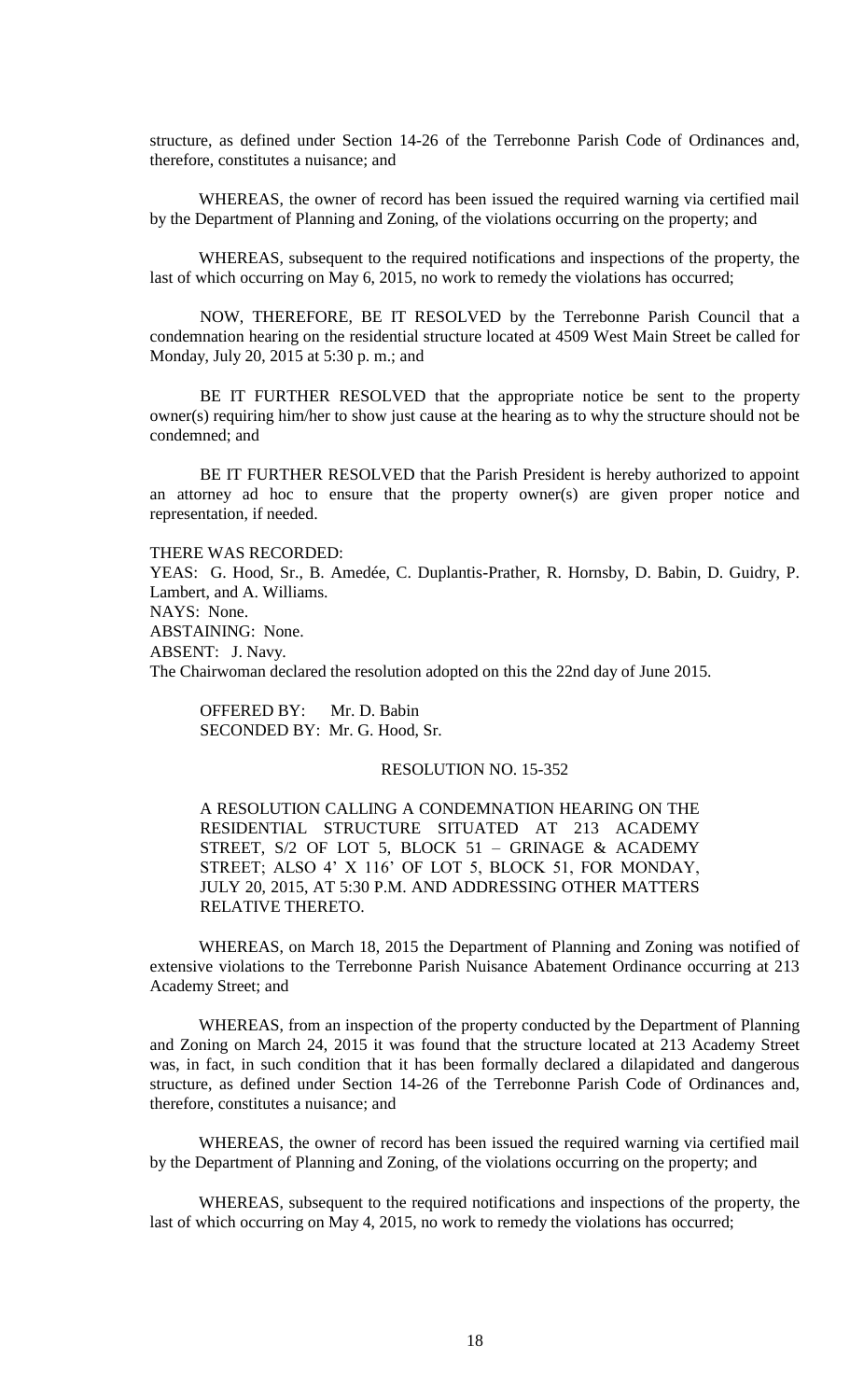structure, as defined under Section 14-26 of the Terrebonne Parish Code of Ordinances and, therefore, constitutes a nuisance; and

WHEREAS, the owner of record has been issued the required warning via certified mail by the Department of Planning and Zoning, of the violations occurring on the property; and

WHEREAS, subsequent to the required notifications and inspections of the property, the last of which occurring on May 6, 2015, no work to remedy the violations has occurred;

NOW, THEREFORE, BE IT RESOLVED by the Terrebonne Parish Council that a condemnation hearing on the residential structure located at 4509 West Main Street be called for Monday, July 20, 2015 at 5:30 p. m.; and

BE IT FURTHER RESOLVED that the appropriate notice be sent to the property owner(s) requiring him/her to show just cause at the hearing as to why the structure should not be condemned; and

BE IT FURTHER RESOLVED that the Parish President is hereby authorized to appoint an attorney ad hoc to ensure that the property owner(s) are given proper notice and representation, if needed.

THERE WAS RECORDED: YEAS: G. Hood, Sr., B. Amedée, C. Duplantis-Prather, R. Hornsby, D. Babin, D. Guidry, P. Lambert, and A. Williams. NAYS: None. ABSTAINING: None. ABSENT: J. Navy. The Chairwoman declared the resolution adopted on this the 22nd day of June 2015.

OFFERED BY: Mr. D. Babin SECONDED BY: Mr. G. Hood, Sr.

# RESOLUTION NO. 15-352

A RESOLUTION CALLING A CONDEMNATION HEARING ON THE RESIDENTIAL STRUCTURE SITUATED AT 213 ACADEMY STREET, S/2 OF LOT 5, BLOCK 51 – GRINAGE & ACADEMY STREET; ALSO 4' X 116' OF LOT 5, BLOCK 51, FOR MONDAY, JULY 20, 2015, AT 5:30 P.M. AND ADDRESSING OTHER MATTERS RELATIVE THERETO.

WHEREAS, on March 18, 2015 the Department of Planning and Zoning was notified of extensive violations to the Terrebonne Parish Nuisance Abatement Ordinance occurring at 213 Academy Street; and

WHEREAS, from an inspection of the property conducted by the Department of Planning and Zoning on March 24, 2015 it was found that the structure located at 213 Academy Street was, in fact, in such condition that it has been formally declared a dilapidated and dangerous structure, as defined under Section 14-26 of the Terrebonne Parish Code of Ordinances and, therefore, constitutes a nuisance; and

WHEREAS, the owner of record has been issued the required warning via certified mail by the Department of Planning and Zoning, of the violations occurring on the property; and

WHEREAS, subsequent to the required notifications and inspections of the property, the last of which occurring on May 4, 2015, no work to remedy the violations has occurred;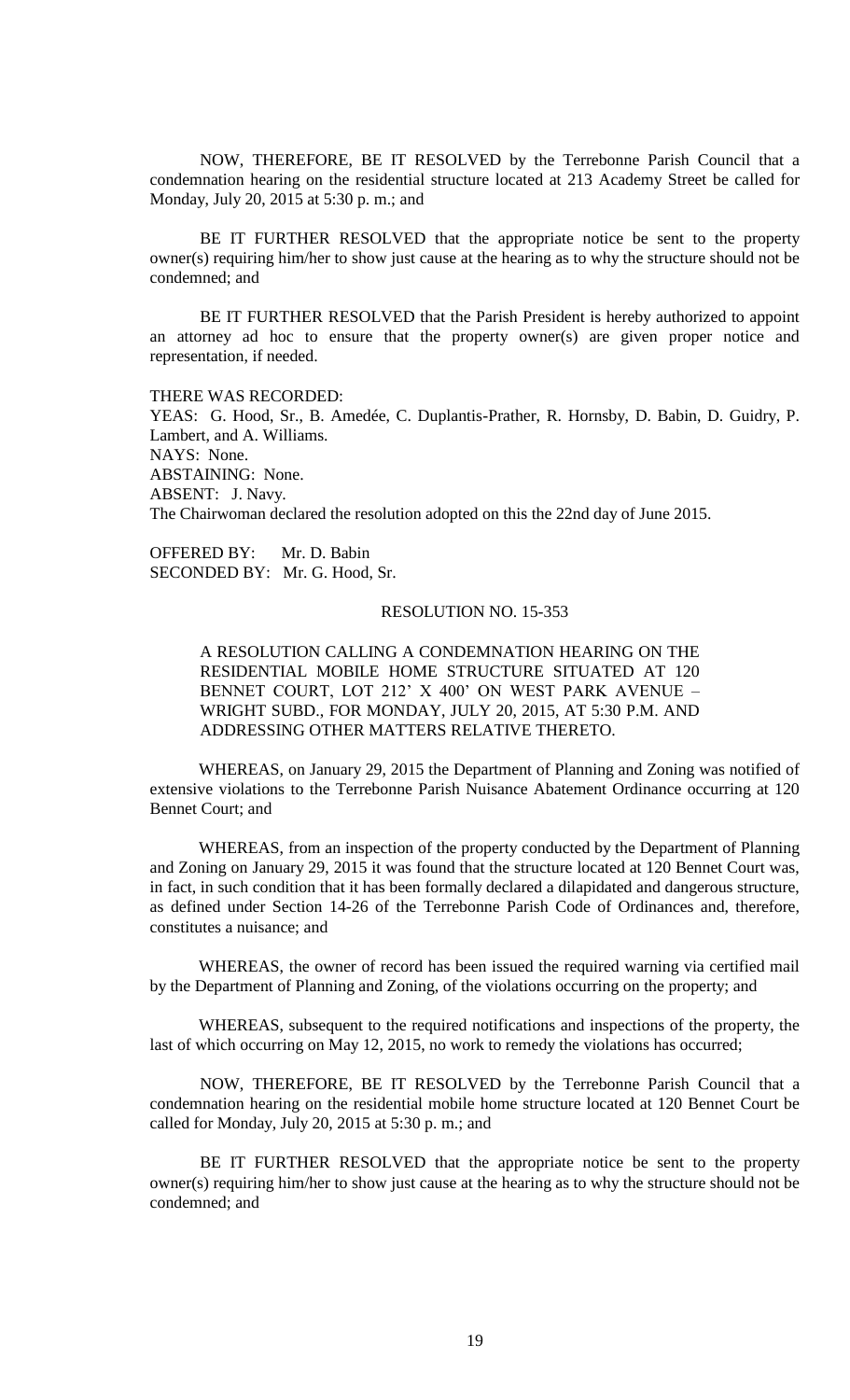NOW, THEREFORE, BE IT RESOLVED by the Terrebonne Parish Council that a condemnation hearing on the residential structure located at 213 Academy Street be called for Monday, July 20, 2015 at 5:30 p. m.; and

BE IT FURTHER RESOLVED that the appropriate notice be sent to the property owner(s) requiring him/her to show just cause at the hearing as to why the structure should not be condemned; and

BE IT FURTHER RESOLVED that the Parish President is hereby authorized to appoint an attorney ad hoc to ensure that the property owner(s) are given proper notice and representation, if needed.

THERE WAS RECORDED: YEAS: G. Hood, Sr., B. Amedée, C. Duplantis-Prather, R. Hornsby, D. Babin, D. Guidry, P. Lambert, and A. Williams. NAYS: None. ABSTAINING: None. ABSENT: J. Navy. The Chairwoman declared the resolution adopted on this the 22nd day of June 2015.

OFFERED BY: Mr. D. Babin SECONDED BY: Mr. G. Hood, Sr.

# RESOLUTION NO. 15-353

A RESOLUTION CALLING A CONDEMNATION HEARING ON THE RESIDENTIAL MOBILE HOME STRUCTURE SITUATED AT 120 BENNET COURT, LOT 212' X 400' ON WEST PARK AVENUE – WRIGHT SUBD., FOR MONDAY, JULY 20, 2015, AT 5:30 P.M. AND ADDRESSING OTHER MATTERS RELATIVE THERETO.

WHEREAS, on January 29, 2015 the Department of Planning and Zoning was notified of extensive violations to the Terrebonne Parish Nuisance Abatement Ordinance occurring at 120 Bennet Court; and

WHEREAS, from an inspection of the property conducted by the Department of Planning and Zoning on January 29, 2015 it was found that the structure located at 120 Bennet Court was, in fact, in such condition that it has been formally declared a dilapidated and dangerous structure, as defined under Section 14-26 of the Terrebonne Parish Code of Ordinances and, therefore, constitutes a nuisance; and

WHEREAS, the owner of record has been issued the required warning via certified mail by the Department of Planning and Zoning, of the violations occurring on the property; and

WHEREAS, subsequent to the required notifications and inspections of the property, the last of which occurring on May 12, 2015, no work to remedy the violations has occurred;

NOW, THEREFORE, BE IT RESOLVED by the Terrebonne Parish Council that a condemnation hearing on the residential mobile home structure located at 120 Bennet Court be called for Monday, July 20, 2015 at 5:30 p. m.; and

BE IT FURTHER RESOLVED that the appropriate notice be sent to the property owner(s) requiring him/her to show just cause at the hearing as to why the structure should not be condemned; and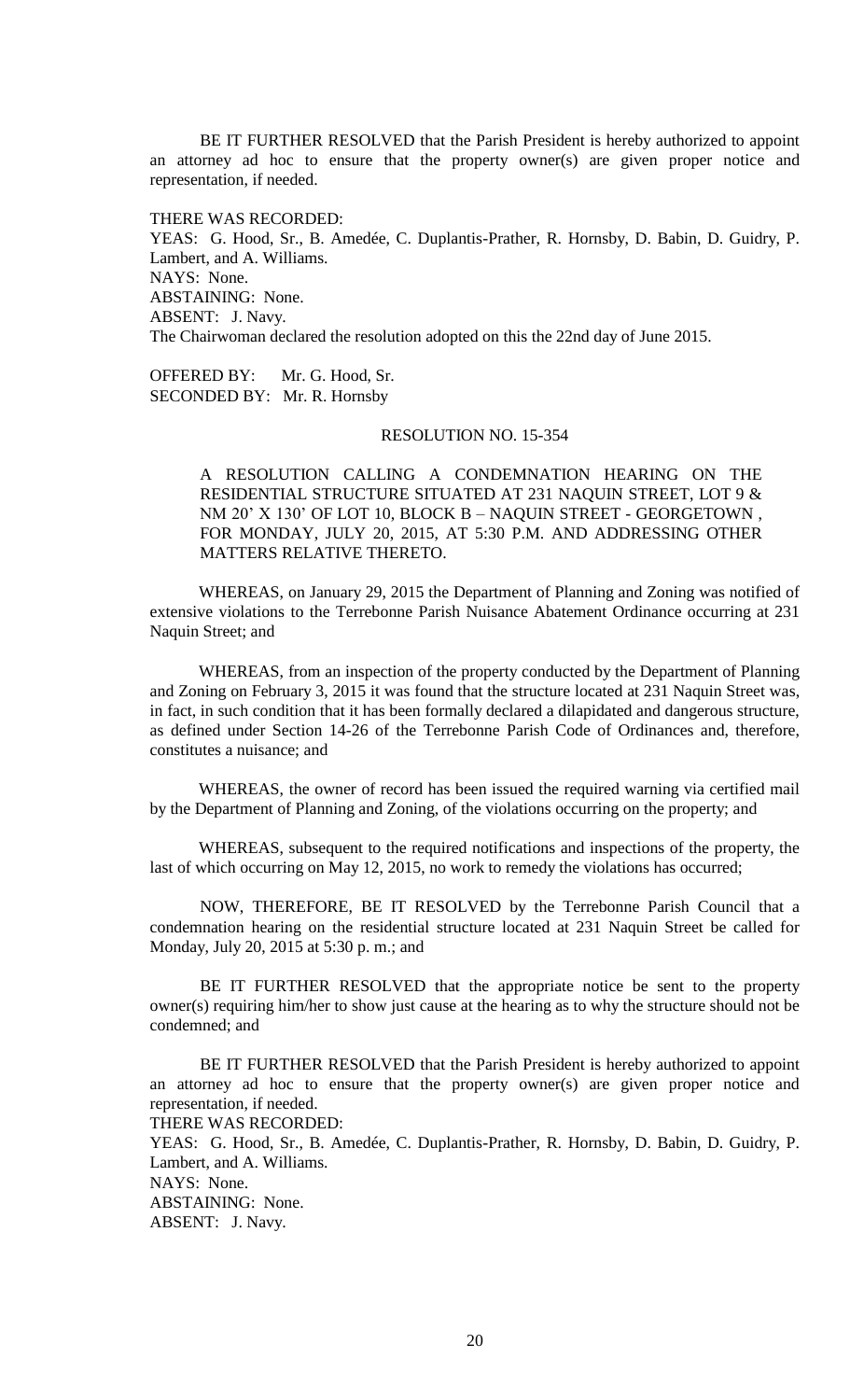BE IT FURTHER RESOLVED that the Parish President is hereby authorized to appoint an attorney ad hoc to ensure that the property owner(s) are given proper notice and representation, if needed.

THERE WAS RECORDED:

YEAS: G. Hood, Sr., B. Amedée, C. Duplantis-Prather, R. Hornsby, D. Babin, D. Guidry, P. Lambert, and A. Williams. NAYS: None. ABSTAINING: None. ABSENT: J. Navy. The Chairwoman declared the resolution adopted on this the 22nd day of June 2015.

OFFERED BY: Mr. G. Hood, Sr. SECONDED BY: Mr. R. Hornsby

# RESOLUTION NO. 15-354

A RESOLUTION CALLING A CONDEMNATION HEARING ON THE RESIDENTIAL STRUCTURE SITUATED AT 231 NAQUIN STREET, LOT 9 & NM 20' X 130' OF LOT 10, BLOCK B – NAQUIN STREET - GEORGETOWN , FOR MONDAY, JULY 20, 2015, AT 5:30 P.M. AND ADDRESSING OTHER MATTERS RELATIVE THERETO.

WHEREAS, on January 29, 2015 the Department of Planning and Zoning was notified of extensive violations to the Terrebonne Parish Nuisance Abatement Ordinance occurring at 231 Naquin Street; and

WHEREAS, from an inspection of the property conducted by the Department of Planning and Zoning on February 3, 2015 it was found that the structure located at 231 Naquin Street was, in fact, in such condition that it has been formally declared a dilapidated and dangerous structure, as defined under Section 14-26 of the Terrebonne Parish Code of Ordinances and, therefore, constitutes a nuisance; and

WHEREAS, the owner of record has been issued the required warning via certified mail by the Department of Planning and Zoning, of the violations occurring on the property; and

WHEREAS, subsequent to the required notifications and inspections of the property, the last of which occurring on May 12, 2015, no work to remedy the violations has occurred;

NOW, THEREFORE, BE IT RESOLVED by the Terrebonne Parish Council that a condemnation hearing on the residential structure located at 231 Naquin Street be called for Monday, July 20, 2015 at 5:30 p. m.; and

BE IT FURTHER RESOLVED that the appropriate notice be sent to the property owner(s) requiring him/her to show just cause at the hearing as to why the structure should not be condemned; and

BE IT FURTHER RESOLVED that the Parish President is hereby authorized to appoint an attorney ad hoc to ensure that the property owner(s) are given proper notice and representation, if needed.

THERE WAS RECORDED:

YEAS: G. Hood, Sr., B. Amedée, C. Duplantis-Prather, R. Hornsby, D. Babin, D. Guidry, P. Lambert, and A. Williams. NAYS: None. ABSTAINING: None.

ABSENT: J. Navy.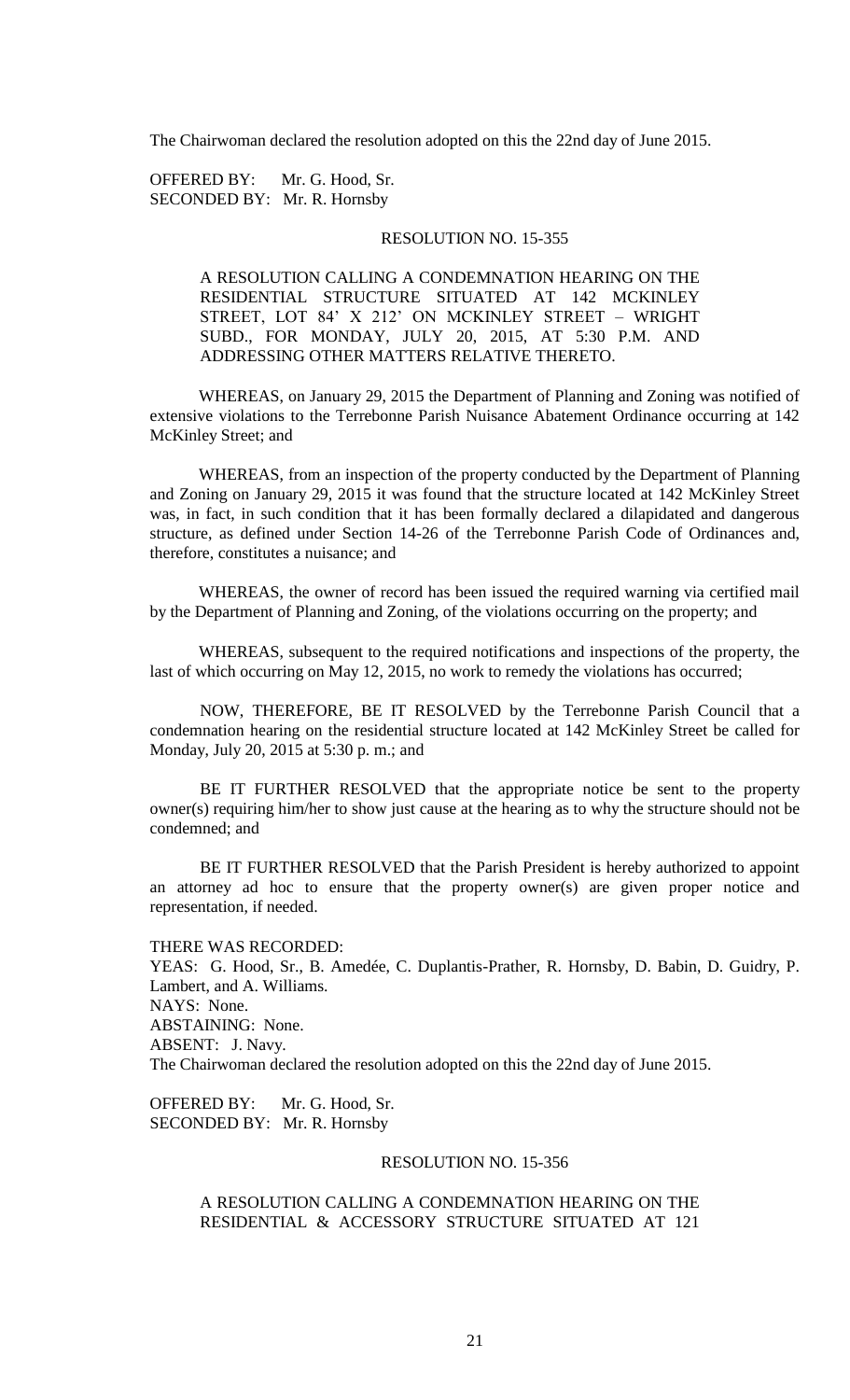The Chairwoman declared the resolution adopted on this the 22nd day of June 2015.

OFFERED BY: Mr. G. Hood, Sr. SECONDED BY: Mr. R. Hornsby

## RESOLUTION NO. 15-355

A RESOLUTION CALLING A CONDEMNATION HEARING ON THE RESIDENTIAL STRUCTURE SITUATED AT 142 MCKINLEY STREET, LOT 84' X 212' ON MCKINLEY STREET – WRIGHT SUBD., FOR MONDAY, JULY 20, 2015, AT 5:30 P.M. AND ADDRESSING OTHER MATTERS RELATIVE THERETO.

WHEREAS, on January 29, 2015 the Department of Planning and Zoning was notified of extensive violations to the Terrebonne Parish Nuisance Abatement Ordinance occurring at 142 McKinley Street; and

WHEREAS, from an inspection of the property conducted by the Department of Planning and Zoning on January 29, 2015 it was found that the structure located at 142 McKinley Street was, in fact, in such condition that it has been formally declared a dilapidated and dangerous structure, as defined under Section 14-26 of the Terrebonne Parish Code of Ordinances and, therefore, constitutes a nuisance; and

WHEREAS, the owner of record has been issued the required warning via certified mail by the Department of Planning and Zoning, of the violations occurring on the property; and

WHEREAS, subsequent to the required notifications and inspections of the property, the last of which occurring on May 12, 2015, no work to remedy the violations has occurred;

NOW, THEREFORE, BE IT RESOLVED by the Terrebonne Parish Council that a condemnation hearing on the residential structure located at 142 McKinley Street be called for Monday, July 20, 2015 at 5:30 p. m.; and

BE IT FURTHER RESOLVED that the appropriate notice be sent to the property owner(s) requiring him/her to show just cause at the hearing as to why the structure should not be condemned; and

BE IT FURTHER RESOLVED that the Parish President is hereby authorized to appoint an attorney ad hoc to ensure that the property owner(s) are given proper notice and representation, if needed.

THERE WAS RECORDED: YEAS: G. Hood, Sr., B. Amedée, C. Duplantis-Prather, R. Hornsby, D. Babin, D. Guidry, P. Lambert, and A. Williams. NAYS: None. ABSTAINING: None. ABSENT: J. Navy. The Chairwoman declared the resolution adopted on this the 22nd day of June 2015.

OFFERED BY: Mr. G. Hood, Sr. SECONDED BY: Mr. R. Hornsby

#### RESOLUTION NO. 15-356

A RESOLUTION CALLING A CONDEMNATION HEARING ON THE RESIDENTIAL & ACCESSORY STRUCTURE SITUATED AT 121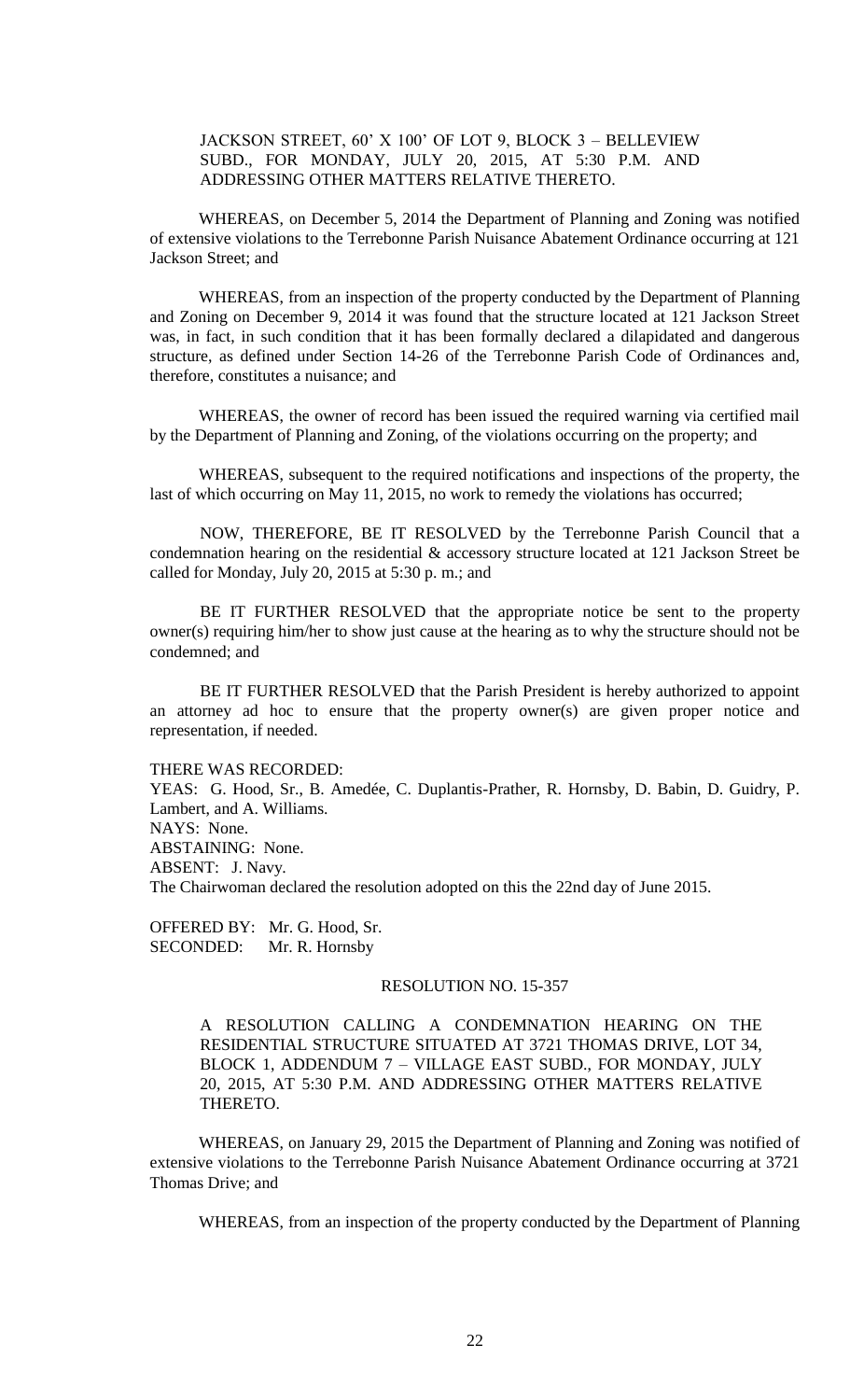JACKSON STREET, 60' X 100' OF LOT 9, BLOCK 3 – BELLEVIEW SUBD., FOR MONDAY, JULY 20, 2015, AT 5:30 P.M. AND ADDRESSING OTHER MATTERS RELATIVE THERETO.

WHEREAS, on December 5, 2014 the Department of Planning and Zoning was notified of extensive violations to the Terrebonne Parish Nuisance Abatement Ordinance occurring at 121 Jackson Street; and

WHEREAS, from an inspection of the property conducted by the Department of Planning and Zoning on December 9, 2014 it was found that the structure located at 121 Jackson Street was, in fact, in such condition that it has been formally declared a dilapidated and dangerous structure, as defined under Section 14-26 of the Terrebonne Parish Code of Ordinances and, therefore, constitutes a nuisance; and

WHEREAS, the owner of record has been issued the required warning via certified mail by the Department of Planning and Zoning, of the violations occurring on the property; and

WHEREAS, subsequent to the required notifications and inspections of the property, the last of which occurring on May 11, 2015, no work to remedy the violations has occurred;

NOW, THEREFORE, BE IT RESOLVED by the Terrebonne Parish Council that a condemnation hearing on the residential & accessory structure located at 121 Jackson Street be called for Monday, July 20, 2015 at 5:30 p. m.; and

BE IT FURTHER RESOLVED that the appropriate notice be sent to the property owner(s) requiring him/her to show just cause at the hearing as to why the structure should not be condemned; and

BE IT FURTHER RESOLVED that the Parish President is hereby authorized to appoint an attorney ad hoc to ensure that the property owner(s) are given proper notice and representation, if needed.

THERE WAS RECORDED:

YEAS: G. Hood, Sr., B. Amedée, C. Duplantis-Prather, R. Hornsby, D. Babin, D. Guidry, P. Lambert, and A. Williams. NAYS: None. ABSTAINING: None. ABSENT: J. Navy. The Chairwoman declared the resolution adopted on this the 22nd day of June 2015.

OFFERED BY: Mr. G. Hood, Sr. SECONDED: Mr. R. Hornsby

#### RESOLUTION NO. 15-357

A RESOLUTION CALLING A CONDEMNATION HEARING ON THE RESIDENTIAL STRUCTURE SITUATED AT 3721 THOMAS DRIVE, LOT 34, BLOCK 1, ADDENDUM 7 – VILLAGE EAST SUBD., FOR MONDAY, JULY 20, 2015, AT 5:30 P.M. AND ADDRESSING OTHER MATTERS RELATIVE THERETO.

WHEREAS, on January 29, 2015 the Department of Planning and Zoning was notified of extensive violations to the Terrebonne Parish Nuisance Abatement Ordinance occurring at 3721 Thomas Drive; and

WHEREAS, from an inspection of the property conducted by the Department of Planning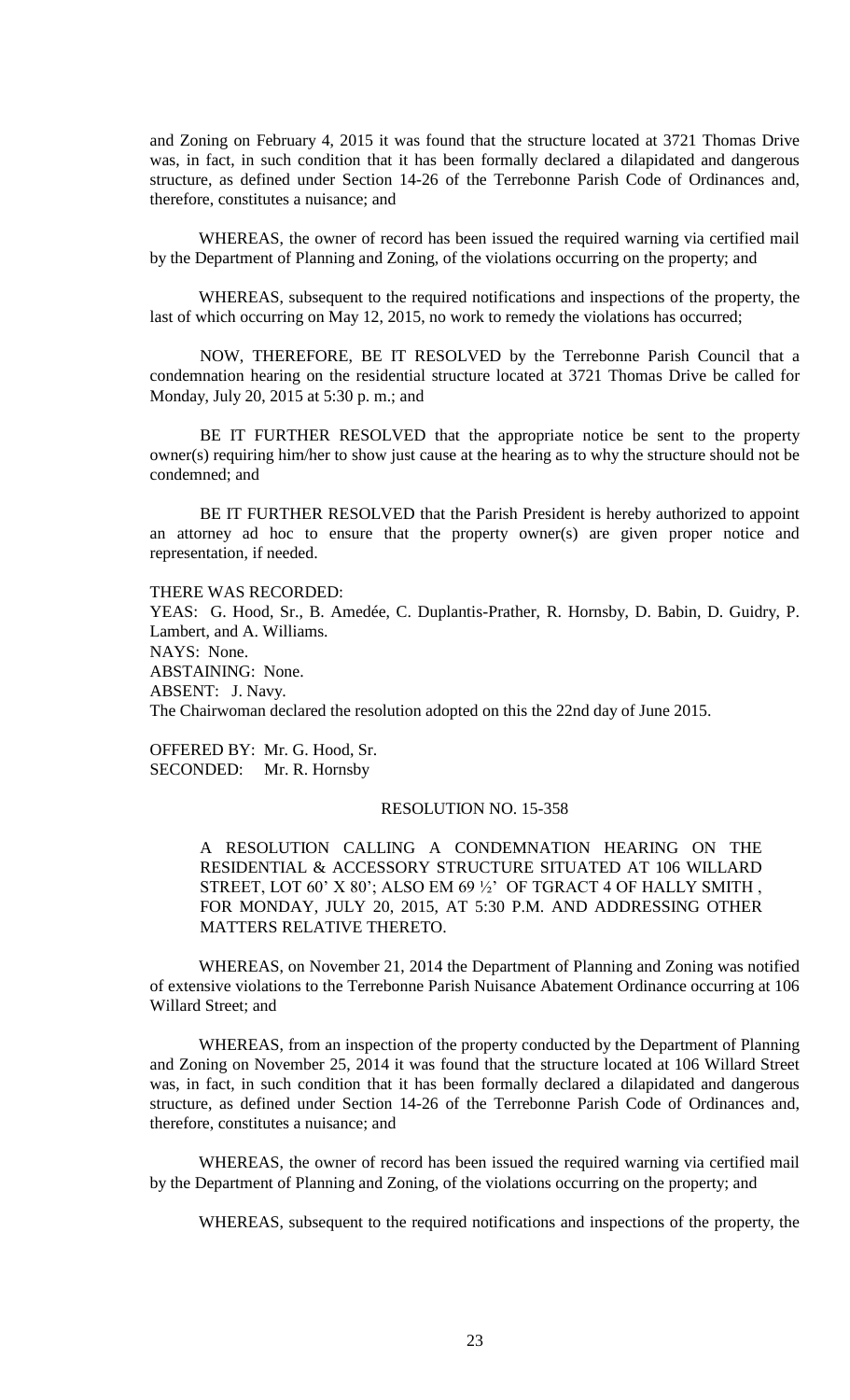and Zoning on February 4, 2015 it was found that the structure located at 3721 Thomas Drive was, in fact, in such condition that it has been formally declared a dilapidated and dangerous structure, as defined under Section 14-26 of the Terrebonne Parish Code of Ordinances and, therefore, constitutes a nuisance; and

WHEREAS, the owner of record has been issued the required warning via certified mail by the Department of Planning and Zoning, of the violations occurring on the property; and

WHEREAS, subsequent to the required notifications and inspections of the property, the last of which occurring on May 12, 2015, no work to remedy the violations has occurred;

NOW, THEREFORE, BE IT RESOLVED by the Terrebonne Parish Council that a condemnation hearing on the residential structure located at 3721 Thomas Drive be called for Monday, July 20, 2015 at 5:30 p. m.; and

BE IT FURTHER RESOLVED that the appropriate notice be sent to the property owner(s) requiring him/her to show just cause at the hearing as to why the structure should not be condemned; and

BE IT FURTHER RESOLVED that the Parish President is hereby authorized to appoint an attorney ad hoc to ensure that the property owner(s) are given proper notice and representation, if needed.

THERE WAS RECORDED:

YEAS: G. Hood, Sr., B. Amedée, C. Duplantis-Prather, R. Hornsby, D. Babin, D. Guidry, P. Lambert, and A. Williams. NAYS: None. ABSTAINING: None. ABSENT: J. Navy. The Chairwoman declared the resolution adopted on this the 22nd day of June 2015.

OFFERED BY: Mr. G. Hood, Sr. SECONDED: Mr. R. Hornsby

#### RESOLUTION NO. 15-358

A RESOLUTION CALLING A CONDEMNATION HEARING ON THE RESIDENTIAL & ACCESSORY STRUCTURE SITUATED AT 106 WILLARD STREET, LOT 60' X 80'; ALSO EM 69 1/2' OF TGRACT 4 OF HALLY SMITH, FOR MONDAY, JULY 20, 2015, AT 5:30 P.M. AND ADDRESSING OTHER MATTERS RELATIVE THERETO.

WHEREAS, on November 21, 2014 the Department of Planning and Zoning was notified of extensive violations to the Terrebonne Parish Nuisance Abatement Ordinance occurring at 106 Willard Street; and

WHEREAS, from an inspection of the property conducted by the Department of Planning and Zoning on November 25, 2014 it was found that the structure located at 106 Willard Street was, in fact, in such condition that it has been formally declared a dilapidated and dangerous structure, as defined under Section 14-26 of the Terrebonne Parish Code of Ordinances and, therefore, constitutes a nuisance; and

WHEREAS, the owner of record has been issued the required warning via certified mail by the Department of Planning and Zoning, of the violations occurring on the property; and

WHEREAS, subsequent to the required notifications and inspections of the property, the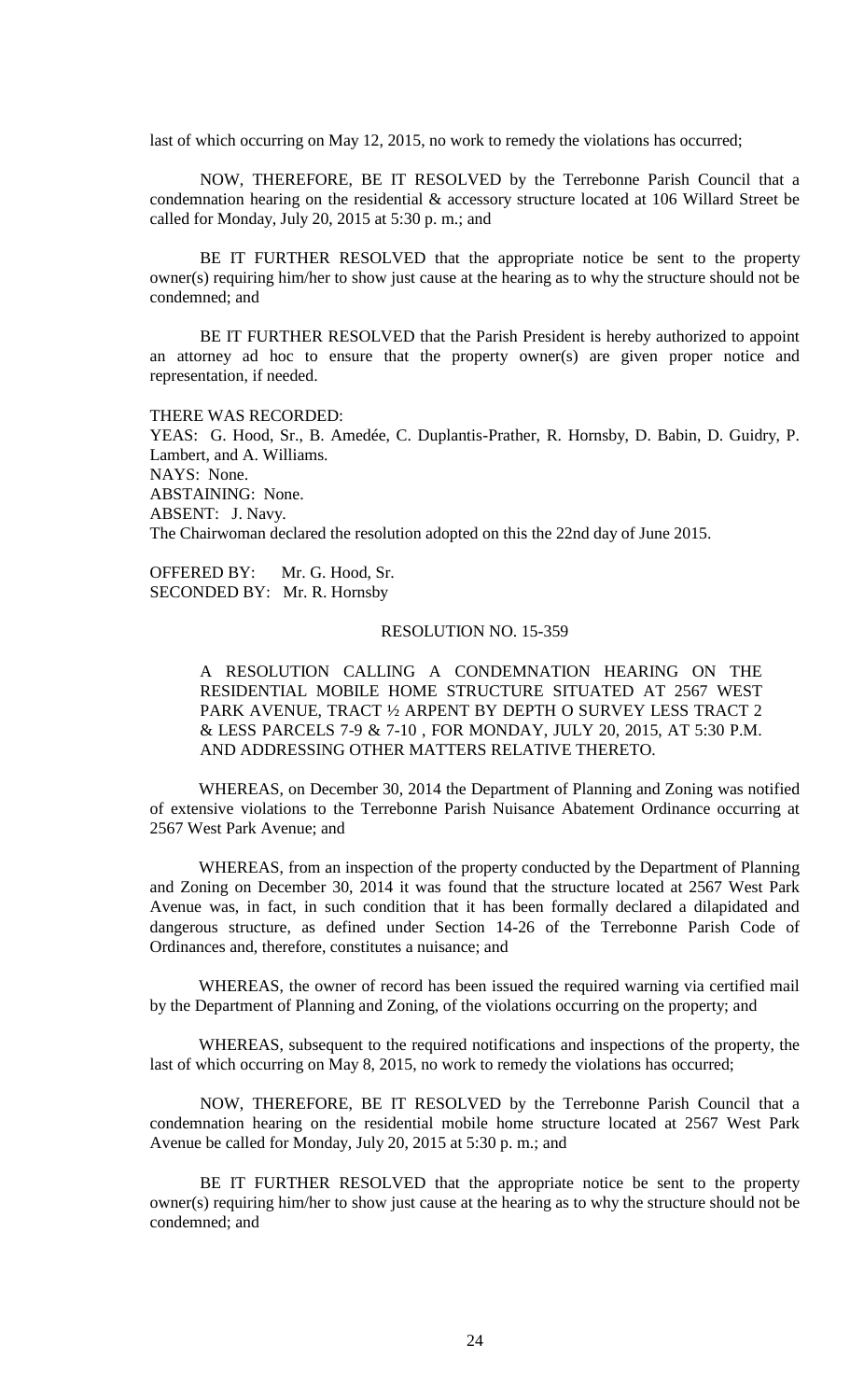last of which occurring on May 12, 2015, no work to remedy the violations has occurred;

NOW, THEREFORE, BE IT RESOLVED by the Terrebonne Parish Council that a condemnation hearing on the residential & accessory structure located at 106 Willard Street be called for Monday, July 20, 2015 at 5:30 p. m.; and

BE IT FURTHER RESOLVED that the appropriate notice be sent to the property owner(s) requiring him/her to show just cause at the hearing as to why the structure should not be condemned; and

BE IT FURTHER RESOLVED that the Parish President is hereby authorized to appoint an attorney ad hoc to ensure that the property owner(s) are given proper notice and representation, if needed.

THERE WAS RECORDED:

YEAS: G. Hood, Sr., B. Amedée, C. Duplantis-Prather, R. Hornsby, D. Babin, D. Guidry, P. Lambert, and A. Williams. NAYS: None. ABSTAINING: None. ABSENT: J. Navy. The Chairwoman declared the resolution adopted on this the 22nd day of June 2015.

OFFERED BY: Mr. G. Hood, Sr. SECONDED BY: Mr. R. Hornsby

## RESOLUTION NO. 15-359

A RESOLUTION CALLING A CONDEMNATION HEARING ON THE RESIDENTIAL MOBILE HOME STRUCTURE SITUATED AT 2567 WEST PARK AVENUE, TRACT ½ ARPENT BY DEPTH O SURVEY LESS TRACT 2 & LESS PARCELS 7-9 & 7-10 , FOR MONDAY, JULY 20, 2015, AT 5:30 P.M. AND ADDRESSING OTHER MATTERS RELATIVE THERETO.

WHEREAS, on December 30, 2014 the Department of Planning and Zoning was notified of extensive violations to the Terrebonne Parish Nuisance Abatement Ordinance occurring at 2567 West Park Avenue; and

WHEREAS, from an inspection of the property conducted by the Department of Planning and Zoning on December 30, 2014 it was found that the structure located at 2567 West Park Avenue was, in fact, in such condition that it has been formally declared a dilapidated and dangerous structure, as defined under Section 14-26 of the Terrebonne Parish Code of Ordinances and, therefore, constitutes a nuisance; and

WHEREAS, the owner of record has been issued the required warning via certified mail by the Department of Planning and Zoning, of the violations occurring on the property; and

WHEREAS, subsequent to the required notifications and inspections of the property, the last of which occurring on May 8, 2015, no work to remedy the violations has occurred;

NOW, THEREFORE, BE IT RESOLVED by the Terrebonne Parish Council that a condemnation hearing on the residential mobile home structure located at 2567 West Park Avenue be called for Monday, July 20, 2015 at 5:30 p. m.; and

BE IT FURTHER RESOLVED that the appropriate notice be sent to the property owner(s) requiring him/her to show just cause at the hearing as to why the structure should not be condemned; and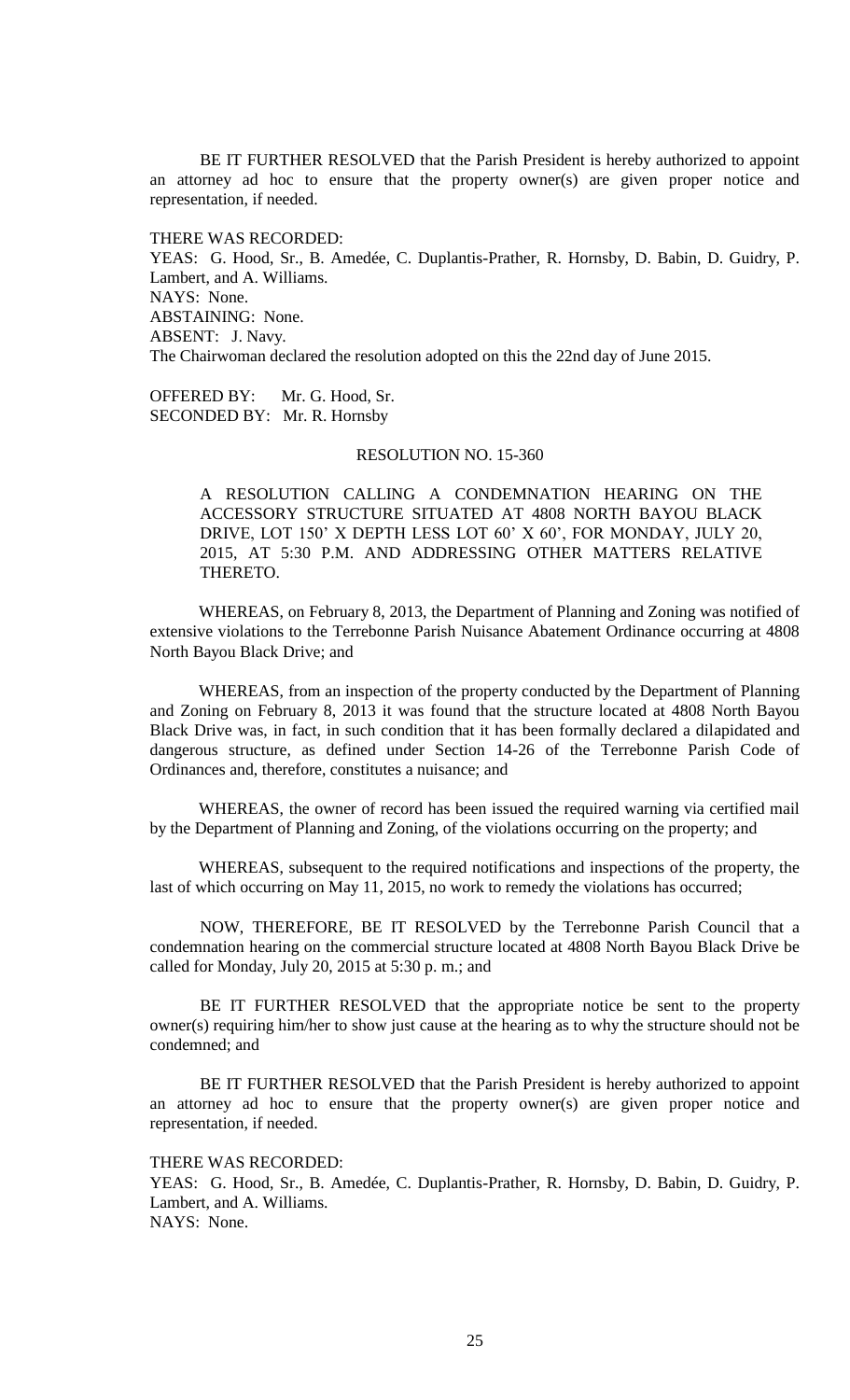BE IT FURTHER RESOLVED that the Parish President is hereby authorized to appoint an attorney ad hoc to ensure that the property owner(s) are given proper notice and representation, if needed.

THERE WAS RECORDED: YEAS: G. Hood, Sr., B. Amedée, C. Duplantis-Prather, R. Hornsby, D. Babin, D. Guidry, P. Lambert, and A. Williams. NAYS: None. ABSTAINING: None. ABSENT: J. Navy. The Chairwoman declared the resolution adopted on this the 22nd day of June 2015.

OFFERED BY: Mr. G. Hood, Sr. SECONDED BY: Mr. R. Hornsby

# RESOLUTION NO. 15-360

A RESOLUTION CALLING A CONDEMNATION HEARING ON THE ACCESSORY STRUCTURE SITUATED AT 4808 NORTH BAYOU BLACK DRIVE, LOT 150' X DEPTH LESS LOT 60' X 60', FOR MONDAY, JULY 20, 2015, AT 5:30 P.M. AND ADDRESSING OTHER MATTERS RELATIVE THERETO.

WHEREAS, on February 8, 2013, the Department of Planning and Zoning was notified of extensive violations to the Terrebonne Parish Nuisance Abatement Ordinance occurring at 4808 North Bayou Black Drive; and

WHEREAS, from an inspection of the property conducted by the Department of Planning and Zoning on February 8, 2013 it was found that the structure located at 4808 North Bayou Black Drive was, in fact, in such condition that it has been formally declared a dilapidated and dangerous structure, as defined under Section 14-26 of the Terrebonne Parish Code of Ordinances and, therefore, constitutes a nuisance; and

WHEREAS, the owner of record has been issued the required warning via certified mail by the Department of Planning and Zoning, of the violations occurring on the property; and

WHEREAS, subsequent to the required notifications and inspections of the property, the last of which occurring on May 11, 2015, no work to remedy the violations has occurred;

NOW, THEREFORE, BE IT RESOLVED by the Terrebonne Parish Council that a condemnation hearing on the commercial structure located at 4808 North Bayou Black Drive be called for Monday, July 20, 2015 at 5:30 p. m.; and

BE IT FURTHER RESOLVED that the appropriate notice be sent to the property owner(s) requiring him/her to show just cause at the hearing as to why the structure should not be condemned; and

BE IT FURTHER RESOLVED that the Parish President is hereby authorized to appoint an attorney ad hoc to ensure that the property owner(s) are given proper notice and representation, if needed.

THERE WAS RECORDED:

YEAS: G. Hood, Sr., B. Amedée, C. Duplantis-Prather, R. Hornsby, D. Babin, D. Guidry, P. Lambert, and A. Williams. NAYS: None.

25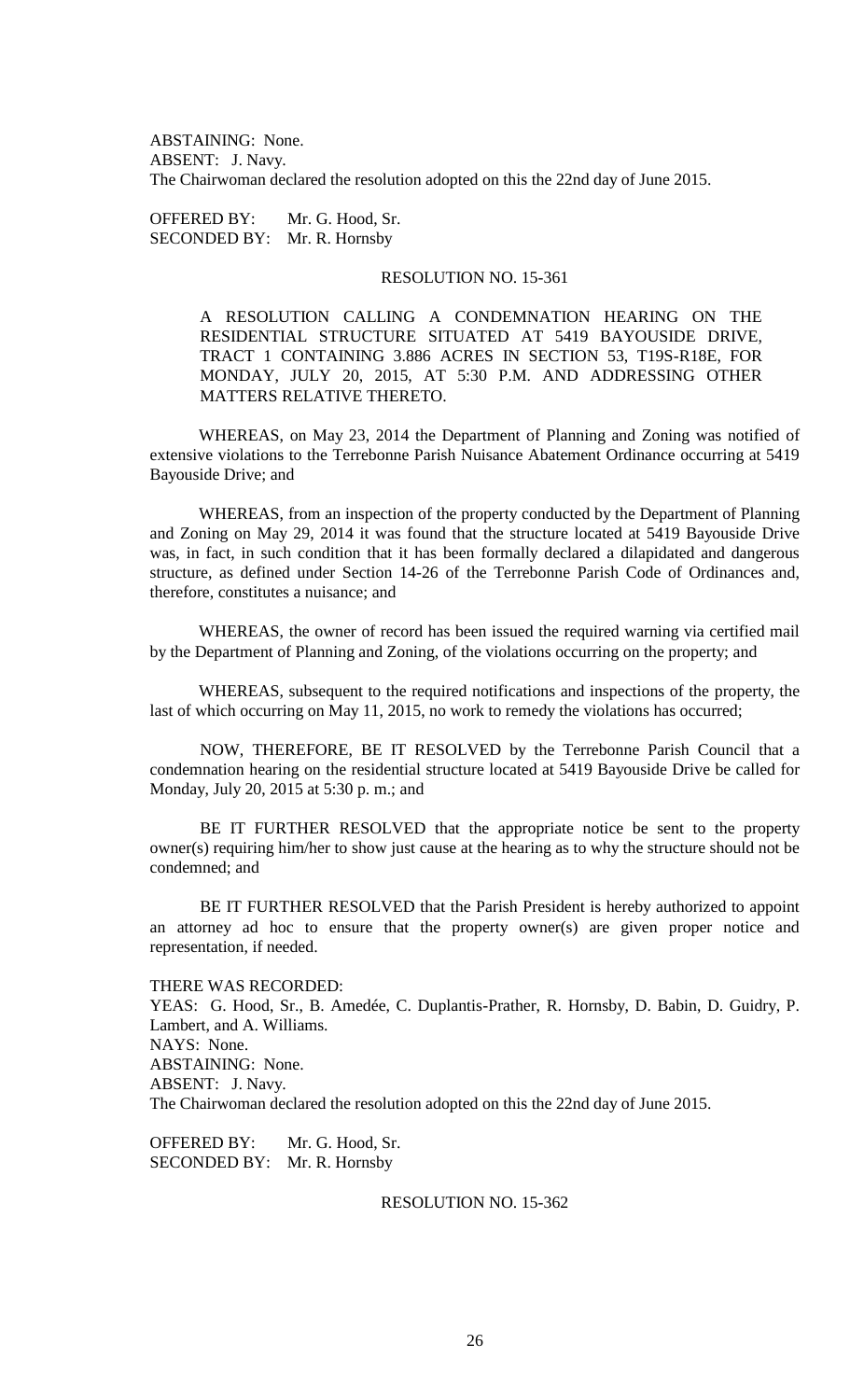ABSTAINING: None. ABSENT: J. Navy. The Chairwoman declared the resolution adopted on this the 22nd day of June 2015.

OFFERED BY: Mr. G. Hood, Sr. SECONDED BY: Mr. R. Hornsby

# RESOLUTION NO. 15-361

A RESOLUTION CALLING A CONDEMNATION HEARING ON THE RESIDENTIAL STRUCTURE SITUATED AT 5419 BAYOUSIDE DRIVE, TRACT 1 CONTAINING 3.886 ACRES IN SECTION 53, T19S-R18E, FOR MONDAY, JULY 20, 2015, AT 5:30 P.M. AND ADDRESSING OTHER MATTERS RELATIVE THERETO.

WHEREAS, on May 23, 2014 the Department of Planning and Zoning was notified of extensive violations to the Terrebonne Parish Nuisance Abatement Ordinance occurring at 5419 Bayouside Drive; and

WHEREAS, from an inspection of the property conducted by the Department of Planning and Zoning on May 29, 2014 it was found that the structure located at 5419 Bayouside Drive was, in fact, in such condition that it has been formally declared a dilapidated and dangerous structure, as defined under Section 14-26 of the Terrebonne Parish Code of Ordinances and, therefore, constitutes a nuisance; and

WHEREAS, the owner of record has been issued the required warning via certified mail by the Department of Planning and Zoning, of the violations occurring on the property; and

WHEREAS, subsequent to the required notifications and inspections of the property, the last of which occurring on May 11, 2015, no work to remedy the violations has occurred;

NOW, THEREFORE, BE IT RESOLVED by the Terrebonne Parish Council that a condemnation hearing on the residential structure located at 5419 Bayouside Drive be called for Monday, July 20, 2015 at 5:30 p. m.; and

BE IT FURTHER RESOLVED that the appropriate notice be sent to the property owner(s) requiring him/her to show just cause at the hearing as to why the structure should not be condemned; and

BE IT FURTHER RESOLVED that the Parish President is hereby authorized to appoint an attorney ad hoc to ensure that the property owner(s) are given proper notice and representation, if needed.

THERE WAS RECORDED: YEAS: G. Hood, Sr., B. Amedée, C. Duplantis-Prather, R. Hornsby, D. Babin, D. Guidry, P. Lambert, and A. Williams. NAYS: None. ABSTAINING: None. ABSENT: J. Navy. The Chairwoman declared the resolution adopted on this the 22nd day of June 2015.

OFFERED BY: Mr. G. Hood, Sr. SECONDED BY: Mr. R. Hornsby

RESOLUTION NO. 15-362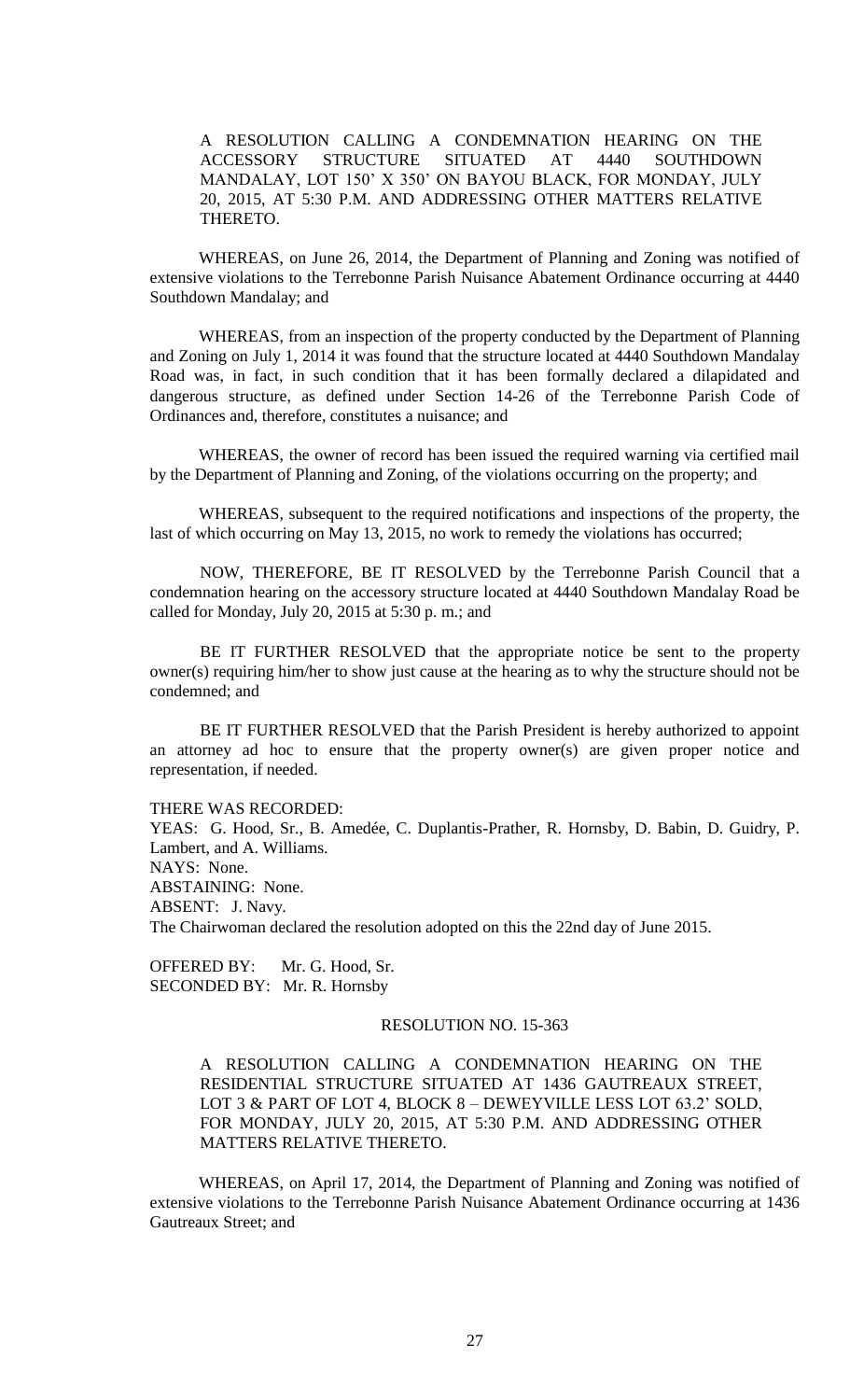A RESOLUTION CALLING A CONDEMNATION HEARING ON THE ACCESSORY STRUCTURE SITUATED AT 4440 SOUTHDOWN MANDALAY, LOT 150' X 350' ON BAYOU BLACK, FOR MONDAY, JULY 20, 2015, AT 5:30 P.M. AND ADDRESSING OTHER MATTERS RELATIVE THERETO.

WHEREAS, on June 26, 2014, the Department of Planning and Zoning was notified of extensive violations to the Terrebonne Parish Nuisance Abatement Ordinance occurring at 4440 Southdown Mandalay; and

WHEREAS, from an inspection of the property conducted by the Department of Planning and Zoning on July 1, 2014 it was found that the structure located at 4440 Southdown Mandalay Road was, in fact, in such condition that it has been formally declared a dilapidated and dangerous structure, as defined under Section 14-26 of the Terrebonne Parish Code of Ordinances and, therefore, constitutes a nuisance; and

WHEREAS, the owner of record has been issued the required warning via certified mail by the Department of Planning and Zoning, of the violations occurring on the property; and

WHEREAS, subsequent to the required notifications and inspections of the property, the last of which occurring on May 13, 2015, no work to remedy the violations has occurred;

NOW, THEREFORE, BE IT RESOLVED by the Terrebonne Parish Council that a condemnation hearing on the accessory structure located at 4440 Southdown Mandalay Road be called for Monday, July 20, 2015 at 5:30 p. m.; and

BE IT FURTHER RESOLVED that the appropriate notice be sent to the property owner(s) requiring him/her to show just cause at the hearing as to why the structure should not be condemned; and

BE IT FURTHER RESOLVED that the Parish President is hereby authorized to appoint an attorney ad hoc to ensure that the property owner(s) are given proper notice and representation, if needed.

THERE WAS RECORDED:

YEAS: G. Hood, Sr., B. Amedée, C. Duplantis-Prather, R. Hornsby, D. Babin, D. Guidry, P. Lambert, and A. Williams. NAYS: None. ABSTAINING: None. ABSENT: J. Navy. The Chairwoman declared the resolution adopted on this the 22nd day of June 2015.

OFFERED BY: Mr. G. Hood, Sr. SECONDED BY: Mr. R. Hornsby

## RESOLUTION NO. 15-363

A RESOLUTION CALLING A CONDEMNATION HEARING ON THE RESIDENTIAL STRUCTURE SITUATED AT 1436 GAUTREAUX STREET, LOT 3 & PART OF LOT 4, BLOCK 8 – DEWEYVILLE LESS LOT 63.2' SOLD, FOR MONDAY, JULY 20, 2015, AT 5:30 P.M. AND ADDRESSING OTHER MATTERS RELATIVE THERETO.

WHEREAS, on April 17, 2014, the Department of Planning and Zoning was notified of extensive violations to the Terrebonne Parish Nuisance Abatement Ordinance occurring at 1436 Gautreaux Street; and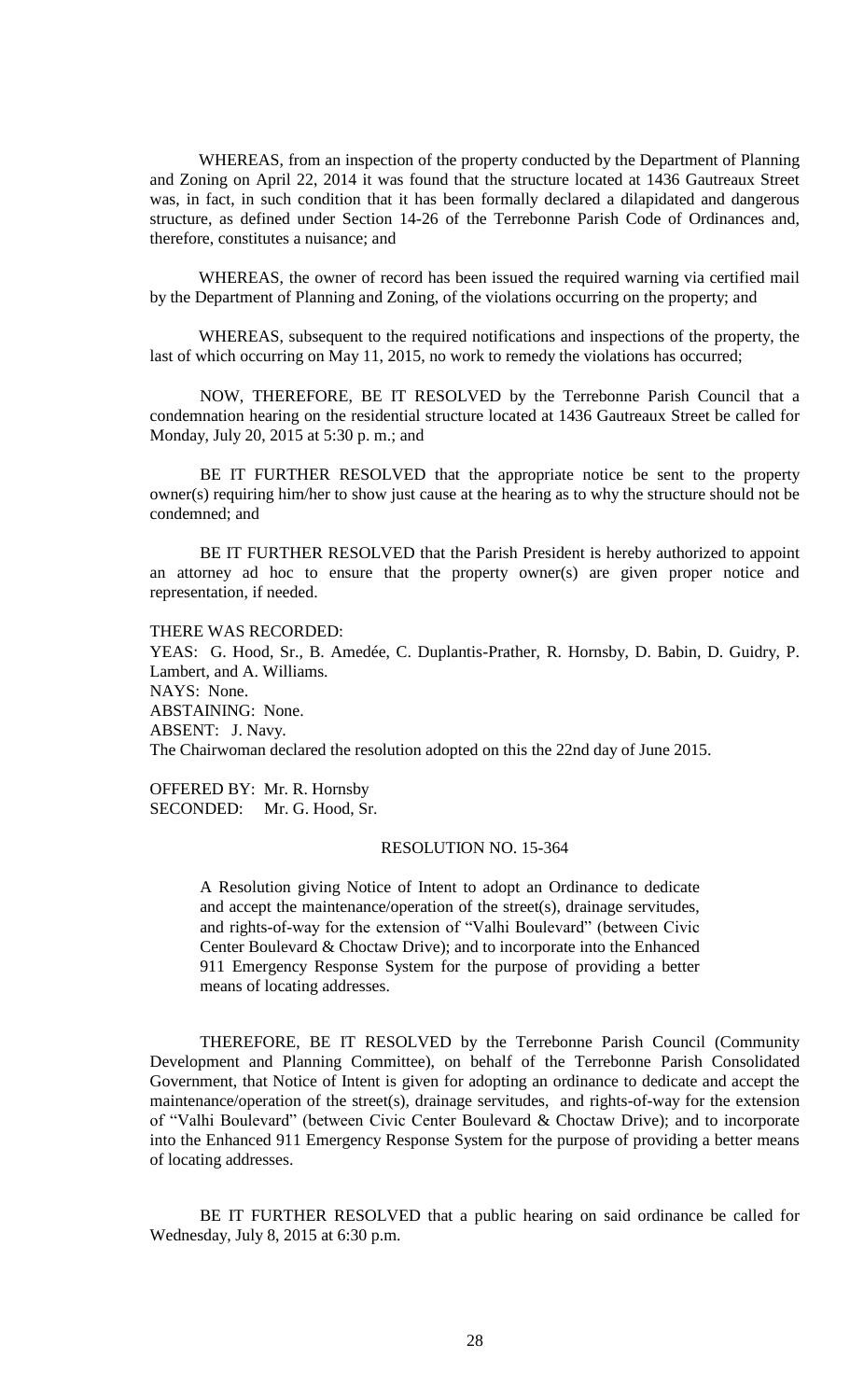WHEREAS, from an inspection of the property conducted by the Department of Planning and Zoning on April 22, 2014 it was found that the structure located at 1436 Gautreaux Street was, in fact, in such condition that it has been formally declared a dilapidated and dangerous structure, as defined under Section 14-26 of the Terrebonne Parish Code of Ordinances and, therefore, constitutes a nuisance; and

WHEREAS, the owner of record has been issued the required warning via certified mail by the Department of Planning and Zoning, of the violations occurring on the property; and

WHEREAS, subsequent to the required notifications and inspections of the property, the last of which occurring on May 11, 2015, no work to remedy the violations has occurred;

NOW, THEREFORE, BE IT RESOLVED by the Terrebonne Parish Council that a condemnation hearing on the residential structure located at 1436 Gautreaux Street be called for Monday, July 20, 2015 at 5:30 p. m.; and

BE IT FURTHER RESOLVED that the appropriate notice be sent to the property owner(s) requiring him/her to show just cause at the hearing as to why the structure should not be condemned; and

BE IT FURTHER RESOLVED that the Parish President is hereby authorized to appoint an attorney ad hoc to ensure that the property owner(s) are given proper notice and representation, if needed.

THERE WAS RECORDED:

YEAS: G. Hood, Sr., B. Amedée, C. Duplantis-Prather, R. Hornsby, D. Babin, D. Guidry, P. Lambert, and A. Williams. NAYS: None. ABSTAINING: None. ABSENT: J. Navy. The Chairwoman declared the resolution adopted on this the 22nd day of June 2015.

OFFERED BY: Mr. R. Hornsby SECONDED: Mr. G. Hood, Sr.

# RESOLUTION NO. 15-364

A Resolution giving Notice of Intent to adopt an Ordinance to dedicate and accept the maintenance/operation of the street(s), drainage servitudes, and rights-of-way for the extension of "Valhi Boulevard" (between Civic Center Boulevard & Choctaw Drive); and to incorporate into the Enhanced 911 Emergency Response System for the purpose of providing a better means of locating addresses.

THEREFORE, BE IT RESOLVED by the Terrebonne Parish Council (Community Development and Planning Committee), on behalf of the Terrebonne Parish Consolidated Government, that Notice of Intent is given for adopting an ordinance to dedicate and accept the maintenance/operation of the street(s), drainage servitudes, and rights-of-way for the extension of "Valhi Boulevard" (between Civic Center Boulevard & Choctaw Drive); and to incorporate into the Enhanced 911 Emergency Response System for the purpose of providing a better means of locating addresses.

BE IT FURTHER RESOLVED that a public hearing on said ordinance be called for Wednesday, July 8, 2015 at 6:30 p.m.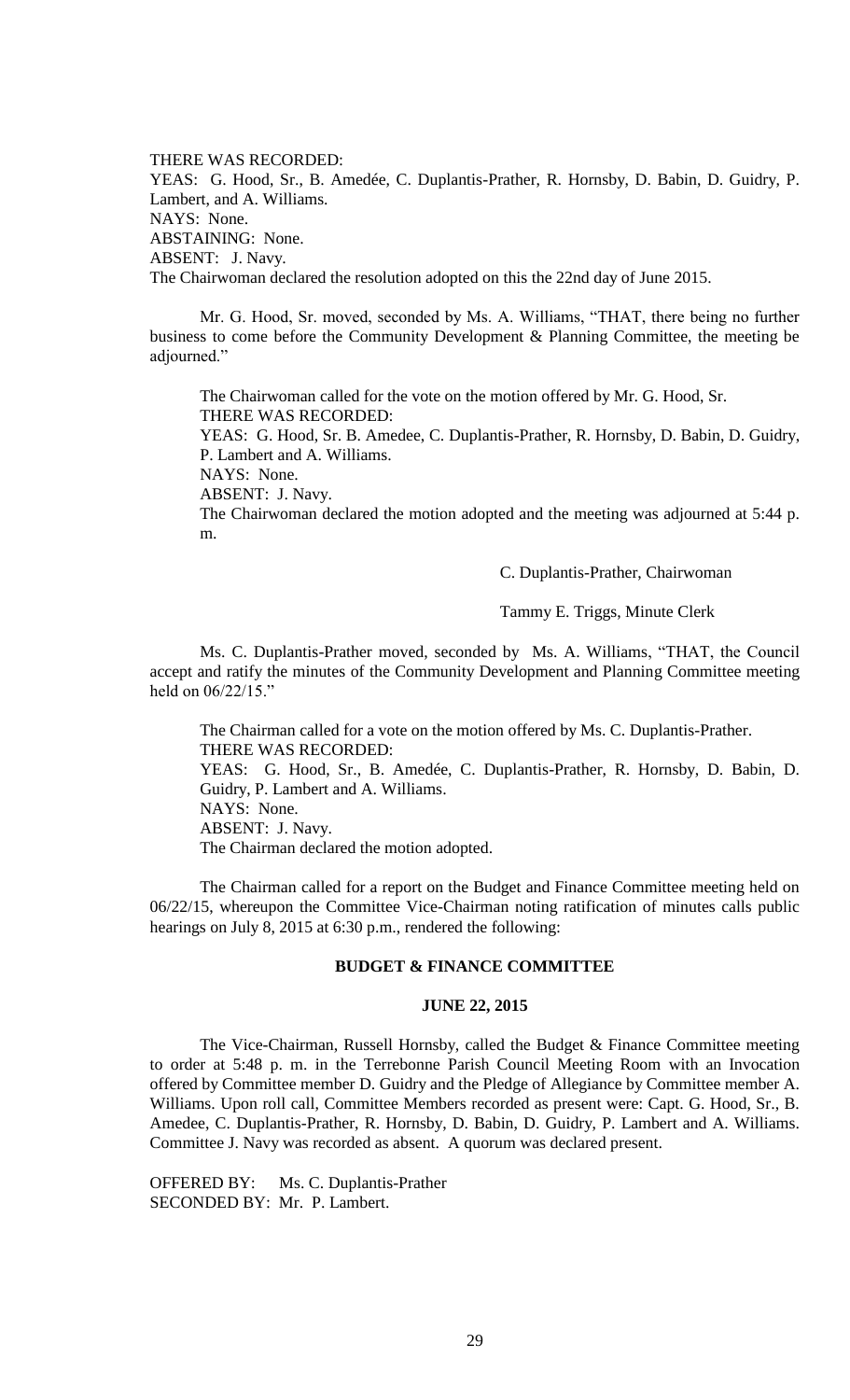THERE WAS RECORDED: YEAS: G. Hood, Sr., B. Amedée, C. Duplantis-Prather, R. Hornsby, D. Babin, D. Guidry, P. Lambert, and A. Williams. NAYS: None. ABSTAINING: None. ABSENT: J. Navy. The Chairwoman declared the resolution adopted on this the 22nd day of June 2015.

Mr. G. Hood, Sr. moved, seconded by Ms. A. Williams, "THAT, there being no further business to come before the Community Development & Planning Committee, the meeting be adjourned."

The Chairwoman called for the vote on the motion offered by Mr. G. Hood, Sr. THERE WAS RECORDED:

YEAS: G. Hood, Sr. B. Amedee, C. Duplantis-Prather, R. Hornsby, D. Babin, D. Guidry, P. Lambert and A. Williams.

NAYS: None.

ABSENT: J. Navy.

The Chairwoman declared the motion adopted and the meeting was adjourned at 5:44 p. m.

C. Duplantis-Prather, Chairwoman

Tammy E. Triggs, Minute Clerk

Ms. C. Duplantis-Prather moved, seconded by Ms. A. Williams, "THAT, the Council accept and ratify the minutes of the Community Development and Planning Committee meeting held on 06/22/15."

The Chairman called for a vote on the motion offered by Ms. C. Duplantis-Prather. THERE WAS RECORDED: YEAS: G. Hood, Sr., B. Amedée, C. Duplantis-Prather, R. Hornsby, D. Babin, D. Guidry, P. Lambert and A. Williams. NAYS: None. ABSENT: J. Navy. The Chairman declared the motion adopted.

The Chairman called for a report on the Budget and Finance Committee meeting held on 06/22/15, whereupon the Committee Vice-Chairman noting ratification of minutes calls public hearings on July 8, 2015 at 6:30 p.m., rendered the following:

## **BUDGET & FINANCE COMMITTEE**

#### **JUNE 22, 2015**

The Vice-Chairman, Russell Hornsby, called the Budget & Finance Committee meeting to order at 5:48 p. m. in the Terrebonne Parish Council Meeting Room with an Invocation offered by Committee member D. Guidry and the Pledge of Allegiance by Committee member A. Williams. Upon roll call, Committee Members recorded as present were: Capt. G. Hood, Sr., B. Amedee, C. Duplantis-Prather, R. Hornsby, D. Babin, D. Guidry, P. Lambert and A. Williams. Committee J. Navy was recorded as absent. A quorum was declared present.

OFFERED BY: Ms. C. Duplantis-Prather SECONDED BY: Mr. P. Lambert.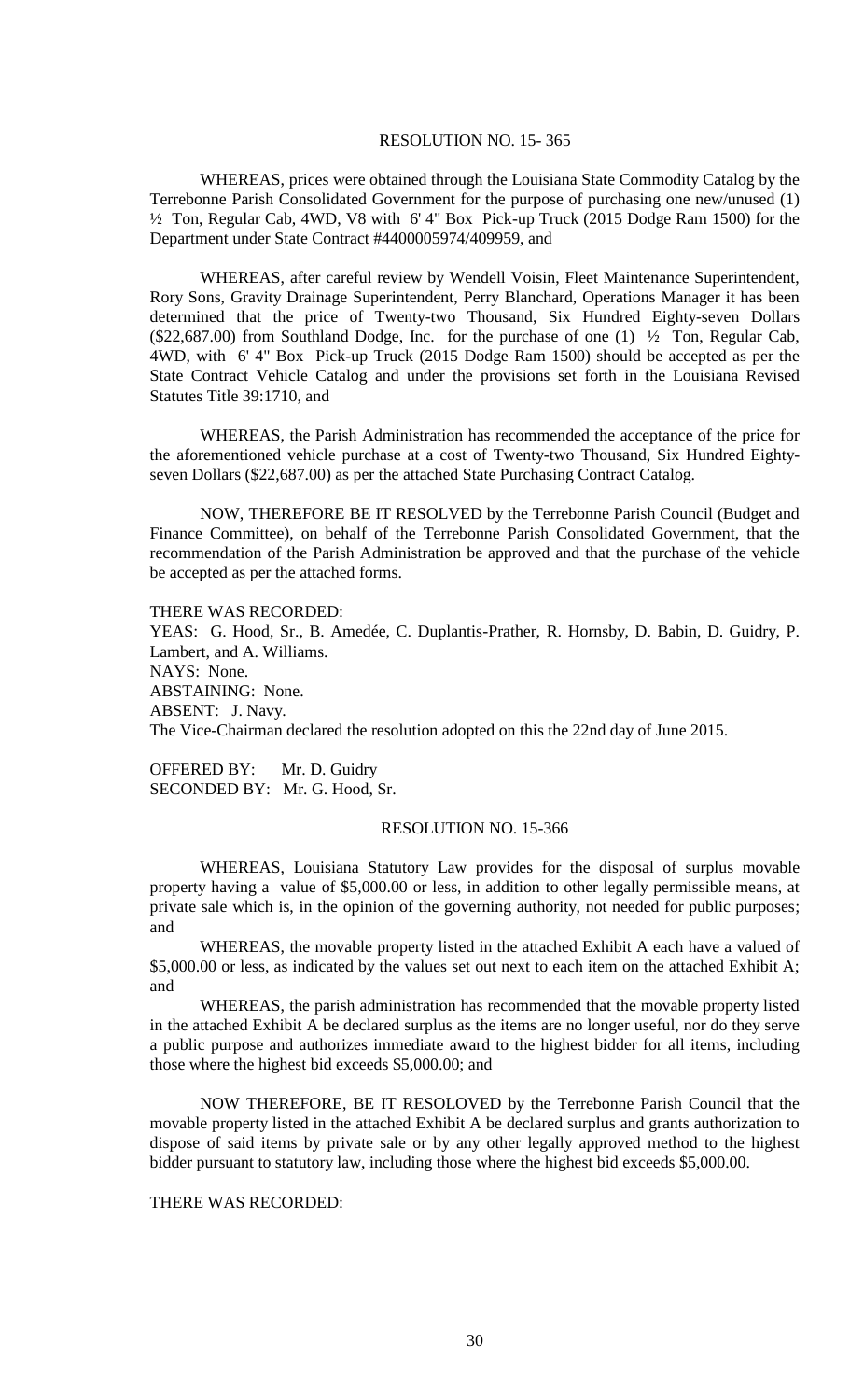#### RESOLUTION NO. 15- 365

WHEREAS, prices were obtained through the Louisiana State Commodity Catalog by the Terrebonne Parish Consolidated Government for the purpose of purchasing one new/unused (1) ½ Ton, Regular Cab, 4WD, V8 with 6' 4" Box Pick-up Truck (2015 Dodge Ram 1500) for the Department under State Contract #4400005974/409959, and

WHEREAS, after careful review by Wendell Voisin, Fleet Maintenance Superintendent, Rory Sons, Gravity Drainage Superintendent, Perry Blanchard, Operations Manager it has been determined that the price of Twenty-two Thousand, Six Hundred Eighty-seven Dollars (\$22,687.00) from Southland Dodge, Inc. for the purchase of one (1) ½ Ton, Regular Cab, 4WD, with 6' 4" Box Pick-up Truck (2015 Dodge Ram 1500) should be accepted as per the State Contract Vehicle Catalog and under the provisions set forth in the Louisiana Revised Statutes Title 39:1710, and

WHEREAS, the Parish Administration has recommended the acceptance of the price for the aforementioned vehicle purchase at a cost of Twenty-two Thousand, Six Hundred Eightyseven Dollars (\$22,687.00) as per the attached State Purchasing Contract Catalog.

NOW, THEREFORE BE IT RESOLVED by the Terrebonne Parish Council (Budget and Finance Committee), on behalf of the Terrebonne Parish Consolidated Government, that the recommendation of the Parish Administration be approved and that the purchase of the vehicle be accepted as per the attached forms.

THERE WAS RECORDED:

YEAS: G. Hood, Sr., B. Amedée, C. Duplantis-Prather, R. Hornsby, D. Babin, D. Guidry, P. Lambert, and A. Williams. NAYS: None. ABSTAINING: None. ABSENT: J. Navy. The Vice-Chairman declared the resolution adopted on this the 22nd day of June 2015.

OFFERED BY: Mr. D. Guidry SECONDED BY: Mr. G. Hood, Sr.

## RESOLUTION NO. 15-366

WHEREAS, Louisiana Statutory Law provides for the disposal of surplus movable property having a value of \$5,000.00 or less, in addition to other legally permissible means, at private sale which is, in the opinion of the governing authority, not needed for public purposes; and

WHEREAS, the movable property listed in the attached Exhibit A each have a valued of \$5,000.00 or less, as indicated by the values set out next to each item on the attached Exhibit A; and

WHEREAS, the parish administration has recommended that the movable property listed in the attached Exhibit A be declared surplus as the items are no longer useful, nor do they serve a public purpose and authorizes immediate award to the highest bidder for all items, including those where the highest bid exceeds \$5,000.00; and

NOW THEREFORE, BE IT RESOLOVED by the Terrebonne Parish Council that the movable property listed in the attached Exhibit A be declared surplus and grants authorization to dispose of said items by private sale or by any other legally approved method to the highest bidder pursuant to statutory law, including those where the highest bid exceeds \$5,000.00.

# THERE WAS RECORDED: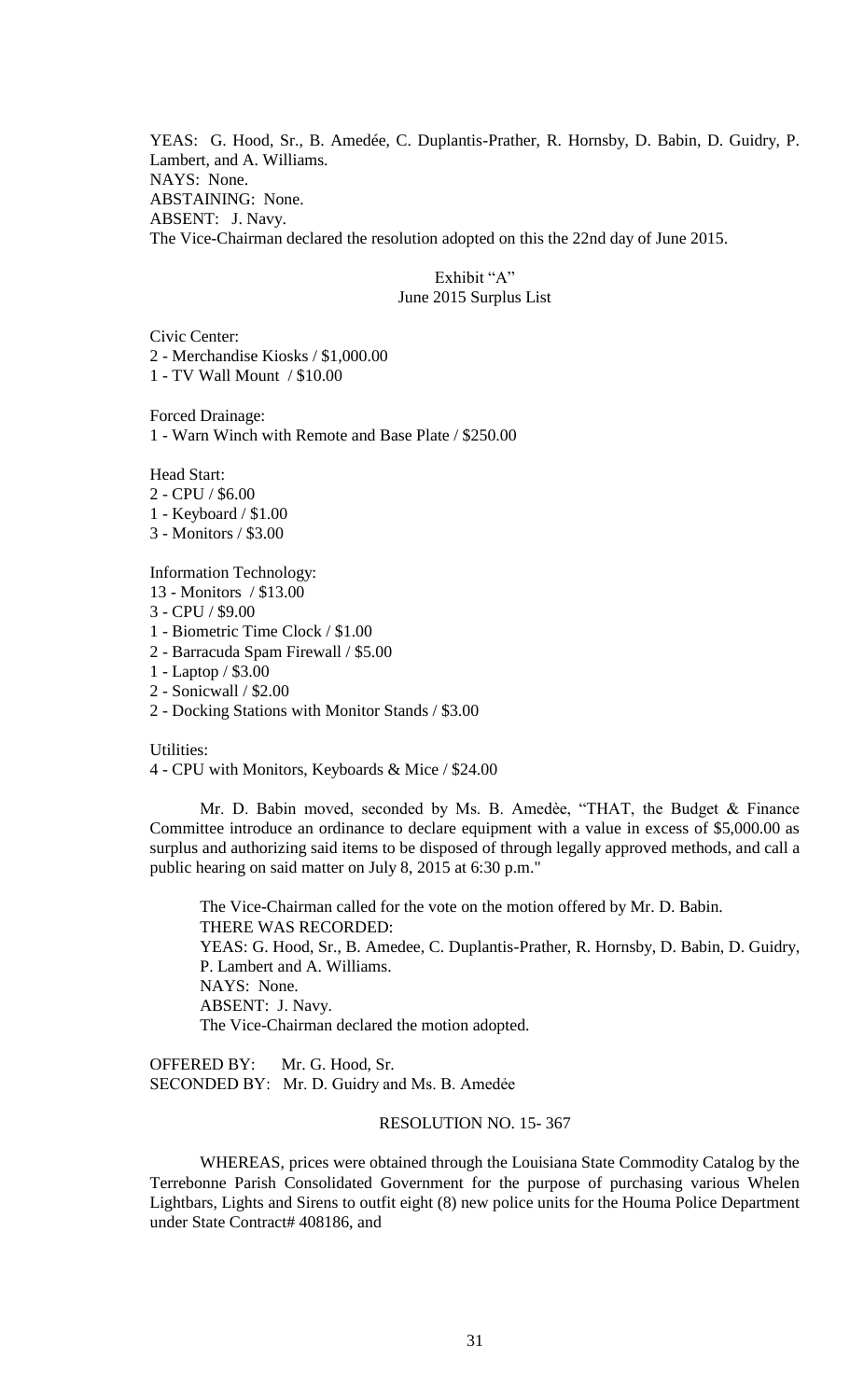YEAS: G. Hood, Sr., B. Amedée, C. Duplantis-Prather, R. Hornsby, D. Babin, D. Guidry, P. Lambert, and A. Williams. NAYS: None. ABSTAINING: None. ABSENT: J. Navy. The Vice-Chairman declared the resolution adopted on this the 22nd day of June 2015.

> Exhibit "A" June 2015 Surplus List

Civic Center: 2 - Merchandise Kiosks / \$1,000.00 1 - TV Wall Mount / \$10.00

Forced Drainage:

1 - Warn Winch with Remote and Base Plate / \$250.00

Head Start:

- 2 CPU / \$6.00
- 1 Keyboard / \$1.00
- 3 Monitors / \$3.00

Information Technology:

- 13 Monitors / \$13.00
- 3 CPU / \$9.00
- 1 Biometric Time Clock / \$1.00
- 2 Barracuda Spam Firewall / \$5.00
- 1 Laptop / \$3.00
- 2 Sonicwall / \$2.00
- 2 Docking Stations with Monitor Stands / \$3.00

Utilities:

4 - CPU with Monitors, Keyboards & Mice / \$24.00

Mr. D. Babin moved, seconded by Ms. B. Amedèe, "THAT, the Budget & Finance Committee introduce an ordinance to declare equipment with a value in excess of \$5,000.00 as surplus and authorizing said items to be disposed of through legally approved methods, and call a public hearing on said matter on July 8, 2015 at 6:30 p.m."

The Vice-Chairman called for the vote on the motion offered by Mr. D. Babin. THERE WAS RECORDED: YEAS: G. Hood, Sr., B. Amedee, C. Duplantis-Prather, R. Hornsby, D. Babin, D. Guidry, P. Lambert and A. Williams. NAYS: None. ABSENT: J. Navy. The Vice-Chairman declared the motion adopted.

OFFERED BY: Mr. G. Hood, Sr. SECONDED BY: Mr. D. Guidry and Ms. B. Amedée

# RESOLUTION NO. 15- 367

WHEREAS, prices were obtained through the Louisiana State Commodity Catalog by the Terrebonne Parish Consolidated Government for the purpose of purchasing various Whelen Lightbars, Lights and Sirens to outfit eight (8) new police units for the Houma Police Department under State Contract# 408186, and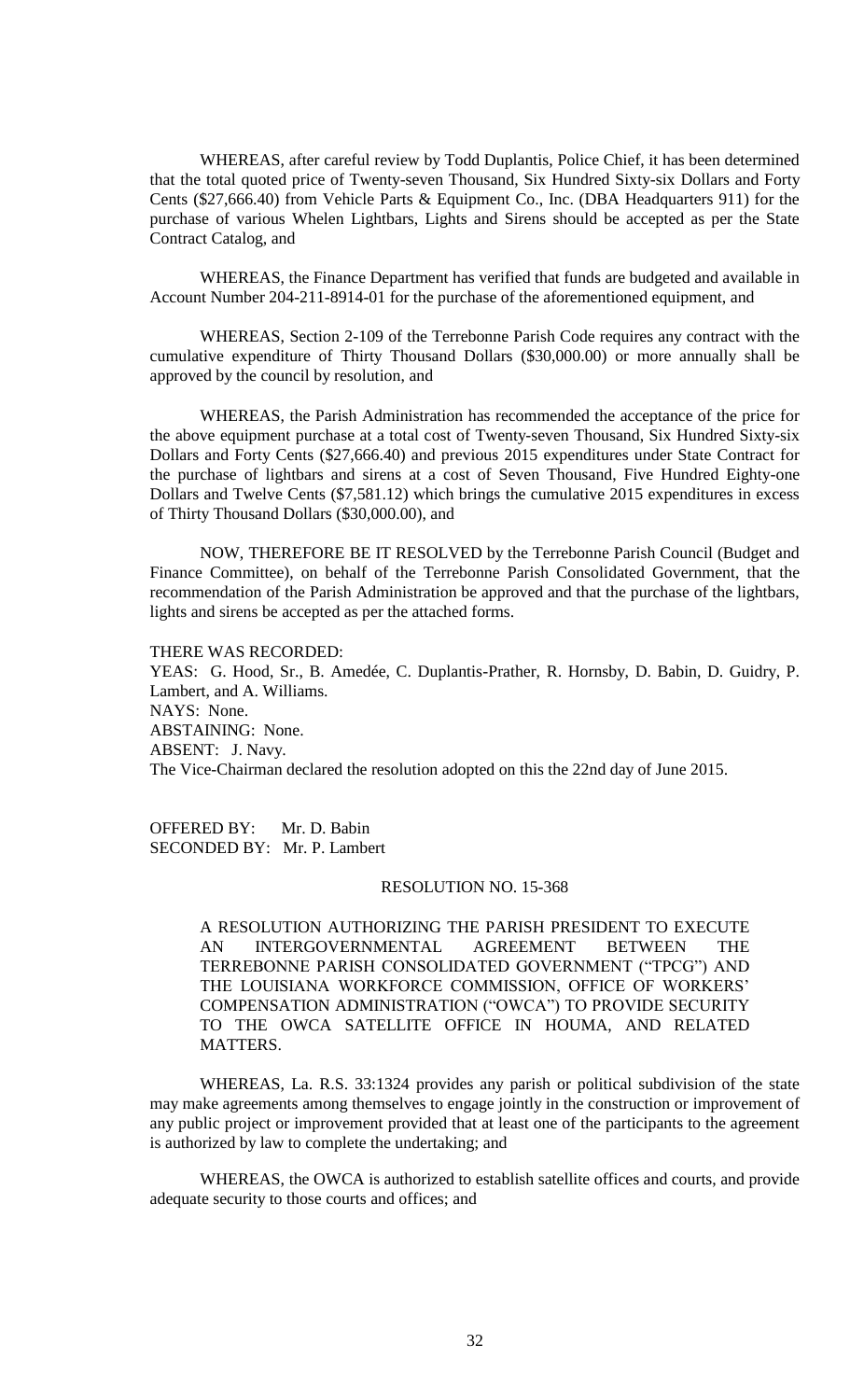WHEREAS, after careful review by Todd Duplantis, Police Chief, it has been determined that the total quoted price of Twenty-seven Thousand, Six Hundred Sixty-six Dollars and Forty Cents (\$27,666.40) from Vehicle Parts & Equipment Co., Inc. (DBA Headquarters 911) for the purchase of various Whelen Lightbars, Lights and Sirens should be accepted as per the State Contract Catalog, and

WHEREAS, the Finance Department has verified that funds are budgeted and available in Account Number 204-211-8914-01 for the purchase of the aforementioned equipment, and

WHEREAS, Section 2-109 of the Terrebonne Parish Code requires any contract with the cumulative expenditure of Thirty Thousand Dollars (\$30,000.00) or more annually shall be approved by the council by resolution, and

WHEREAS, the Parish Administration has recommended the acceptance of the price for the above equipment purchase at a total cost of Twenty-seven Thousand, Six Hundred Sixty-six Dollars and Forty Cents (\$27,666.40) and previous 2015 expenditures under State Contract for the purchase of lightbars and sirens at a cost of Seven Thousand, Five Hundred Eighty-one Dollars and Twelve Cents (\$7,581.12) which brings the cumulative 2015 expenditures in excess of Thirty Thousand Dollars (\$30,000.00), and

NOW, THEREFORE BE IT RESOLVED by the Terrebonne Parish Council (Budget and Finance Committee), on behalf of the Terrebonne Parish Consolidated Government, that the recommendation of the Parish Administration be approved and that the purchase of the lightbars, lights and sirens be accepted as per the attached forms.

THERE WAS RECORDED: YEAS: G. Hood, Sr., B. Amedée, C. Duplantis-Prather, R. Hornsby, D. Babin, D. Guidry, P. Lambert, and A. Williams. NAYS: None. ABSTAINING: None. ABSENT: J. Navy. The Vice-Chairman declared the resolution adopted on this the 22nd day of June 2015.

OFFERED BY: Mr. D. Babin SECONDED BY: Mr. P. Lambert

# RESOLUTION NO. 15-368

A RESOLUTION AUTHORIZING THE PARISH PRESIDENT TO EXECUTE AN INTERGOVERNMENTAL AGREEMENT BETWEEN THE TERREBONNE PARISH CONSOLIDATED GOVERNMENT ("TPCG") AND THE LOUISIANA WORKFORCE COMMISSION, OFFICE OF WORKERS' COMPENSATION ADMINISTRATION ("OWCA") TO PROVIDE SECURITY TO THE OWCA SATELLITE OFFICE IN HOUMA, AND RELATED MATTERS.

WHEREAS, La. R.S. 33:1324 provides any parish or political subdivision of the state may make agreements among themselves to engage jointly in the construction or improvement of any public project or improvement provided that at least one of the participants to the agreement is authorized by law to complete the undertaking; and

WHEREAS, the OWCA is authorized to establish satellite offices and courts, and provide adequate security to those courts and offices; and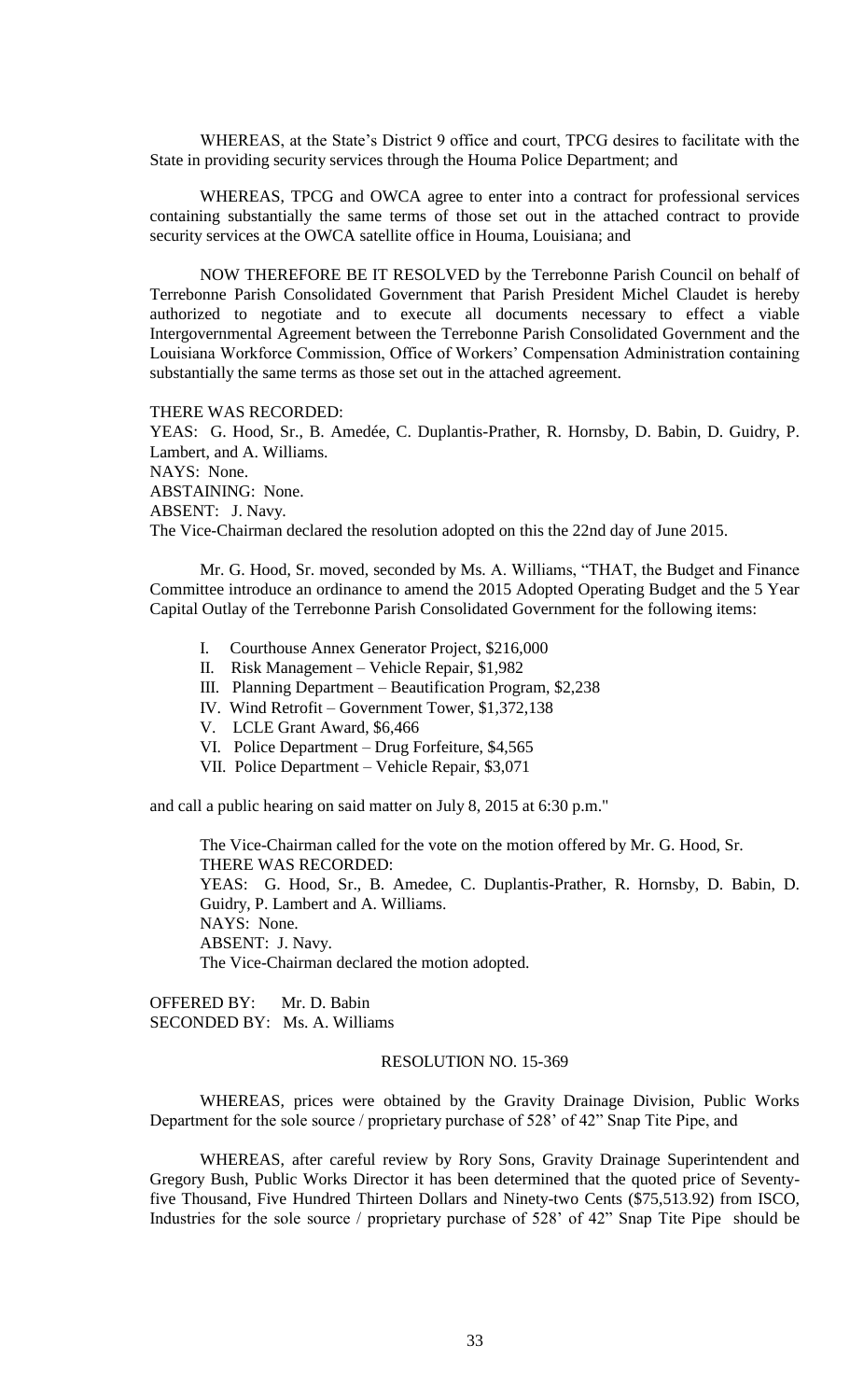WHEREAS, at the State's District 9 office and court, TPCG desires to facilitate with the State in providing security services through the Houma Police Department; and

WHEREAS, TPCG and OWCA agree to enter into a contract for professional services containing substantially the same terms of those set out in the attached contract to provide security services at the OWCA satellite office in Houma, Louisiana; and

NOW THEREFORE BE IT RESOLVED by the Terrebonne Parish Council on behalf of Terrebonne Parish Consolidated Government that Parish President Michel Claudet is hereby authorized to negotiate and to execute all documents necessary to effect a viable Intergovernmental Agreement between the Terrebonne Parish Consolidated Government and the Louisiana Workforce Commission, Office of Workers' Compensation Administration containing substantially the same terms as those set out in the attached agreement.

THERE WAS RECORDED:

YEAS: G. Hood, Sr., B. Amedée, C. Duplantis-Prather, R. Hornsby, D. Babin, D. Guidry, P. Lambert, and A. Williams. NAYS: None. ABSTAINING: None. ABSENT: J. Navy. The Vice-Chairman declared the resolution adopted on this the 22nd day of June 2015.

Mr. G. Hood, Sr. moved, seconded by Ms. A. Williams, "THAT, the Budget and Finance Committee introduce an ordinance to amend the 2015 Adopted Operating Budget and the 5 Year Capital Outlay of the Terrebonne Parish Consolidated Government for the following items:

- I. Courthouse Annex Generator Project, \$216,000
- II. Risk Management Vehicle Repair, \$1,982
- III. Planning Department Beautification Program, \$2,238
- IV. Wind Retrofit Government Tower, \$1,372,138
- V. LCLE Grant Award, \$6,466
- VI. Police Department Drug Forfeiture, \$4,565
- VII. Police Department Vehicle Repair, \$3,071

and call a public hearing on said matter on July 8, 2015 at 6:30 p.m."

The Vice-Chairman called for the vote on the motion offered by Mr. G. Hood, Sr. THERE WAS RECORDED: YEAS: G. Hood, Sr., B. Amedee, C. Duplantis-Prather, R. Hornsby, D. Babin, D. Guidry, P. Lambert and A. Williams. NAYS: None. ABSENT: J. Navy. The Vice-Chairman declared the motion adopted.

OFFERED BY: Mr. D. Babin SECONDED BY: Ms. A. Williams

#### RESOLUTION NO. 15-369

WHEREAS, prices were obtained by the Gravity Drainage Division, Public Works Department for the sole source / proprietary purchase of 528' of 42" Snap Tite Pipe, and

WHEREAS, after careful review by Rory Sons, Gravity Drainage Superintendent and Gregory Bush, Public Works Director it has been determined that the quoted price of Seventyfive Thousand, Five Hundred Thirteen Dollars and Ninety-two Cents (\$75,513.92) from ISCO, Industries for the sole source / proprietary purchase of 528' of 42" Snap Tite Pipe should be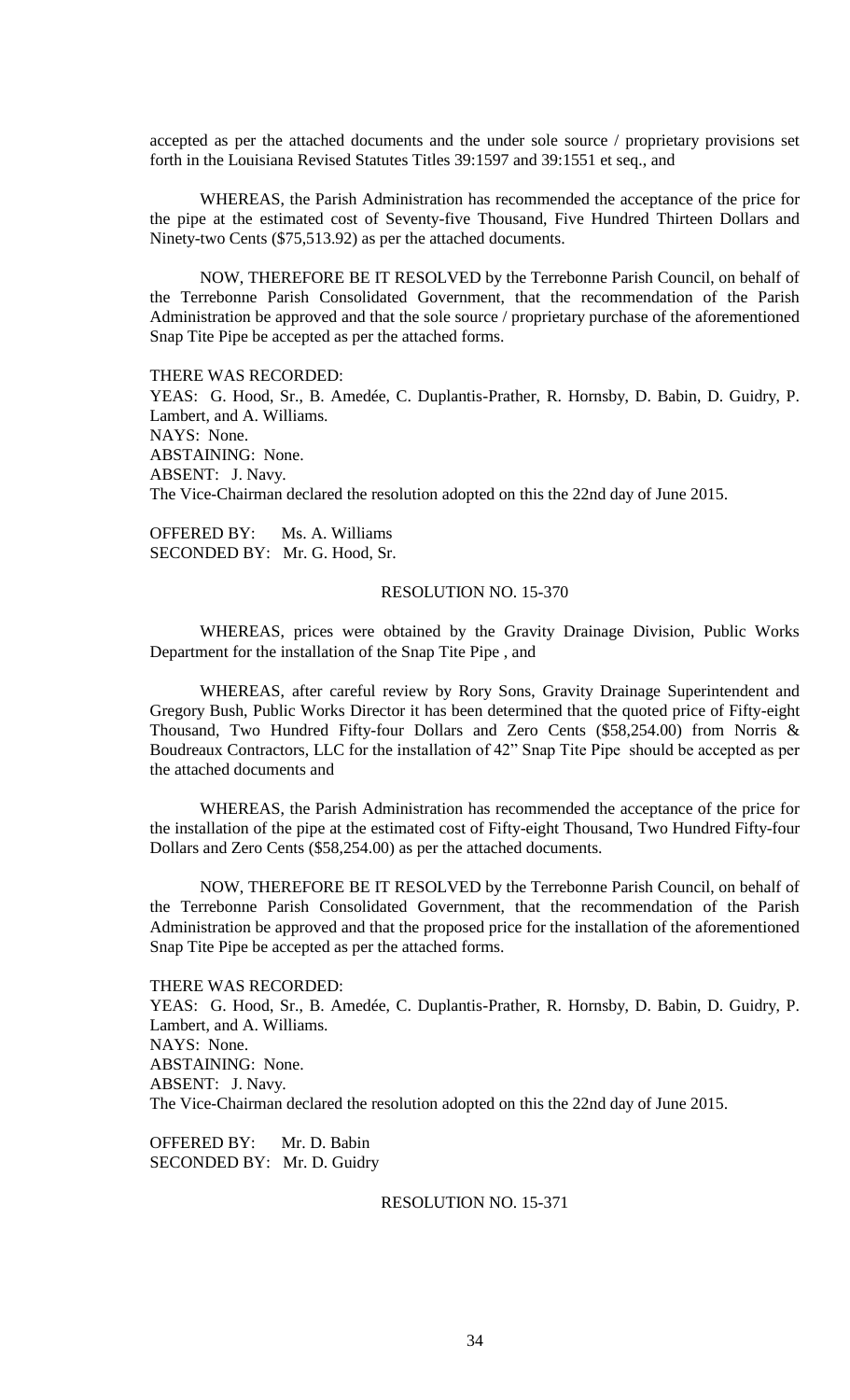accepted as per the attached documents and the under sole source / proprietary provisions set forth in the Louisiana Revised Statutes Titles 39:1597 and 39:1551 et seq., and

WHEREAS, the Parish Administration has recommended the acceptance of the price for the pipe at the estimated cost of Seventy-five Thousand, Five Hundred Thirteen Dollars and Ninety-two Cents (\$75,513.92) as per the attached documents.

NOW, THEREFORE BE IT RESOLVED by the Terrebonne Parish Council, on behalf of the Terrebonne Parish Consolidated Government, that the recommendation of the Parish Administration be approved and that the sole source / proprietary purchase of the aforementioned Snap Tite Pipe be accepted as per the attached forms.

THERE WAS RECORDED:

YEAS: G. Hood, Sr., B. Amedée, C. Duplantis-Prather, R. Hornsby, D. Babin, D. Guidry, P. Lambert, and A. Williams. NAYS: None. ABSTAINING: None. ABSENT: J. Navy. The Vice-Chairman declared the resolution adopted on this the 22nd day of June 2015.

OFFERED BY: Ms. A. Williams SECONDED BY: Mr. G. Hood, Sr.

#### RESOLUTION NO. 15-370

WHEREAS, prices were obtained by the Gravity Drainage Division, Public Works Department for the installation of the Snap Tite Pipe , and

WHEREAS, after careful review by Rory Sons, Gravity Drainage Superintendent and Gregory Bush, Public Works Director it has been determined that the quoted price of Fifty-eight Thousand, Two Hundred Fifty-four Dollars and Zero Cents (\$58,254.00) from Norris & Boudreaux Contractors, LLC for the installation of 42" Snap Tite Pipe should be accepted as per the attached documents and

WHEREAS, the Parish Administration has recommended the acceptance of the price for the installation of the pipe at the estimated cost of Fifty-eight Thousand, Two Hundred Fifty-four Dollars and Zero Cents (\$58,254.00) as per the attached documents.

NOW, THEREFORE BE IT RESOLVED by the Terrebonne Parish Council, on behalf of the Terrebonne Parish Consolidated Government, that the recommendation of the Parish Administration be approved and that the proposed price for the installation of the aforementioned Snap Tite Pipe be accepted as per the attached forms.

THERE WAS RECORDED:

YEAS: G. Hood, Sr., B. Amedée, C. Duplantis-Prather, R. Hornsby, D. Babin, D. Guidry, P. Lambert, and A. Williams. NAYS: None. ABSTAINING: None. ABSENT: J. Navy. The Vice-Chairman declared the resolution adopted on this the 22nd day of June 2015.

OFFERED BY: Mr. D. Babin SECONDED BY: Mr. D. Guidry

# RESOLUTION NO. 15-371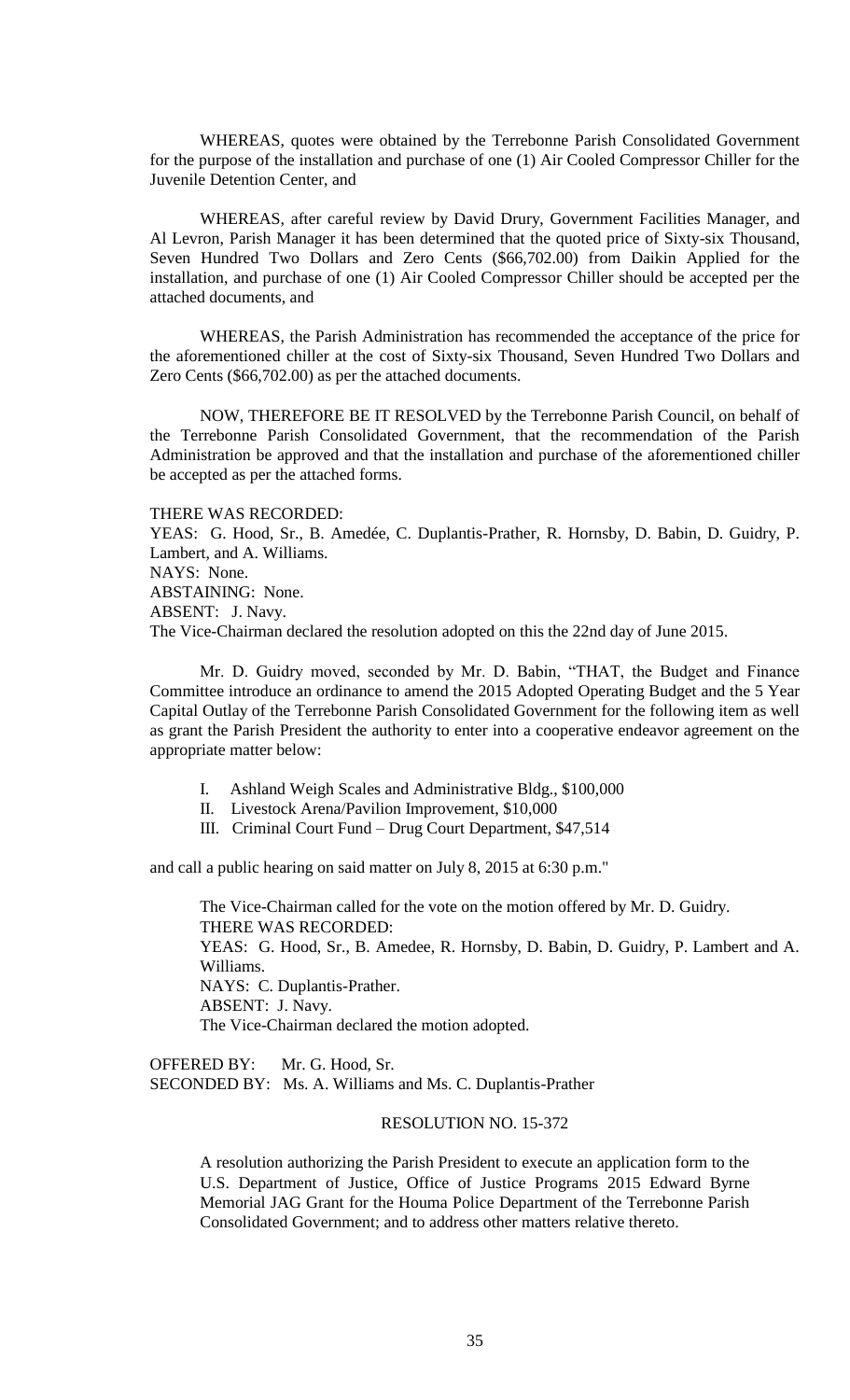WHEREAS, quotes were obtained by the Terrebonne Parish Consolidated Government for the purpose of the installation and purchase of one (1) Air Cooled Compressor Chiller for the Juvenile Detention Center, and

WHEREAS, after careful review by David Drury, Government Facilities Manager, and Al Levron, Parish Manager it has been determined that the quoted price of Sixty-six Thousand, Seven Hundred Two Dollars and Zero Cents (\$66,702.00) from Daikin Applied for the installation, and purchase of one (1) Air Cooled Compressor Chiller should be accepted per the attached documents, and

WHEREAS, the Parish Administration has recommended the acceptance of the price for the aforementioned chiller at the cost of Sixty-six Thousand, Seven Hundred Two Dollars and Zero Cents (\$66,702.00) as per the attached documents.

NOW, THEREFORE BE IT RESOLVED by the Terrebonne Parish Council, on behalf of the Terrebonne Parish Consolidated Government, that the recommendation of the Parish Administration be approved and that the installation and purchase of the aforementioned chiller be accepted as per the attached forms.

#### THERE WAS RECORDED:

YEAS: G. Hood, Sr., B. Amedée, C. Duplantis-Prather, R. Hornsby, D. Babin, D. Guidry, P. Lambert, and A. Williams.

NAYS: None.

ABSTAINING: None.

ABSENT: J. Navy.

The Vice-Chairman declared the resolution adopted on this the 22nd day of June 2015.

Mr. D. Guidry moved, seconded by Mr. D. Babin, "THAT, the Budget and Finance Committee introduce an ordinance to amend the 2015 Adopted Operating Budget and the 5 Year Capital Outlay of the Terrebonne Parish Consolidated Government for the following item as well as grant the Parish President the authority to enter into a cooperative endeavor agreement on the appropriate matter below:

- I. Ashland Weigh Scales and Administrative Bldg., \$100,000
- II. Livestock Arena/Pavilion Improvement, \$10,000
- III. Criminal Court Fund Drug Court Department, \$47,514

and call a public hearing on said matter on July 8, 2015 at 6:30 p.m."

The Vice-Chairman called for the vote on the motion offered by Mr. D. Guidry. THERE WAS RECORDED: YEAS: G. Hood, Sr., B. Amedee, R. Hornsby, D. Babin, D. Guidry, P. Lambert and A. Williams. NAYS: C. Duplantis-Prather. ABSENT: J. Navy. The Vice-Chairman declared the motion adopted.

OFFERED BY: Mr. G. Hood, Sr. SECONDED BY: Ms. A. Williams and Ms. C. Duplantis-Prather

### RESOLUTION NO. 15-372

A resolution authorizing the Parish President to execute an application form to the U.S. Department of Justice, Office of Justice Programs 2015 Edward Byrne Memorial JAG Grant for the Houma Police Department of the Terrebonne Parish Consolidated Government; and to address other matters relative thereto.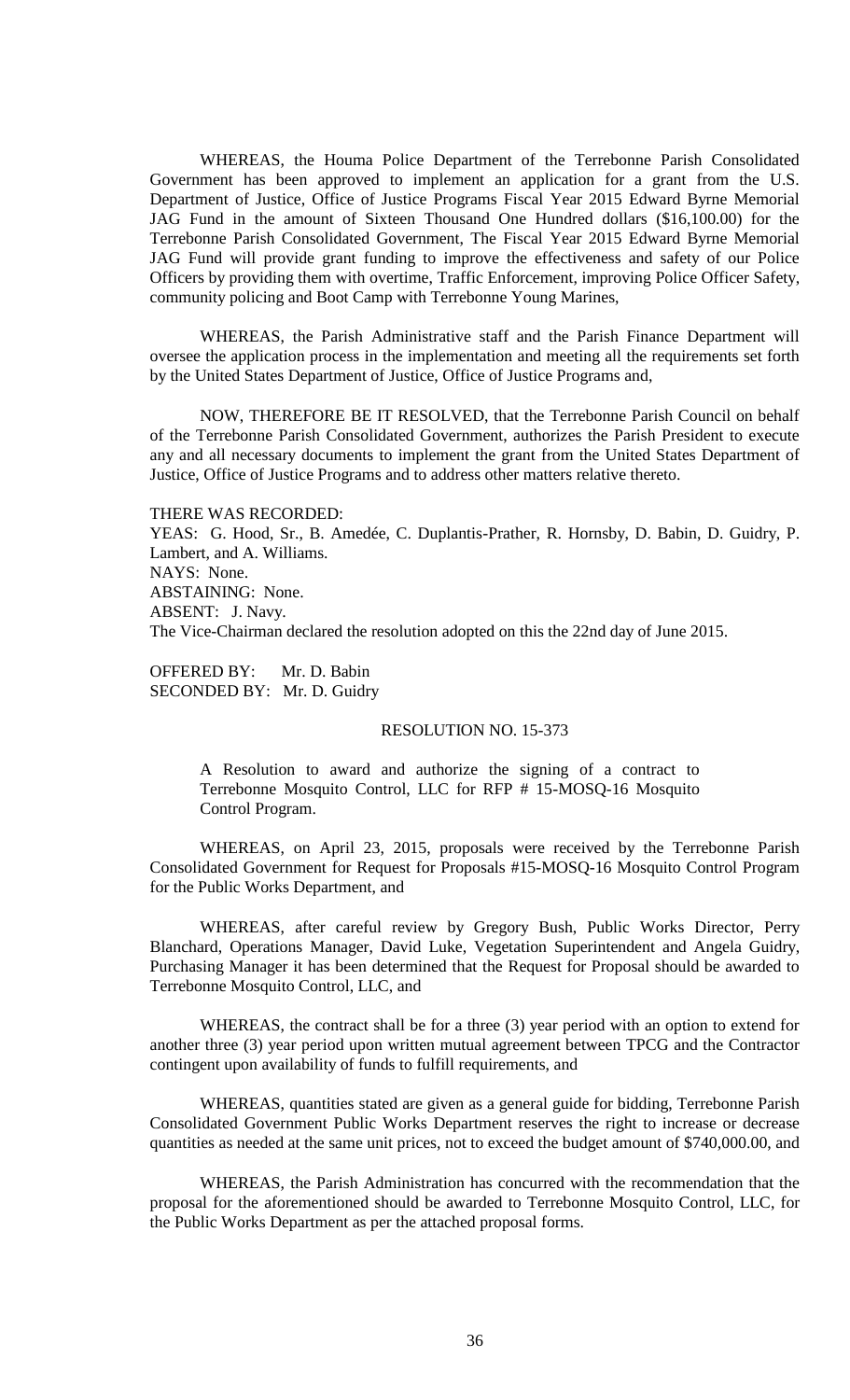WHEREAS, the Houma Police Department of the Terrebonne Parish Consolidated Government has been approved to implement an application for a grant from the U.S. Department of Justice, Office of Justice Programs Fiscal Year 2015 Edward Byrne Memorial JAG Fund in the amount of Sixteen Thousand One Hundred dollars (\$16,100.00) for the Terrebonne Parish Consolidated Government, The Fiscal Year 2015 Edward Byrne Memorial JAG Fund will provide grant funding to improve the effectiveness and safety of our Police Officers by providing them with overtime, Traffic Enforcement, improving Police Officer Safety, community policing and Boot Camp with Terrebonne Young Marines,

WHEREAS, the Parish Administrative staff and the Parish Finance Department will oversee the application process in the implementation and meeting all the requirements set forth by the United States Department of Justice, Office of Justice Programs and,

NOW, THEREFORE BE IT RESOLVED, that the Terrebonne Parish Council on behalf of the Terrebonne Parish Consolidated Government, authorizes the Parish President to execute any and all necessary documents to implement the grant from the United States Department of Justice, Office of Justice Programs and to address other matters relative thereto.

THERE WAS RECORDED:

YEAS: G. Hood, Sr., B. Amedée, C. Duplantis-Prather, R. Hornsby, D. Babin, D. Guidry, P. Lambert, and A. Williams. NAYS: None. ABSTAINING: None. ABSENT: J. Navy. The Vice-Chairman declared the resolution adopted on this the 22nd day of June 2015.

OFFERED BY: Mr. D. Babin SECONDED BY: Mr. D. Guidry

## RESOLUTION NO. 15-373

A Resolution to award and authorize the signing of a contract to Terrebonne Mosquito Control, LLC for RFP # 15-MOSQ-16 Mosquito Control Program.

WHEREAS, on April 23, 2015, proposals were received by the Terrebonne Parish Consolidated Government for Request for Proposals #15-MOSQ-16 Mosquito Control Program for the Public Works Department, and

WHEREAS, after careful review by Gregory Bush, Public Works Director, Perry Blanchard, Operations Manager, David Luke, Vegetation Superintendent and Angela Guidry, Purchasing Manager it has been determined that the Request for Proposal should be awarded to Terrebonne Mosquito Control, LLC, and

WHEREAS, the contract shall be for a three (3) year period with an option to extend for another three (3) year period upon written mutual agreement between TPCG and the Contractor contingent upon availability of funds to fulfill requirements, and

WHEREAS, quantities stated are given as a general guide for bidding, Terrebonne Parish Consolidated Government Public Works Department reserves the right to increase or decrease quantities as needed at the same unit prices, not to exceed the budget amount of \$740,000.00, and

WHEREAS, the Parish Administration has concurred with the recommendation that the proposal for the aforementioned should be awarded to Terrebonne Mosquito Control, LLC, for the Public Works Department as per the attached proposal forms.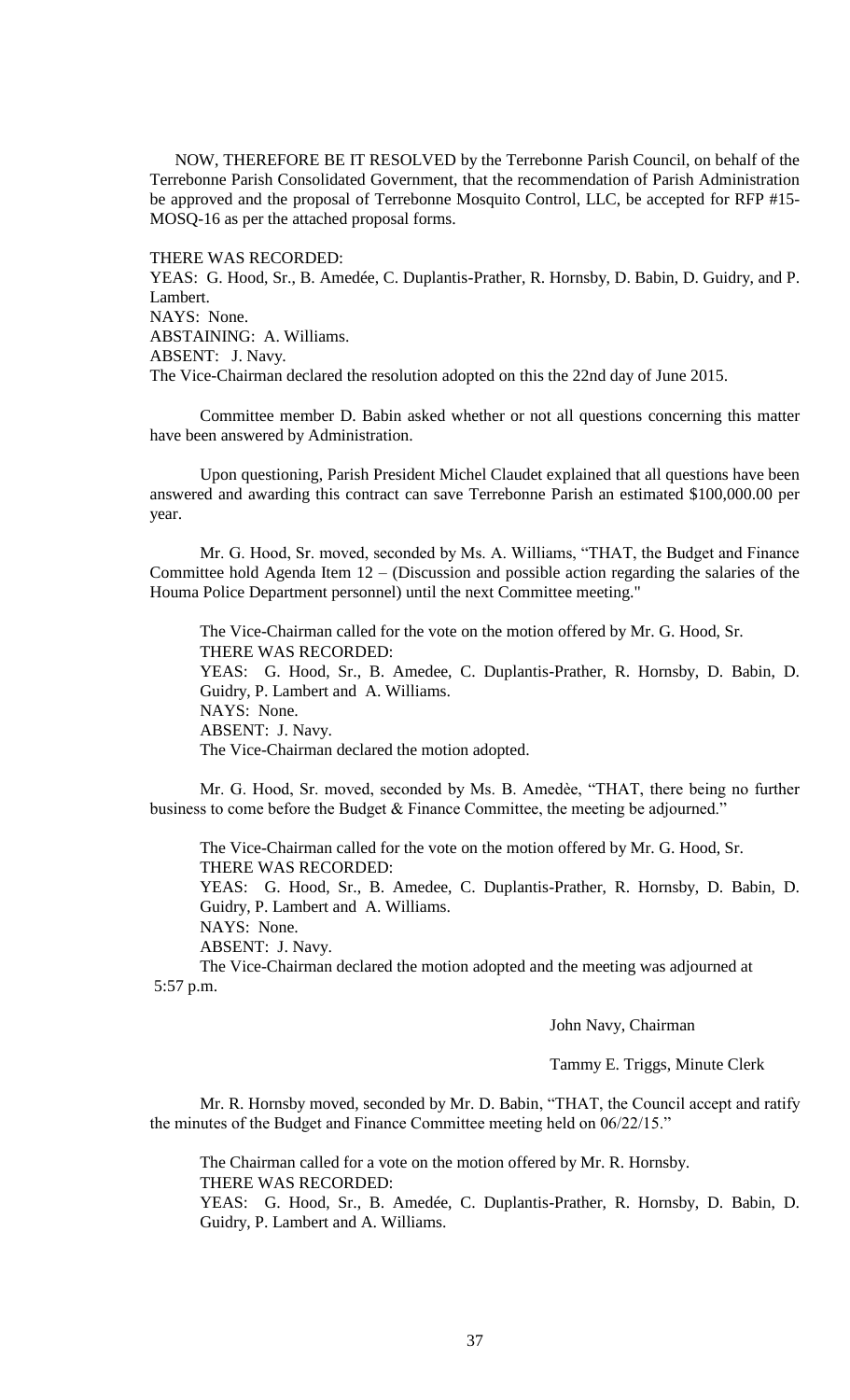NOW, THEREFORE BE IT RESOLVED by the Terrebonne Parish Council, on behalf of the Terrebonne Parish Consolidated Government, that the recommendation of Parish Administration be approved and the proposal of Terrebonne Mosquito Control, LLC, be accepted for RFP #15- MOSQ-16 as per the attached proposal forms.

## THERE WAS RECORDED:

YEAS: G. Hood, Sr., B. Amedée, C. Duplantis-Prather, R. Hornsby, D. Babin, D. Guidry, and P. Lambert. NAYS: None. ABSTAINING: A. Williams. ABSENT: J. Navy. The Vice-Chairman declared the resolution adopted on this the 22nd day of June 2015.

Committee member D. Babin asked whether or not all questions concerning this matter have been answered by Administration.

Upon questioning, Parish President Michel Claudet explained that all questions have been answered and awarding this contract can save Terrebonne Parish an estimated \$100,000.00 per year.

Mr. G. Hood, Sr. moved, seconded by Ms. A. Williams, "THAT, the Budget and Finance Committee hold Agenda Item  $12 - (Discussion and possible action regarding the salaries of the)$ Houma Police Department personnel) until the next Committee meeting."

The Vice-Chairman called for the vote on the motion offered by Mr. G. Hood, Sr. THERE WAS RECORDED: YEAS: G. Hood, Sr., B. Amedee, C. Duplantis-Prather, R. Hornsby, D. Babin, D. Guidry, P. Lambert and A. Williams. NAYS: None. ABSENT: J. Navy. The Vice-Chairman declared the motion adopted.

Mr. G. Hood, Sr. moved, seconded by Ms. B. Amedѐe, "THAT, there being no further business to come before the Budget & Finance Committee, the meeting be adjourned."

The Vice-Chairman called for the vote on the motion offered by Mr. G. Hood, Sr. THERE WAS RECORDED:

YEAS: G. Hood, Sr., B. Amedee, C. Duplantis-Prather, R. Hornsby, D. Babin, D. Guidry, P. Lambert and A. Williams.

NAYS: None.

ABSENT: J. Navy.

The Vice-Chairman declared the motion adopted and the meeting was adjourned at 5:57 p.m.

## John Navy, Chairman

Tammy E. Triggs, Minute Clerk

Mr. R. Hornsby moved, seconded by Mr. D. Babin, "THAT, the Council accept and ratify the minutes of the Budget and Finance Committee meeting held on 06/22/15."

The Chairman called for a vote on the motion offered by Mr. R. Hornsby. THERE WAS RECORDED:

YEAS: G. Hood, Sr., B. Amedée, C. Duplantis-Prather, R. Hornsby, D. Babin, D. Guidry, P. Lambert and A. Williams.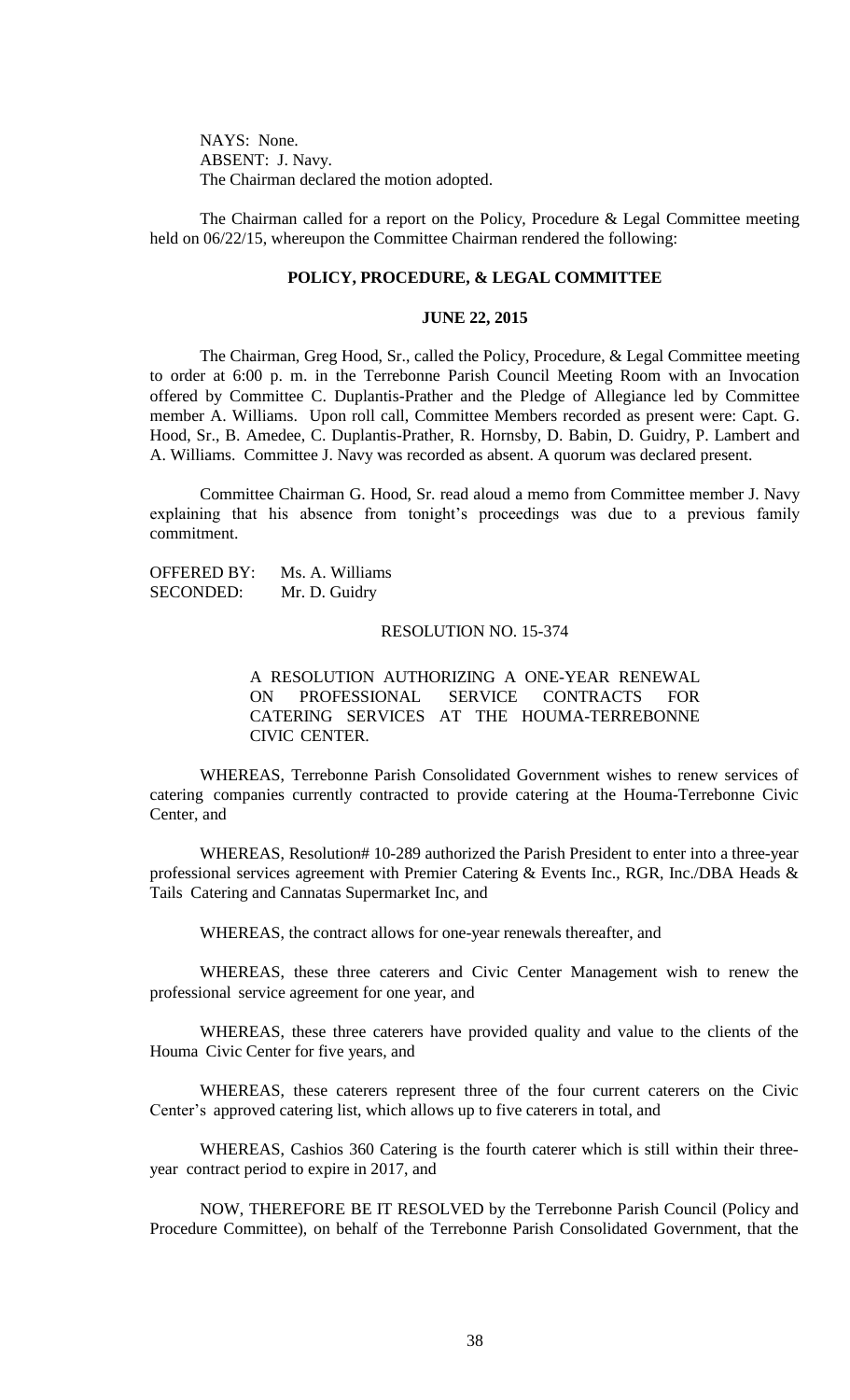NAYS: None. ABSENT: J. Navy. The Chairman declared the motion adopted.

The Chairman called for a report on the Policy, Procedure & Legal Committee meeting held on 06/22/15, whereupon the Committee Chairman rendered the following:

# **POLICY, PROCEDURE, & LEGAL COMMITTEE**

## **JUNE 22, 2015**

The Chairman, Greg Hood, Sr., called the Policy, Procedure, & Legal Committee meeting to order at 6:00 p. m. in the Terrebonne Parish Council Meeting Room with an Invocation offered by Committee C. Duplantis-Prather and the Pledge of Allegiance led by Committee member A. Williams. Upon roll call, Committee Members recorded as present were: Capt. G. Hood, Sr., B. Amedee, C. Duplantis-Prather, R. Hornsby, D. Babin, D. Guidry, P. Lambert and A. Williams. Committee J. Navy was recorded as absent. A quorum was declared present.

Committee Chairman G. Hood, Sr. read aloud a memo from Committee member J. Navy explaining that his absence from tonight's proceedings was due to a previous family commitment.

OFFERED BY: Ms. A. Williams SECONDED: Mr. D. Guidry

#### RESOLUTION NO. 15-374

A RESOLUTION AUTHORIZING A ONE-YEAR RENEWAL ON PROFESSIONAL SERVICE CONTRACTS FOR CATERING SERVICES AT THE HOUMA-TERREBONNE CIVIC CENTER.

WHEREAS, Terrebonne Parish Consolidated Government wishes to renew services of catering companies currently contracted to provide catering at the Houma-Terrebonne Civic Center, and

WHEREAS, Resolution# 10-289 authorized the Parish President to enter into a three-year professional services agreement with Premier Catering & Events Inc., RGR, Inc./DBA Heads & Tails Catering and Cannatas Supermarket Inc, and

WHEREAS, the contract allows for one-year renewals thereafter, and

WHEREAS, these three caterers and Civic Center Management wish to renew the professional service agreement for one year, and

WHEREAS, these three caterers have provided quality and value to the clients of the Houma Civic Center for five years, and

WHEREAS, these caterers represent three of the four current caterers on the Civic Center's approved catering list, which allows up to five caterers in total, and

WHEREAS, Cashios 360 Catering is the fourth caterer which is still within their threeyear contract period to expire in 2017, and

NOW, THEREFORE BE IT RESOLVED by the Terrebonne Parish Council (Policy and Procedure Committee), on behalf of the Terrebonne Parish Consolidated Government, that the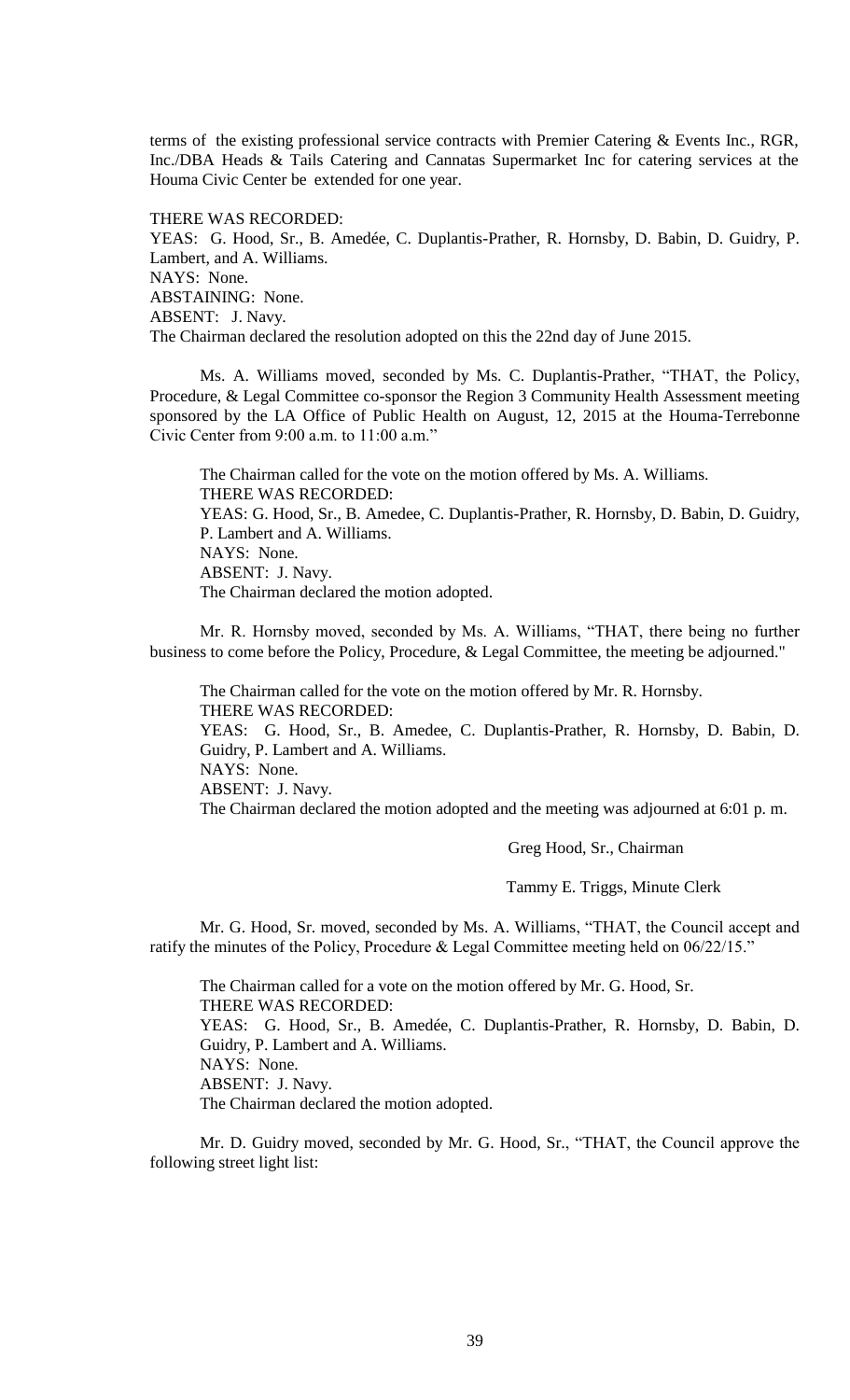terms of the existing professional service contracts with Premier Catering & Events Inc., RGR, Inc./DBA Heads & Tails Catering and Cannatas Supermarket Inc for catering services at the Houma Civic Center be extended for one year.

THERE WAS RECORDED:

YEAS: G. Hood, Sr., B. Amedée, C. Duplantis-Prather, R. Hornsby, D. Babin, D. Guidry, P. Lambert, and A. Williams. NAYS: None. ABSTAINING: None. ABSENT: J. Navy. The Chairman declared the resolution adopted on this the 22nd day of June 2015.

Ms. A. Williams moved, seconded by Ms. C. Duplantis-Prather, "THAT, the Policy, Procedure, & Legal Committee co-sponsor the Region 3 Community Health Assessment meeting sponsored by the LA Office of Public Health on August, 12, 2015 at the Houma-Terrebonne Civic Center from 9:00 a.m. to 11:00 a.m."

The Chairman called for the vote on the motion offered by Ms. A. Williams. THERE WAS RECORDED: YEAS: G. Hood, Sr., B. Amedee, C. Duplantis-Prather, R. Hornsby, D. Babin, D. Guidry, P. Lambert and A. Williams. NAYS: None. ABSENT: J. Navy. The Chairman declared the motion adopted.

Mr. R. Hornsby moved, seconded by Ms. A. Williams, "THAT, there being no further business to come before the Policy, Procedure, & Legal Committee, the meeting be adjourned."

The Chairman called for the vote on the motion offered by Mr. R. Hornsby. THERE WAS RECORDED: YEAS: G. Hood, Sr., B. Amedee, C. Duplantis-Prather, R. Hornsby, D. Babin, D.

Guidry, P. Lambert and A. Williams.

NAYS: None.

ABSENT: J. Navy.

The Chairman declared the motion adopted and the meeting was adjourned at 6:01 p. m.

Greg Hood, Sr., Chairman

Tammy E. Triggs, Minute Clerk

Mr. G. Hood, Sr. moved, seconded by Ms. A. Williams, "THAT, the Council accept and ratify the minutes of the Policy, Procedure & Legal Committee meeting held on 06/22/15."

The Chairman called for a vote on the motion offered by Mr. G. Hood, Sr. THERE WAS RECORDED: YEAS: G. Hood, Sr., B. Amedée, C. Duplantis-Prather, R. Hornsby, D. Babin, D. Guidry, P. Lambert and A. Williams. NAYS: None. ABSENT: J. Navy. The Chairman declared the motion adopted.

Mr. D. Guidry moved, seconded by Mr. G. Hood, Sr., "THAT, the Council approve the following street light list: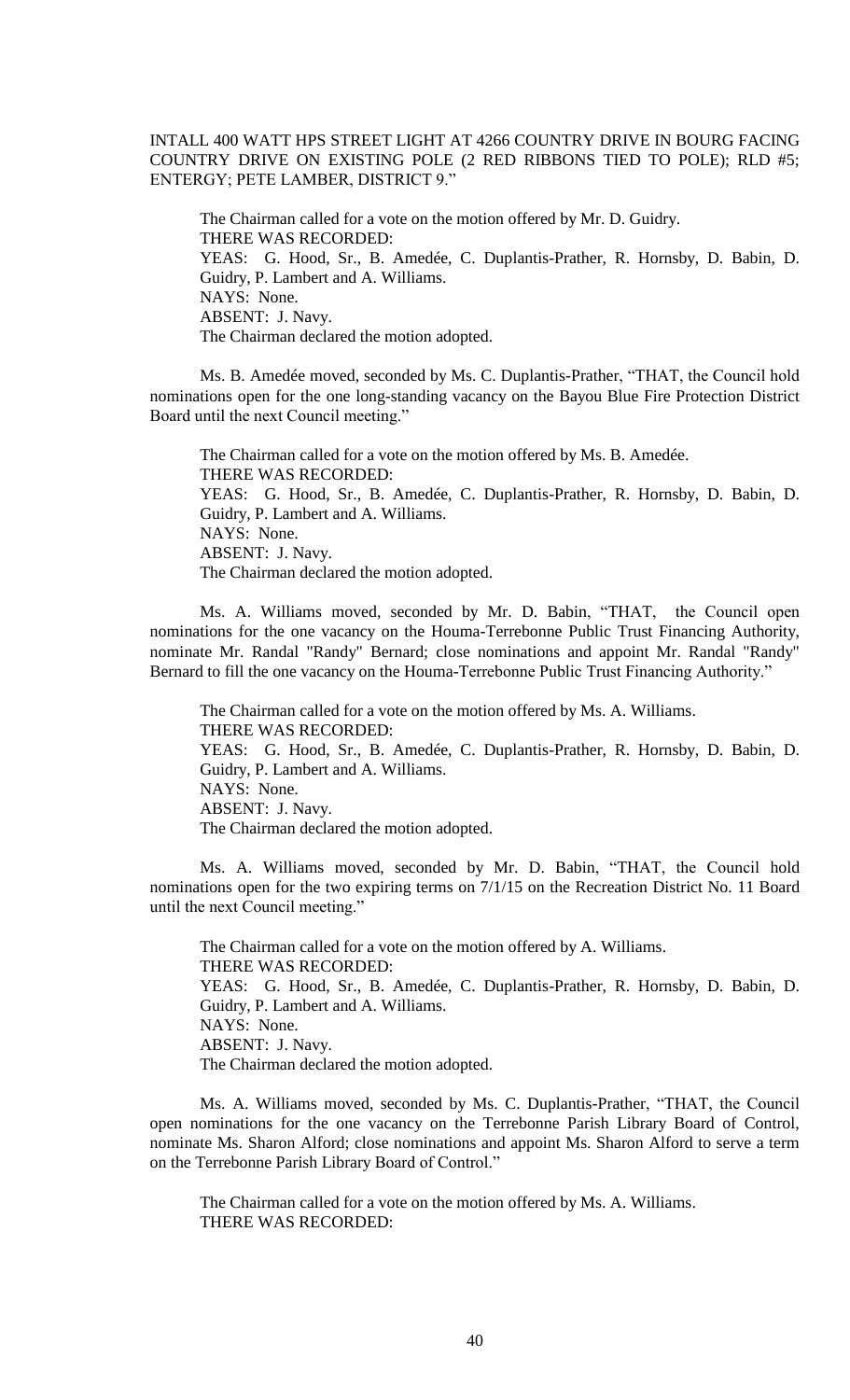INTALL 400 WATT HPS STREET LIGHT AT 4266 COUNTRY DRIVE IN BOURG FACING COUNTRY DRIVE ON EXISTING POLE (2 RED RIBBONS TIED TO POLE); RLD #5; ENTERGY; PETE LAMBER, DISTRICT 9."

The Chairman called for a vote on the motion offered by Mr. D. Guidry. THERE WAS RECORDED: YEAS: G. Hood, Sr., B. Amedée, C. Duplantis-Prather, R. Hornsby, D. Babin, D. Guidry, P. Lambert and A. Williams. NAYS: None. ABSENT: J. Navy. The Chairman declared the motion adopted.

Ms. B. Amedée moved, seconded by Ms. C. Duplantis-Prather, "THAT, the Council hold nominations open for the one long-standing vacancy on the Bayou Blue Fire Protection District Board until the next Council meeting."

The Chairman called for a vote on the motion offered by Ms. B. Amedée. THERE WAS RECORDED: YEAS: G. Hood, Sr., B. Amedée, C. Duplantis-Prather, R. Hornsby, D. Babin, D. Guidry, P. Lambert and A. Williams. NAYS: None. ABSENT: J. Navy. The Chairman declared the motion adopted.

Ms. A. Williams moved, seconded by Mr. D. Babin, "THAT, the Council open nominations for the one vacancy on the Houma-Terrebonne Public Trust Financing Authority, nominate Mr. Randal "Randy" Bernard; close nominations and appoint Mr. Randal "Randy" Bernard to fill the one vacancy on the Houma-Terrebonne Public Trust Financing Authority."

The Chairman called for a vote on the motion offered by Ms. A. Williams. THERE WAS RECORDED: YEAS: G. Hood, Sr., B. Amedée, C. Duplantis-Prather, R. Hornsby, D. Babin, D. Guidry, P. Lambert and A. Williams. NAYS: None. ABSENT: J. Navy. The Chairman declared the motion adopted.

Ms. A. Williams moved, seconded by Mr. D. Babin, "THAT, the Council hold nominations open for the two expiring terms on 7/1/15 on the Recreation District No. 11 Board until the next Council meeting."

The Chairman called for a vote on the motion offered by A. Williams. THERE WAS RECORDED: YEAS: G. Hood, Sr., B. Amedée, C. Duplantis-Prather, R. Hornsby, D. Babin, D. Guidry, P. Lambert and A. Williams. NAYS: None. ABSENT: J. Navy. The Chairman declared the motion adopted.

Ms. A. Williams moved, seconded by Ms. C. Duplantis-Prather, "THAT, the Council open nominations for the one vacancy on the Terrebonne Parish Library Board of Control, nominate Ms. Sharon Alford; close nominations and appoint Ms. Sharon Alford to serve a term on the Terrebonne Parish Library Board of Control."

The Chairman called for a vote on the motion offered by Ms. A. Williams. THERE WAS RECORDED: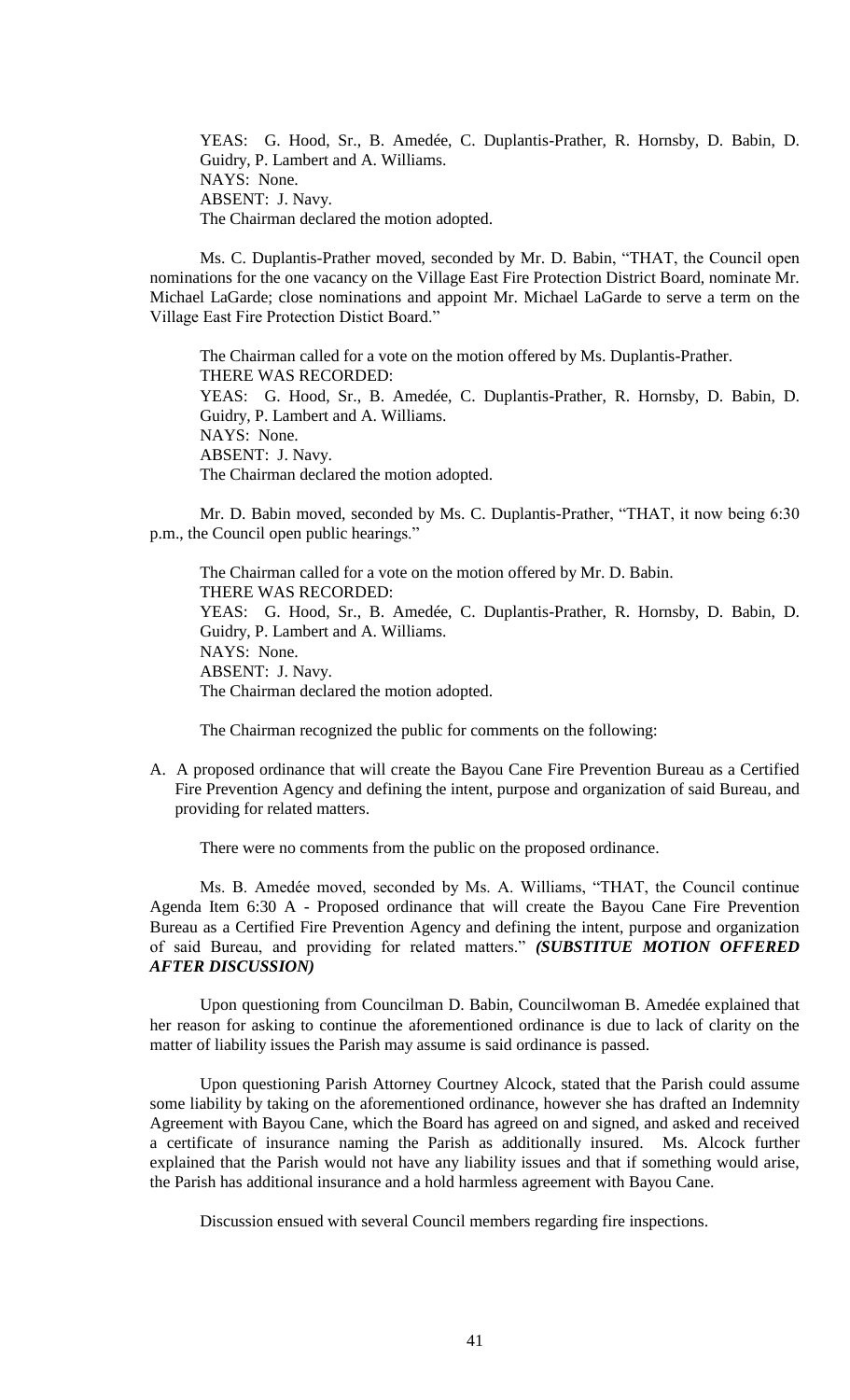YEAS: G. Hood, Sr., B. Amedée, C. Duplantis-Prather, R. Hornsby, D. Babin, D. Guidry, P. Lambert and A. Williams. NAYS: None. ABSENT: J. Navy. The Chairman declared the motion adopted.

Ms. C. Duplantis-Prather moved, seconded by Mr. D. Babin, "THAT, the Council open nominations for the one vacancy on the Village East Fire Protection District Board, nominate Mr. Michael LaGarde; close nominations and appoint Mr. Michael LaGarde to serve a term on the Village East Fire Protection Distict Board."

The Chairman called for a vote on the motion offered by Ms. Duplantis-Prather. THERE WAS RECORDED: YEAS: G. Hood, Sr., B. Amedée, C. Duplantis-Prather, R. Hornsby, D. Babin, D. Guidry, P. Lambert and A. Williams. NAYS: None. ABSENT: J. Navy. The Chairman declared the motion adopted.

Mr. D. Babin moved, seconded by Ms. C. Duplantis-Prather, "THAT, it now being 6:30 p.m., the Council open public hearings."

The Chairman called for a vote on the motion offered by Mr. D. Babin. THERE WAS RECORDED: YEAS: G. Hood, Sr., B. Amedée, C. Duplantis-Prather, R. Hornsby, D. Babin, D. Guidry, P. Lambert and A. Williams. NAYS: None. ABSENT: J. Navy. The Chairman declared the motion adopted.

The Chairman recognized the public for comments on the following:

A. A proposed ordinance that will create the Bayou Cane Fire Prevention Bureau as a Certified Fire Prevention Agency and defining the intent, purpose and organization of said Bureau, and providing for related matters.

There were no comments from the public on the proposed ordinance.

Ms. B. Amedée moved, seconded by Ms. A. Williams, "THAT, the Council continue Agenda Item 6:30 A - Proposed ordinance that will create the Bayou Cane Fire Prevention Bureau as a Certified Fire Prevention Agency and defining the intent, purpose and organization of said Bureau, and providing for related matters." *(SUBSTITUE MOTION OFFERED AFTER DISCUSSION)*

Upon questioning from Councilman D. Babin, Councilwoman B. Amedée explained that her reason for asking to continue the aforementioned ordinance is due to lack of clarity on the matter of liability issues the Parish may assume is said ordinance is passed.

Upon questioning Parish Attorney Courtney Alcock, stated that the Parish could assume some liability by taking on the aforementioned ordinance, however she has drafted an Indemnity Agreement with Bayou Cane, which the Board has agreed on and signed, and asked and received a certificate of insurance naming the Parish as additionally insured. Ms. Alcock further explained that the Parish would not have any liability issues and that if something would arise, the Parish has additional insurance and a hold harmless agreement with Bayou Cane.

Discussion ensued with several Council members regarding fire inspections.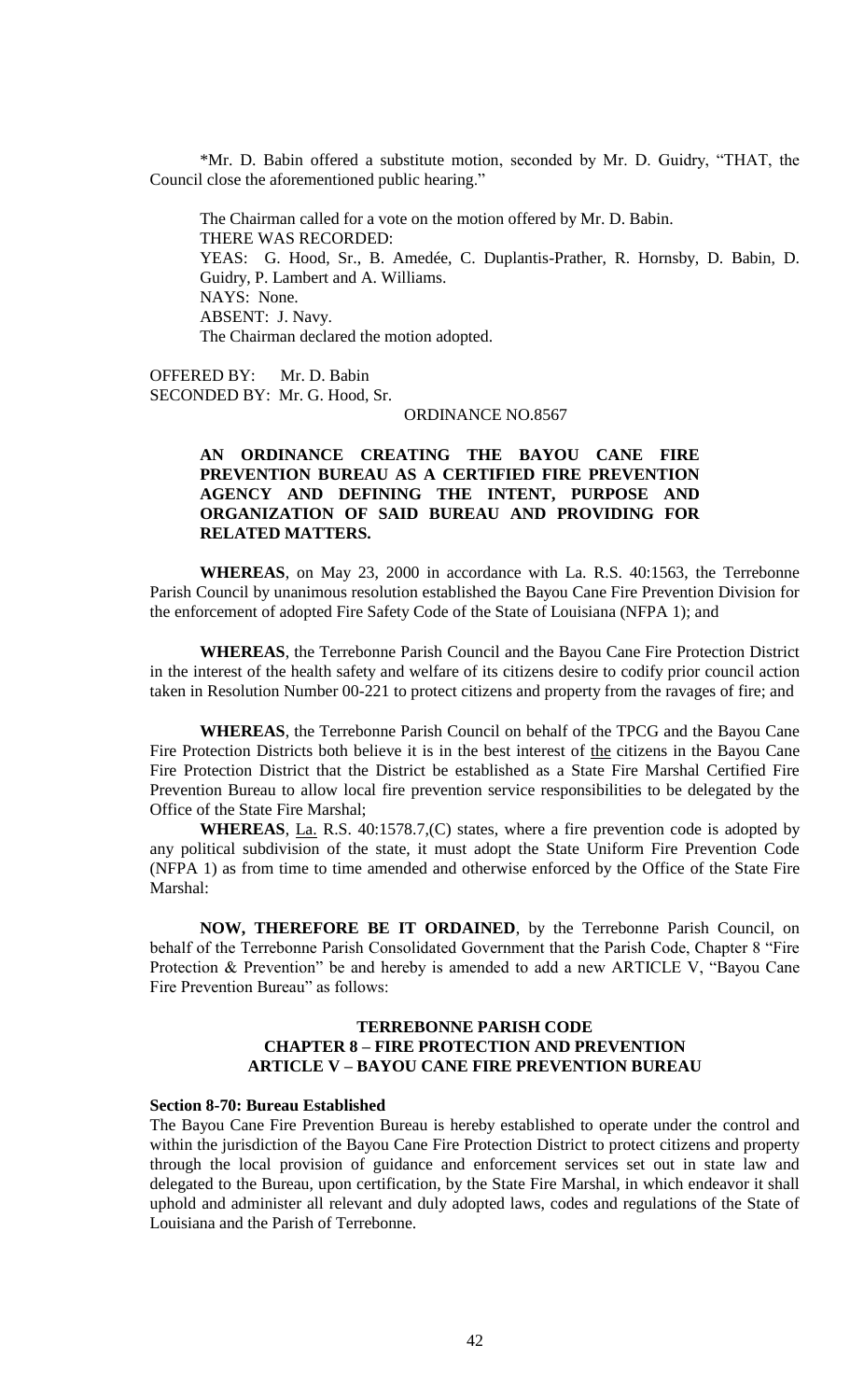\*Mr. D. Babin offered a substitute motion, seconded by Mr. D. Guidry, "THAT, the Council close the aforementioned public hearing."

The Chairman called for a vote on the motion offered by Mr. D. Babin. THERE WAS RECORDED: YEAS: G. Hood, Sr., B. Amedée, C. Duplantis-Prather, R. Hornsby, D. Babin, D. Guidry, P. Lambert and A. Williams. NAYS: None. ABSENT: J. Navy. The Chairman declared the motion adopted.

OFFERED BY: Mr. D. Babin SECONDED BY: Mr. G. Hood, Sr.

ORDINANCE NO.8567

# **AN ORDINANCE CREATING THE BAYOU CANE FIRE PREVENTION BUREAU AS A CERTIFIED FIRE PREVENTION AGENCY AND DEFINING THE INTENT, PURPOSE AND ORGANIZATION OF SAID BUREAU AND PROVIDING FOR RELATED MATTERS.**

**WHEREAS**, on May 23, 2000 in accordance with La. R.S. 40:1563, the Terrebonne Parish Council by unanimous resolution established the Bayou Cane Fire Prevention Division for the enforcement of adopted Fire Safety Code of the State of Louisiana (NFPA 1); and

**WHEREAS**, the Terrebonne Parish Council and the Bayou Cane Fire Protection District in the interest of the health safety and welfare of its citizens desire to codify prior council action taken in Resolution Number 00-221 to protect citizens and property from the ravages of fire; and

**WHEREAS**, the Terrebonne Parish Council on behalf of the TPCG and the Bayou Cane Fire Protection Districts both believe it is in the best interest of the citizens in the Bayou Cane Fire Protection District that the District be established as a State Fire Marshal Certified Fire Prevention Bureau to allow local fire prevention service responsibilities to be delegated by the Office of the State Fire Marshal;

**WHEREAS**, La. R.S. 40:1578.7,(C) states, where a fire prevention code is adopted by any political subdivision of the state, it must adopt the State Uniform Fire Prevention Code (NFPA 1) as from time to time amended and otherwise enforced by the Office of the State Fire Marshal:

**NOW, THEREFORE BE IT ORDAINED**, by the Terrebonne Parish Council, on behalf of the Terrebonne Parish Consolidated Government that the Parish Code, Chapter 8 "Fire Protection & Prevention" be and hereby is amended to add a new ARTICLE V, "Bayou Cane Fire Prevention Bureau" as follows:

# **TERREBONNE PARISH CODE CHAPTER 8 – FIRE PROTECTION AND PREVENTION ARTICLE V – BAYOU CANE FIRE PREVENTION BUREAU**

#### **Section 8-70: Bureau Established**

The Bayou Cane Fire Prevention Bureau is hereby established to operate under the control and within the jurisdiction of the Bayou Cane Fire Protection District to protect citizens and property through the local provision of guidance and enforcement services set out in state law and delegated to the Bureau, upon certification, by the State Fire Marshal, in which endeavor it shall uphold and administer all relevant and duly adopted laws, codes and regulations of the State of Louisiana and the Parish of Terrebonne.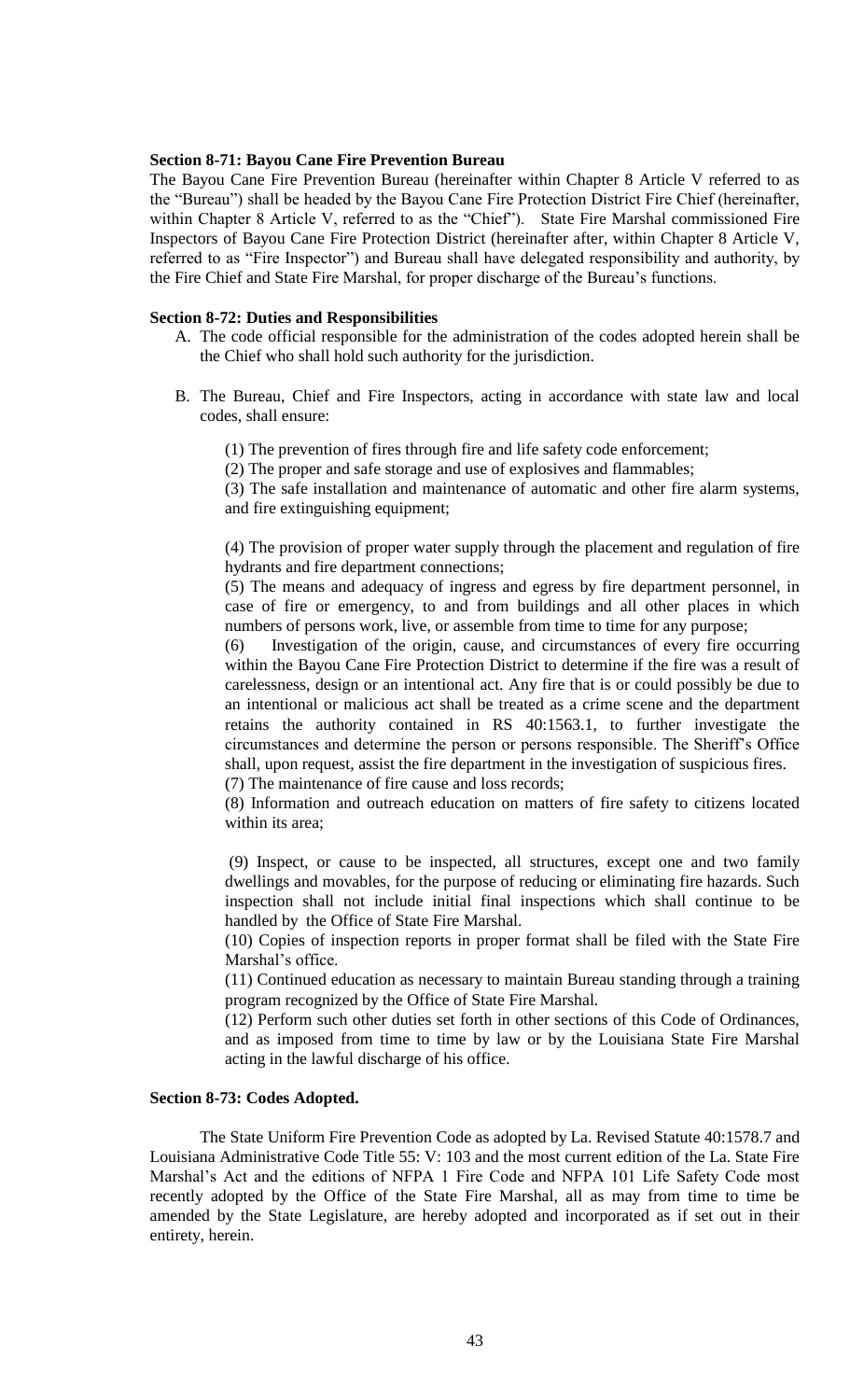# **Section 8-71: Bayou Cane Fire Prevention Bureau**

The Bayou Cane Fire Prevention Bureau (hereinafter within Chapter 8 Article V referred to as the "Bureau") shall be headed by the Bayou Cane Fire Protection District Fire Chief (hereinafter, within Chapter 8 Article V, referred to as the "Chief"). State Fire Marshal commissioned Fire Inspectors of Bayou Cane Fire Protection District (hereinafter after, within Chapter 8 Article V, referred to as "Fire Inspector") and Bureau shall have delegated responsibility and authority, by the Fire Chief and State Fire Marshal, for proper discharge of the Bureau's functions.

## **Section 8-72: Duties and Responsibilities**

- A. The code official responsible for the administration of the codes adopted herein shall be the Chief who shall hold such authority for the jurisdiction.
- B. The Bureau, Chief and Fire Inspectors, acting in accordance with state law and local codes, shall ensure:
	- (1) The prevention of fires through fire and life safety code enforcement;
	- (2) The proper and safe storage and use of explosives and flammables;

(3) The safe installation and maintenance of automatic and other fire alarm systems, and fire extinguishing equipment;

(4) The provision of proper water supply through the placement and regulation of fire hydrants and fire department connections;

(5) The means and adequacy of ingress and egress by fire department personnel, in case of fire or emergency, to and from buildings and all other places in which numbers of persons work, live, or assemble from time to time for any purpose;

(6) Investigation of the origin, cause, and circumstances of every fire occurring within the Bayou Cane Fire Protection District to determine if the fire was a result of carelessness, design or an intentional act. Any fire that is or could possibly be due to an intentional or malicious act shall be treated as a crime scene and the department retains the authority contained in RS 40:1563.1, to further investigate the circumstances and determine the person or persons responsible. The Sheriff's Office shall, upon request, assist the fire department in the investigation of suspicious fires. (7) The maintenance of fire cause and loss records;

(8) Information and outreach education on matters of fire safety to citizens located within its area;

(9) Inspect, or cause to be inspected, all structures, except one and two family dwellings and movables, for the purpose of reducing or eliminating fire hazards. Such inspection shall not include initial final inspections which shall continue to be handled by the Office of State Fire Marshal.

(10) Copies of inspection reports in proper format shall be filed with the State Fire Marshal's office.

(11) Continued education as necessary to maintain Bureau standing through a training program recognized by the Office of State Fire Marshal.

(12) Perform such other duties set forth in other sections of this Code of Ordinances, and as imposed from time to time by law or by the Louisiana State Fire Marshal acting in the lawful discharge of his office.

# **Section 8-73: Codes Adopted.**

The State Uniform Fire Prevention Code as adopted by La. Revised Statute 40:1578.7 and Louisiana Administrative Code Title 55: V: 103 and the most current edition of the La. State Fire Marshal's Act and the editions of NFPA 1 Fire Code and NFPA 101 Life Safety Code most recently adopted by the Office of the State Fire Marshal, all as may from time to time be amended by the State Legislature, are hereby adopted and incorporated as if set out in their entirety, herein.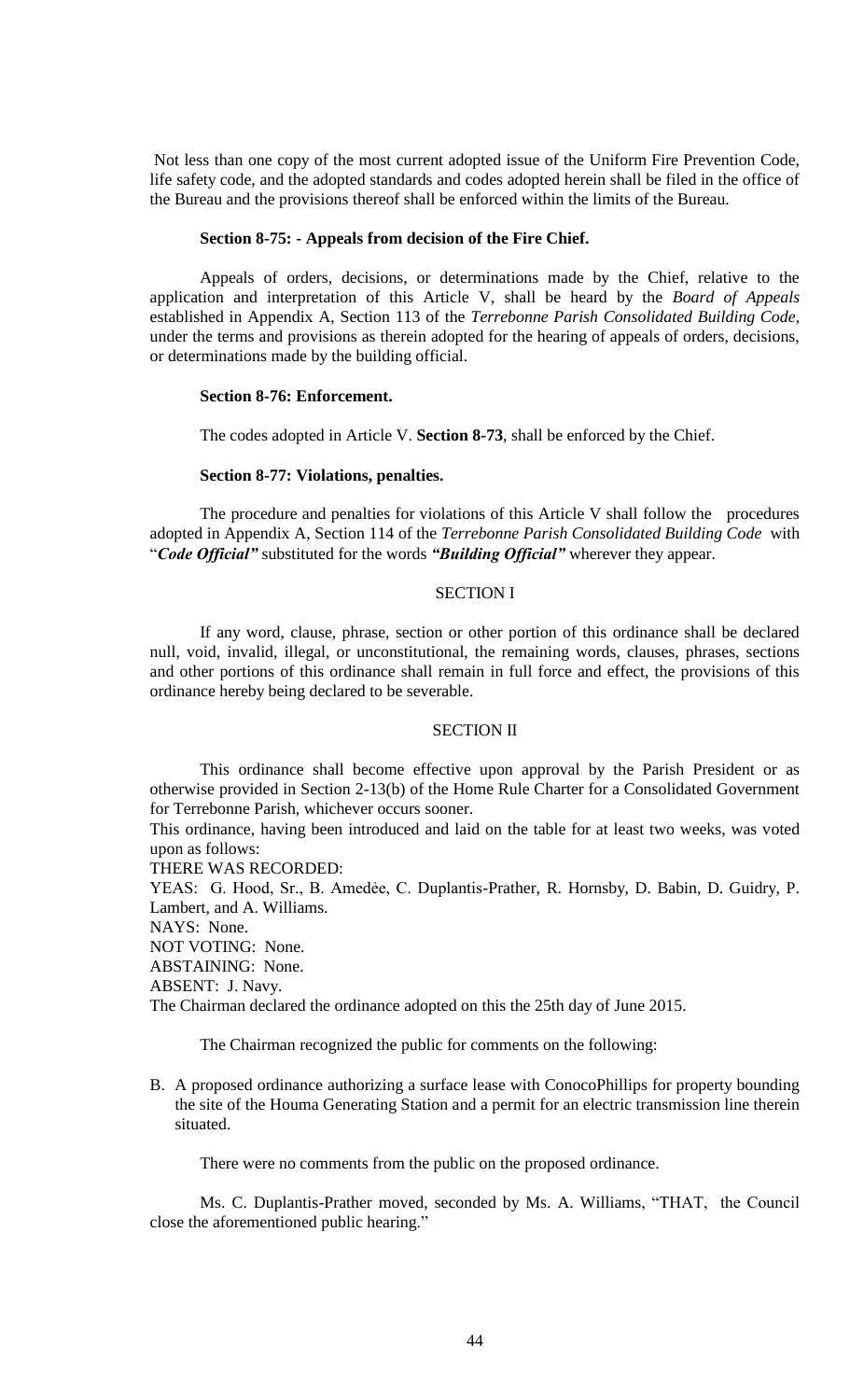Not less than one copy of the most current adopted issue of the Uniform Fire Prevention Code, life safety code, and the adopted standards and codes adopted herein shall be filed in the office of the Bureau and the provisions thereof shall be enforced within the limits of the Bureau.

#### **Section 8-75: - Appeals from decision of the Fire Chief.**

Appeals of orders, decisions, or determinations made by the Chief, relative to the application and interpretation of this Article V, shall be heard by the *Board of Appeals* established in Appendix A, Section 113 of the *Terrebonne Parish Consolidated Building Code*, under the terms and provisions as therein adopted for the hearing of appeals of orders, decisions, or determinations made by the building official.

#### **Section 8-76: Enforcement.**

The codes adopted in Article V. **Section 8-73**, shall be enforced by the Chief.

#### **Section 8-77: Violations, penalties.**

The procedure and penalties for violations of this Article V shall follow the procedures adopted in Appendix A, Section 114 of the *Terrebonne Parish Consolidated Building Code* with "*Code Official"* substituted for the words *"Building Official"* wherever they appear.

## SECTION I

If any word, clause, phrase, section or other portion of this ordinance shall be declared null, void, invalid, illegal, or unconstitutional, the remaining words, clauses, phrases, sections and other portions of this ordinance shall remain in full force and effect, the provisions of this ordinance hereby being declared to be severable.

#### SECTION II

This ordinance shall become effective upon approval by the Parish President or as otherwise provided in Section 2-13(b) of the Home Rule Charter for a Consolidated Government for Terrebonne Parish, whichever occurs sooner.

This ordinance, having been introduced and laid on the table for at least two weeks, was voted upon as follows:

THERE WAS RECORDED:

YEAS: G. Hood, Sr., B. Amedėe, C. Duplantis-Prather, R. Hornsby, D. Babin, D. Guidry, P. Lambert, and A. Williams.

NAYS: None.

NOT VOTING: None.

ABSTAINING: None.

ABSENT: J. Navy.

The Chairman declared the ordinance adopted on this the 25th day of June 2015.

The Chairman recognized the public for comments on the following:

B. A proposed ordinance authorizing a surface lease with ConocoPhillips for property bounding the site of the Houma Generating Station and a permit for an electric transmission line therein situated.

There were no comments from the public on the proposed ordinance.

Ms. C. Duplantis-Prather moved, seconded by Ms. A. Williams, "THAT, the Council close the aforementioned public hearing."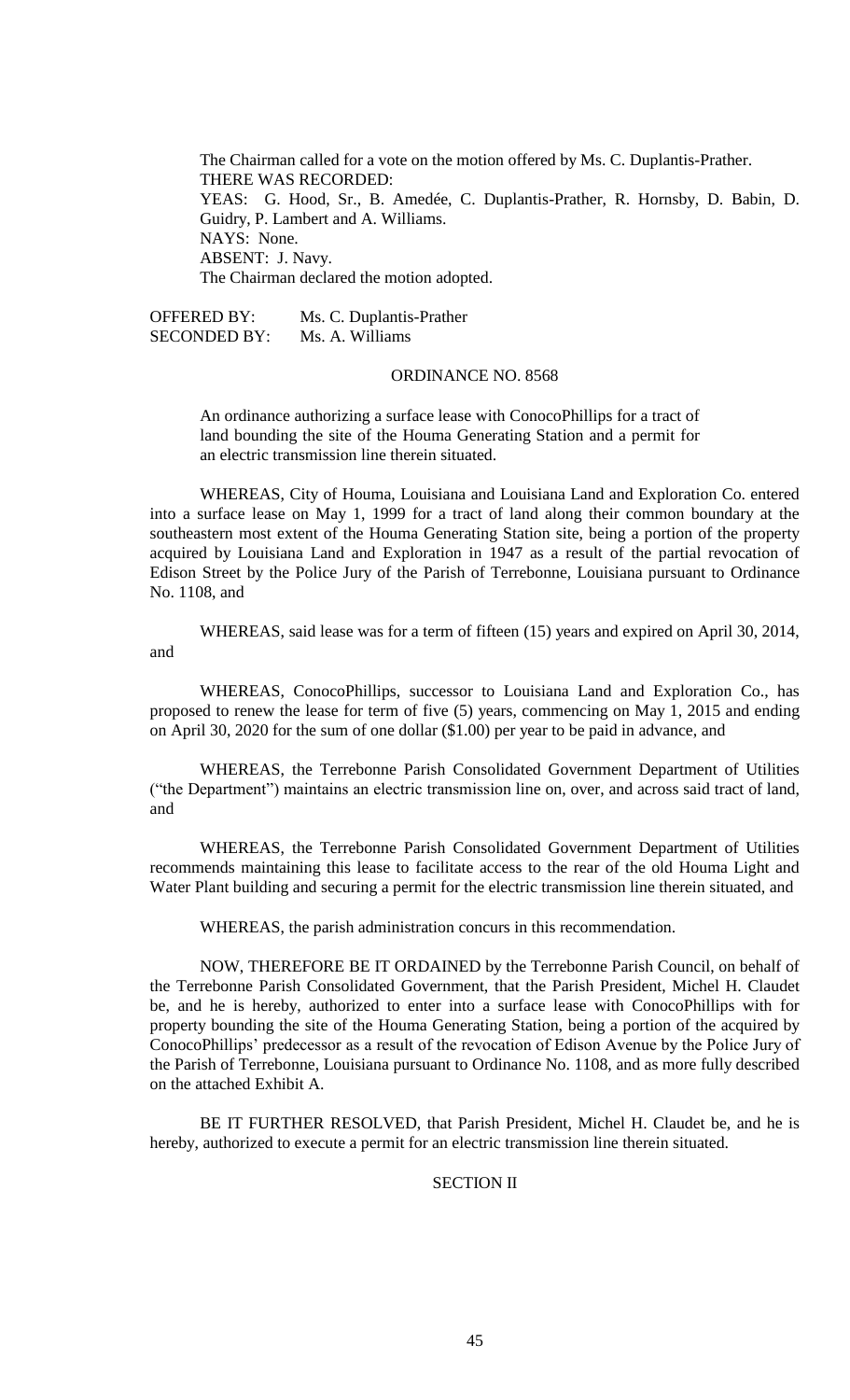The Chairman called for a vote on the motion offered by Ms. C. Duplantis-Prather. THERE WAS RECORDED: YEAS: G. Hood, Sr., B. Amedée, C. Duplantis-Prather, R. Hornsby, D. Babin, D. Guidry, P. Lambert and A. Williams. NAYS: None. ABSENT: J. Navy. The Chairman declared the motion adopted.

OFFERED BY: Ms. C. Duplantis-Prather SECONDED BY: Ms. A. Williams

# ORDINANCE NO. 8568

An ordinance authorizing a surface lease with ConocoPhillips for a tract of land bounding the site of the Houma Generating Station and a permit for an electric transmission line therein situated.

WHEREAS, City of Houma, Louisiana and Louisiana Land and Exploration Co. entered into a surface lease on May 1, 1999 for a tract of land along their common boundary at the southeastern most extent of the Houma Generating Station site, being a portion of the property acquired by Louisiana Land and Exploration in 1947 as a result of the partial revocation of Edison Street by the Police Jury of the Parish of Terrebonne, Louisiana pursuant to Ordinance No. 1108, and

WHEREAS, said lease was for a term of fifteen (15) years and expired on April 30, 2014, and

WHEREAS, ConocoPhillips, successor to Louisiana Land and Exploration Co., has proposed to renew the lease for term of five (5) years, commencing on May 1, 2015 and ending on April 30, 2020 for the sum of one dollar (\$1.00) per year to be paid in advance, and

WHEREAS, the Terrebonne Parish Consolidated Government Department of Utilities ("the Department") maintains an electric transmission line on, over, and across said tract of land, and

WHEREAS, the Terrebonne Parish Consolidated Government Department of Utilities recommends maintaining this lease to facilitate access to the rear of the old Houma Light and Water Plant building and securing a permit for the electric transmission line therein situated, and

WHEREAS, the parish administration concurs in this recommendation.

NOW, THEREFORE BE IT ORDAINED by the Terrebonne Parish Council, on behalf of the Terrebonne Parish Consolidated Government, that the Parish President, Michel H. Claudet be, and he is hereby, authorized to enter into a surface lease with ConocoPhillips with for property bounding the site of the Houma Generating Station, being a portion of the acquired by ConocoPhillips' predecessor as a result of the revocation of Edison Avenue by the Police Jury of the Parish of Terrebonne, Louisiana pursuant to Ordinance No. 1108, and as more fully described on the attached Exhibit A.

BE IT FURTHER RESOLVED, that Parish President, Michel H. Claudet be, and he is hereby, authorized to execute a permit for an electric transmission line therein situated.

# SECTION II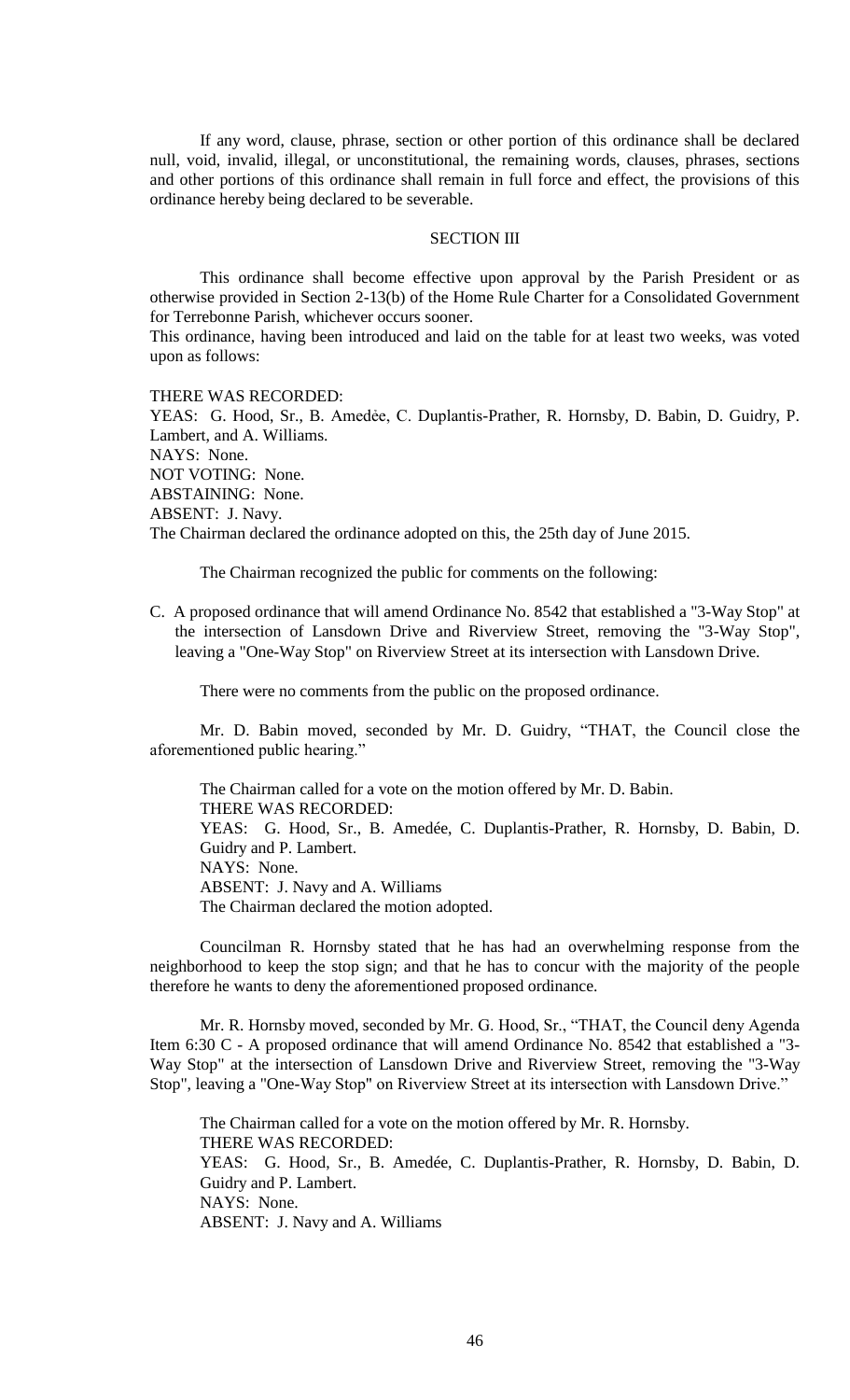If any word, clause, phrase, section or other portion of this ordinance shall be declared null, void, invalid, illegal, or unconstitutional, the remaining words, clauses, phrases, sections and other portions of this ordinance shall remain in full force and effect, the provisions of this ordinance hereby being declared to be severable.

### SECTION III

This ordinance shall become effective upon approval by the Parish President or as otherwise provided in Section 2-13(b) of the Home Rule Charter for a Consolidated Government for Terrebonne Parish, whichever occurs sooner.

This ordinance, having been introduced and laid on the table for at least two weeks, was voted upon as follows:

THERE WAS RECORDED:

YEAS: G. Hood, Sr., B. Amedée, C. Duplantis-Prather, R. Hornsby, D. Babin, D. Guidry, P. Lambert, and A. Williams. NAYS: None. NOT VOTING: None. ABSTAINING: None. ABSENT: J. Navy. The Chairman declared the ordinance adopted on this, the 25th day of June 2015.

The Chairman recognized the public for comments on the following:

C. A proposed ordinance that will amend Ordinance No. 8542 that established a "3-Way Stop" at the intersection of Lansdown Drive and Riverview Street, removing the "3-Way Stop", leaving a "One-Way Stop" on Riverview Street at its intersection with Lansdown Drive.

There were no comments from the public on the proposed ordinance.

Mr. D. Babin moved, seconded by Mr. D. Guidry, "THAT, the Council close the aforementioned public hearing."

The Chairman called for a vote on the motion offered by Mr. D. Babin. THERE WAS RECORDED: YEAS: G. Hood, Sr., B. Amedée, C. Duplantis-Prather, R. Hornsby, D. Babin, D. Guidry and P. Lambert. NAYS: None. ABSENT: J. Navy and A. Williams The Chairman declared the motion adopted.

Councilman R. Hornsby stated that he has had an overwhelming response from the neighborhood to keep the stop sign; and that he has to concur with the majority of the people therefore he wants to deny the aforementioned proposed ordinance.

Mr. R. Hornsby moved, seconded by Mr. G. Hood, Sr., "THAT, the Council deny Agenda Item 6:30 C - A proposed ordinance that will amend Ordinance No. 8542 that established a "3- Way Stop" at the intersection of Lansdown Drive and Riverview Street, removing the "3-Way Stop", leaving a "One-Way Stop" on Riverview Street at its intersection with Lansdown Drive."

The Chairman called for a vote on the motion offered by Mr. R. Hornsby. THERE WAS RECORDED: YEAS: G. Hood, Sr., B. Amedée, C. Duplantis-Prather, R. Hornsby, D. Babin, D. Guidry and P. Lambert. NAYS: None. ABSENT: J. Navy and A. Williams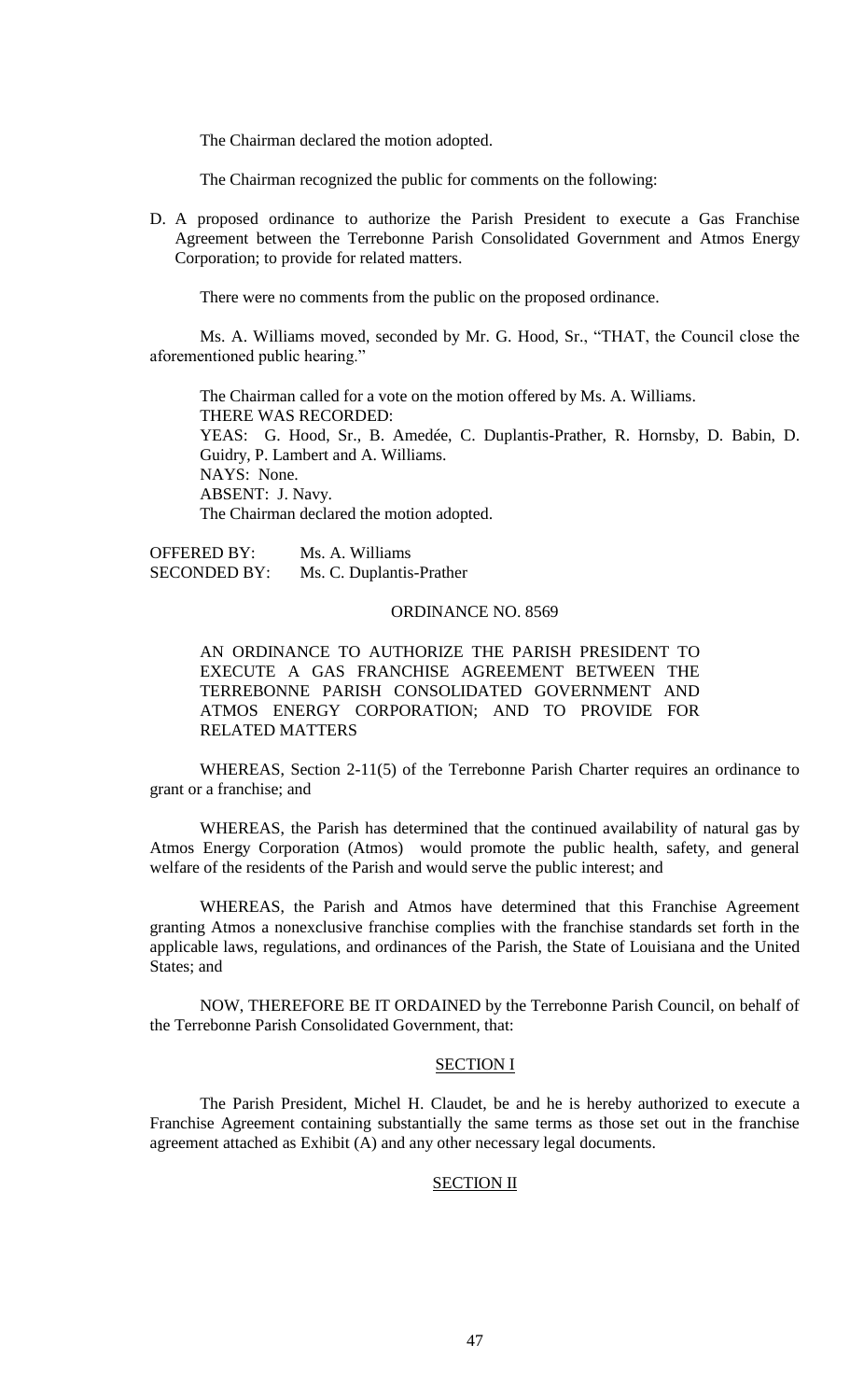The Chairman declared the motion adopted.

The Chairman recognized the public for comments on the following:

D. A proposed ordinance to authorize the Parish President to execute a Gas Franchise Agreement between the Terrebonne Parish Consolidated Government and Atmos Energy Corporation; to provide for related matters.

There were no comments from the public on the proposed ordinance.

Ms. A. Williams moved, seconded by Mr. G. Hood, Sr., "THAT, the Council close the aforementioned public hearing."

The Chairman called for a vote on the motion offered by Ms. A. Williams. THERE WAS RECORDED: YEAS: G. Hood, Sr., B. Amedée, C. Duplantis-Prather, R. Hornsby, D. Babin, D. Guidry, P. Lambert and A. Williams. NAYS: None. ABSENT: J. Navy. The Chairman declared the motion adopted.

OFFERED BY: Ms. A. Williams SECONDED BY: Ms. C. Duplantis-Prather

## ORDINANCE NO. 8569

AN ORDINANCE TO AUTHORIZE THE PARISH PRESIDENT TO EXECUTE A GAS FRANCHISE AGREEMENT BETWEEN THE TERREBONNE PARISH CONSOLIDATED GOVERNMENT AND ATMOS ENERGY CORPORATION; AND TO PROVIDE FOR RELATED MATTERS

WHEREAS, Section 2-11(5) of the Terrebonne Parish Charter requires an ordinance to grant or a franchise; and

WHEREAS, the Parish has determined that the continued availability of natural gas by Atmos Energy Corporation (Atmos) would promote the public health, safety, and general welfare of the residents of the Parish and would serve the public interest; and

WHEREAS, the Parish and Atmos have determined that this Franchise Agreement granting Atmos a nonexclusive franchise complies with the franchise standards set forth in the applicable laws, regulations, and ordinances of the Parish, the State of Louisiana and the United States; and

NOW, THEREFORE BE IT ORDAINED by the Terrebonne Parish Council, on behalf of the Terrebonne Parish Consolidated Government, that:

#### SECTION I

The Parish President, Michel H. Claudet, be and he is hereby authorized to execute a Franchise Agreement containing substantially the same terms as those set out in the franchise agreement attached as Exhibit (A) and any other necessary legal documents.

## **SECTION II**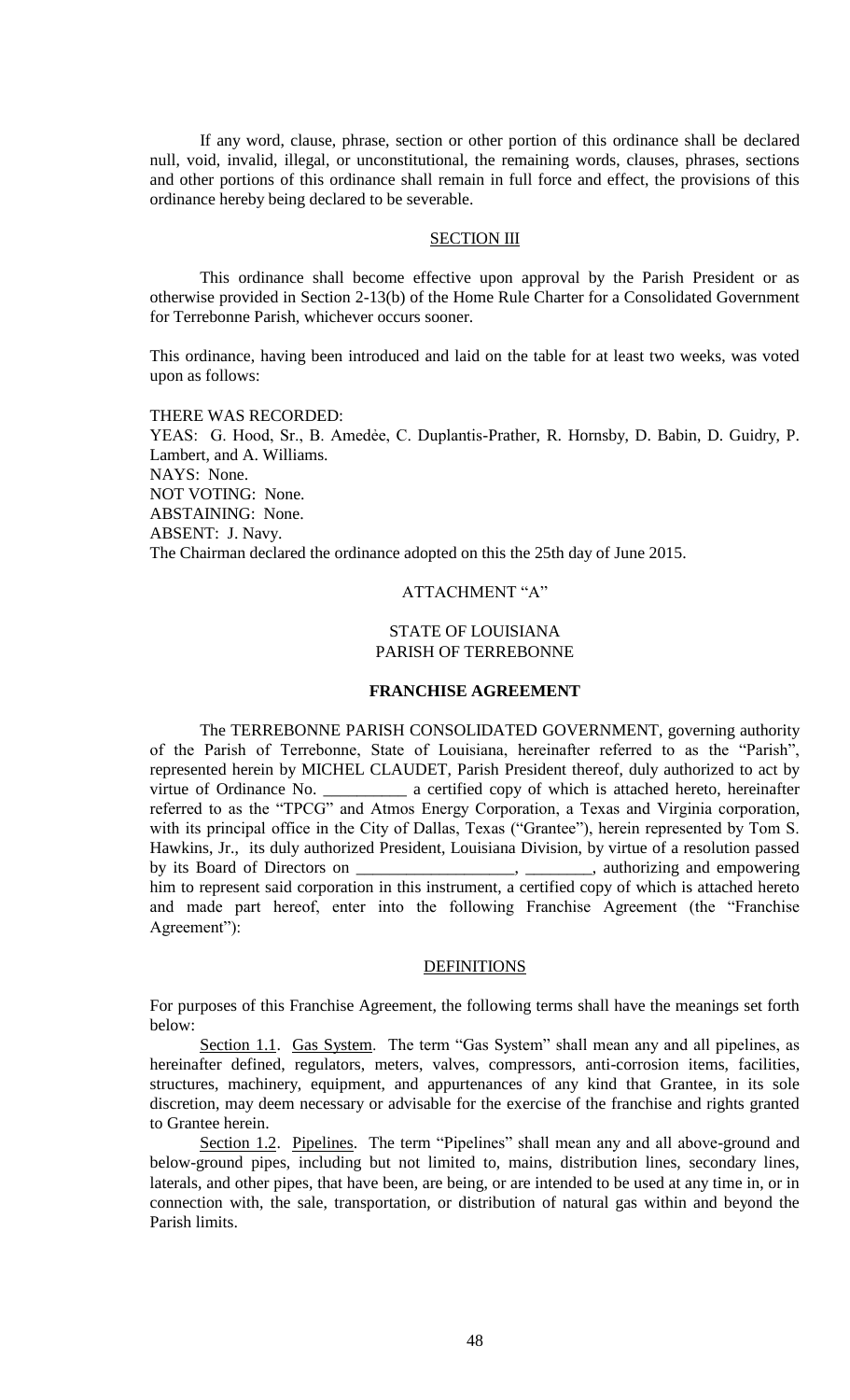If any word, clause, phrase, section or other portion of this ordinance shall be declared null, void, invalid, illegal, or unconstitutional, the remaining words, clauses, phrases, sections and other portions of this ordinance shall remain in full force and effect, the provisions of this ordinance hereby being declared to be severable.

### SECTION III

This ordinance shall become effective upon approval by the Parish President or as otherwise provided in Section 2-13(b) of the Home Rule Charter for a Consolidated Government for Terrebonne Parish, whichever occurs sooner.

This ordinance, having been introduced and laid on the table for at least two weeks, was voted upon as follows:

THERE WAS RECORDED: YEAS: G. Hood, Sr., B. Amedée, C. Duplantis-Prather, R. Hornsby, D. Babin, D. Guidry, P. Lambert, and A. Williams. NAYS: None. NOT VOTING: None. ABSTAINING: None. ABSENT: J. Navy. The Chairman declared the ordinance adopted on this the 25th day of June 2015.

# ATTACHMENT "A"

# STATE OF LOUISIANA PARISH OF TERREBONNE

#### **FRANCHISE AGREEMENT**

The TERREBONNE PARISH CONSOLIDATED GOVERNMENT, governing authority of the Parish of Terrebonne, State of Louisiana, hereinafter referred to as the "Parish", represented herein by MICHEL CLAUDET, Parish President thereof, duly authorized to act by virtue of Ordinance No.  $\alpha$  certified copy of which is attached hereto, hereinafter referred to as the "TPCG" and Atmos Energy Corporation, a Texas and Virginia corporation, with its principal office in the City of Dallas, Texas ("Grantee"), herein represented by Tom S. Hawkins, Jr., its duly authorized President, Louisiana Division, by virtue of a resolution passed by its Board of Directors on \_\_\_\_\_\_\_\_\_\_\_\_\_\_\_\_\_\_\_, \_\_\_\_\_\_\_\_, authorizing and empowering him to represent said corporation in this instrument, a certified copy of which is attached hereto and made part hereof, enter into the following Franchise Agreement (the "Franchise Agreement"):

### **DEFINITIONS**

For purposes of this Franchise Agreement, the following terms shall have the meanings set forth below:

Section 1.1. Gas System. The term "Gas System" shall mean any and all pipelines, as hereinafter defined, regulators, meters, valves, compressors, anti-corrosion items, facilities, structures, machinery, equipment, and appurtenances of any kind that Grantee, in its sole discretion, may deem necessary or advisable for the exercise of the franchise and rights granted to Grantee herein.

Section 1.2. Pipelines. The term "Pipelines" shall mean any and all above-ground and below-ground pipes, including but not limited to, mains, distribution lines, secondary lines, laterals, and other pipes, that have been, are being, or are intended to be used at any time in, or in connection with, the sale, transportation, or distribution of natural gas within and beyond the Parish limits.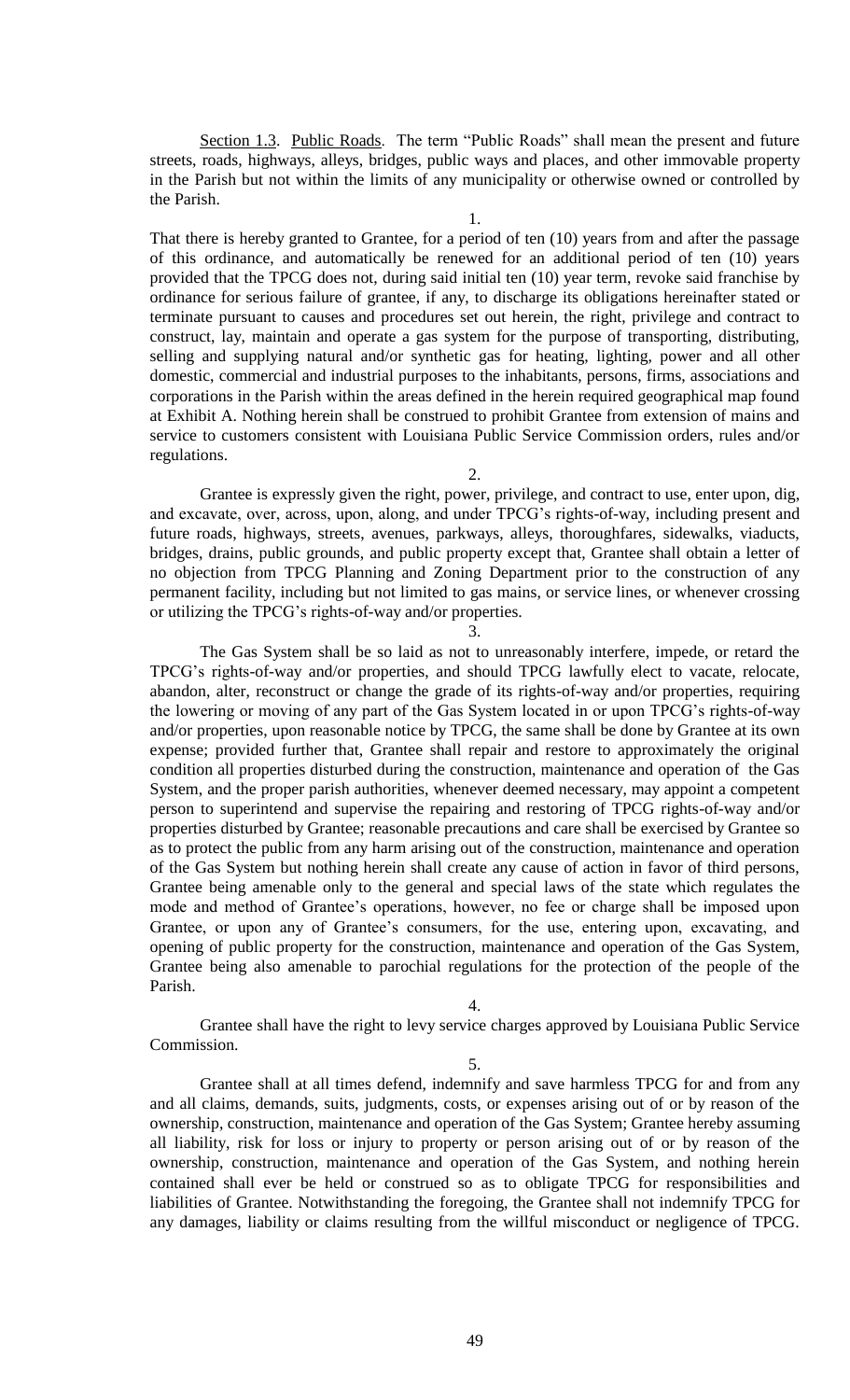Section 1.3. Public Roads. The term "Public Roads" shall mean the present and future streets, roads, highways, alleys, bridges, public ways and places, and other immovable property in the Parish but not within the limits of any municipality or otherwise owned or controlled by the Parish.

1.

That there is hereby granted to Grantee, for a period of ten (10) years from and after the passage of this ordinance, and automatically be renewed for an additional period of ten (10) years provided that the TPCG does not, during said initial ten (10) year term, revoke said franchise by ordinance for serious failure of grantee, if any, to discharge its obligations hereinafter stated or terminate pursuant to causes and procedures set out herein, the right, privilege and contract to construct, lay, maintain and operate a gas system for the purpose of transporting, distributing, selling and supplying natural and/or synthetic gas for heating, lighting, power and all other domestic, commercial and industrial purposes to the inhabitants, persons, firms, associations and corporations in the Parish within the areas defined in the herein required geographical map found at Exhibit A. Nothing herein shall be construed to prohibit Grantee from extension of mains and service to customers consistent with Louisiana Public Service Commission orders, rules and/or regulations.

 $2^{\circ}$ 

Grantee is expressly given the right, power, privilege, and contract to use, enter upon, dig, and excavate, over, across, upon, along, and under TPCG's rights-of-way, including present and future roads, highways, streets, avenues, parkways, alleys, thoroughfares, sidewalks, viaducts, bridges, drains, public grounds, and public property except that, Grantee shall obtain a letter of no objection from TPCG Planning and Zoning Department prior to the construction of any permanent facility, including but not limited to gas mains, or service lines, or whenever crossing or utilizing the TPCG's rights-of-way and/or properties.

3.

The Gas System shall be so laid as not to unreasonably interfere, impede, or retard the TPCG's rights-of-way and/or properties, and should TPCG lawfully elect to vacate, relocate, abandon, alter, reconstruct or change the grade of its rights-of-way and/or properties, requiring the lowering or moving of any part of the Gas System located in or upon TPCG's rights-of-way and/or properties, upon reasonable notice by TPCG, the same shall be done by Grantee at its own expense; provided further that, Grantee shall repair and restore to approximately the original condition all properties disturbed during the construction, maintenance and operation of the Gas System, and the proper parish authorities, whenever deemed necessary, may appoint a competent person to superintend and supervise the repairing and restoring of TPCG rights-of-way and/or properties disturbed by Grantee; reasonable precautions and care shall be exercised by Grantee so as to protect the public from any harm arising out of the construction, maintenance and operation of the Gas System but nothing herein shall create any cause of action in favor of third persons, Grantee being amenable only to the general and special laws of the state which regulates the mode and method of Grantee's operations, however, no fee or charge shall be imposed upon Grantee, or upon any of Grantee's consumers, for the use, entering upon, excavating, and opening of public property for the construction, maintenance and operation of the Gas System, Grantee being also amenable to parochial regulations for the protection of the people of the Parish.

4.

Grantee shall have the right to levy service charges approved by Louisiana Public Service Commission.

5.

Grantee shall at all times defend, indemnify and save harmless TPCG for and from any and all claims, demands, suits, judgments, costs, or expenses arising out of or by reason of the ownership, construction, maintenance and operation of the Gas System; Grantee hereby assuming all liability, risk for loss or injury to property or person arising out of or by reason of the ownership, construction, maintenance and operation of the Gas System, and nothing herein contained shall ever be held or construed so as to obligate TPCG for responsibilities and liabilities of Grantee. Notwithstanding the foregoing, the Grantee shall not indemnify TPCG for any damages, liability or claims resulting from the willful misconduct or negligence of TPCG.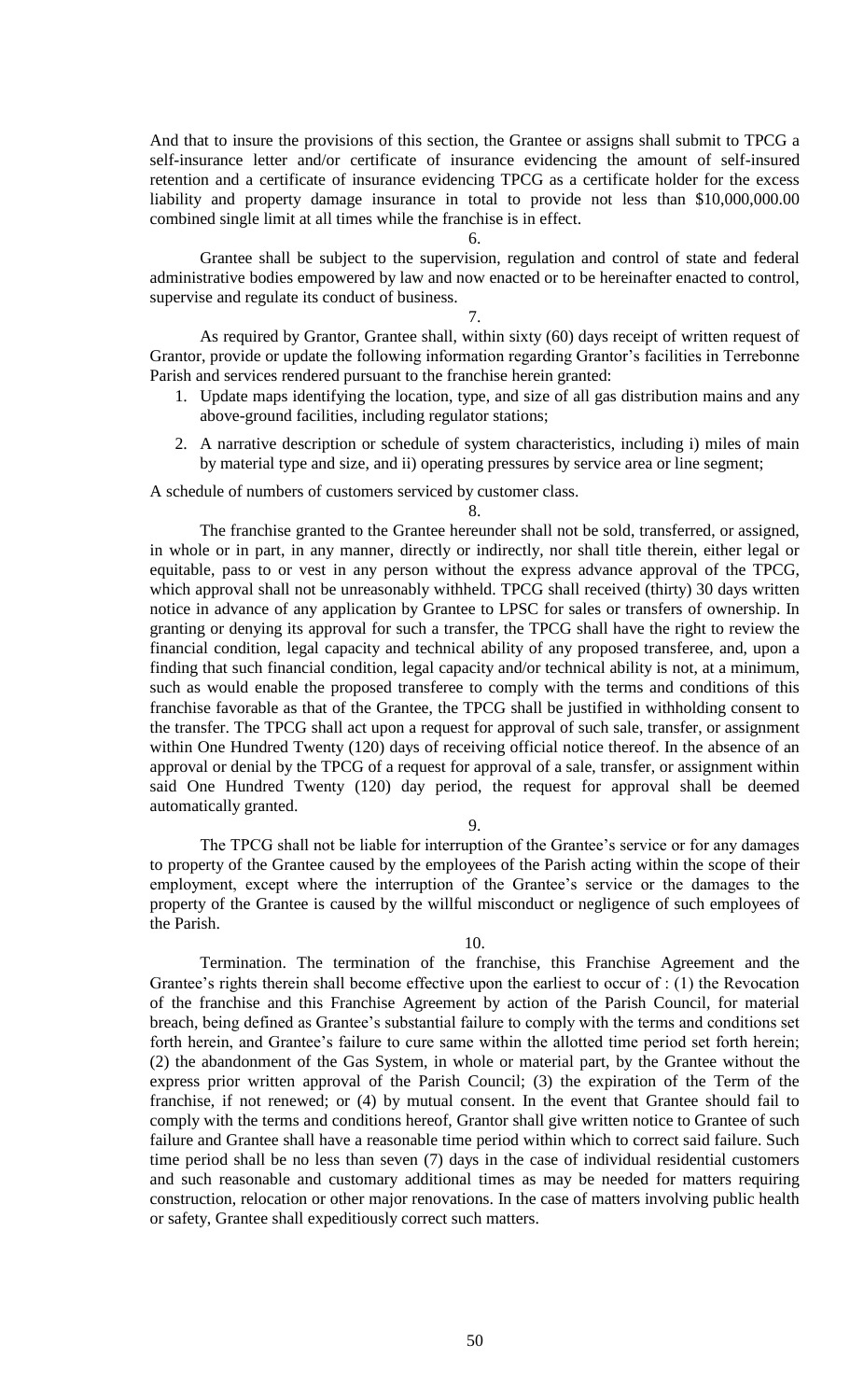And that to insure the provisions of this section, the Grantee or assigns shall submit to TPCG a self-insurance letter and/or certificate of insurance evidencing the amount of self-insured retention and a certificate of insurance evidencing TPCG as a certificate holder for the excess liability and property damage insurance in total to provide not less than \$10,000,000.00 combined single limit at all times while the franchise is in effect.

### 6.

Grantee shall be subject to the supervision, regulation and control of state and federal administrative bodies empowered by law and now enacted or to be hereinafter enacted to control, supervise and regulate its conduct of business.

#### 7.

As required by Grantor, Grantee shall, within sixty (60) days receipt of written request of Grantor, provide or update the following information regarding Grantor's facilities in Terrebonne Parish and services rendered pursuant to the franchise herein granted:

- 1. Update maps identifying the location, type, and size of all gas distribution mains and any above-ground facilities, including regulator stations;
- 2. A narrative description or schedule of system characteristics, including i) miles of main by material type and size, and ii) operating pressures by service area or line segment;

A schedule of numbers of customers serviced by customer class.

#### 8.

The franchise granted to the Grantee hereunder shall not be sold, transferred, or assigned, in whole or in part, in any manner, directly or indirectly, nor shall title therein, either legal or equitable, pass to or vest in any person without the express advance approval of the TPCG, which approval shall not be unreasonably withheld. TPCG shall received (thirty) 30 days written notice in advance of any application by Grantee to LPSC for sales or transfers of ownership. In granting or denying its approval for such a transfer, the TPCG shall have the right to review the financial condition, legal capacity and technical ability of any proposed transferee, and, upon a finding that such financial condition, legal capacity and/or technical ability is not, at a minimum, such as would enable the proposed transferee to comply with the terms and conditions of this franchise favorable as that of the Grantee, the TPCG shall be justified in withholding consent to the transfer. The TPCG shall act upon a request for approval of such sale, transfer, or assignment within One Hundred Twenty (120) days of receiving official notice thereof. In the absence of an approval or denial by the TPCG of a request for approval of a sale, transfer, or assignment within said One Hundred Twenty (120) day period, the request for approval shall be deemed automatically granted.

#### 9.

The TPCG shall not be liable for interruption of the Grantee's service or for any damages to property of the Grantee caused by the employees of the Parish acting within the scope of their employment, except where the interruption of the Grantee's service or the damages to the property of the Grantee is caused by the willful misconduct or negligence of such employees of the Parish.

#### 10.

Termination. The termination of the franchise, this Franchise Agreement and the Grantee's rights therein shall become effective upon the earliest to occur of : (1) the Revocation of the franchise and this Franchise Agreement by action of the Parish Council, for material breach, being defined as Grantee's substantial failure to comply with the terms and conditions set forth herein, and Grantee's failure to cure same within the allotted time period set forth herein; (2) the abandonment of the Gas System, in whole or material part, by the Grantee without the express prior written approval of the Parish Council; (3) the expiration of the Term of the franchise, if not renewed; or (4) by mutual consent. In the event that Grantee should fail to comply with the terms and conditions hereof, Grantor shall give written notice to Grantee of such failure and Grantee shall have a reasonable time period within which to correct said failure. Such time period shall be no less than seven (7) days in the case of individual residential customers and such reasonable and customary additional times as may be needed for matters requiring construction, relocation or other major renovations. In the case of matters involving public health or safety, Grantee shall expeditiously correct such matters.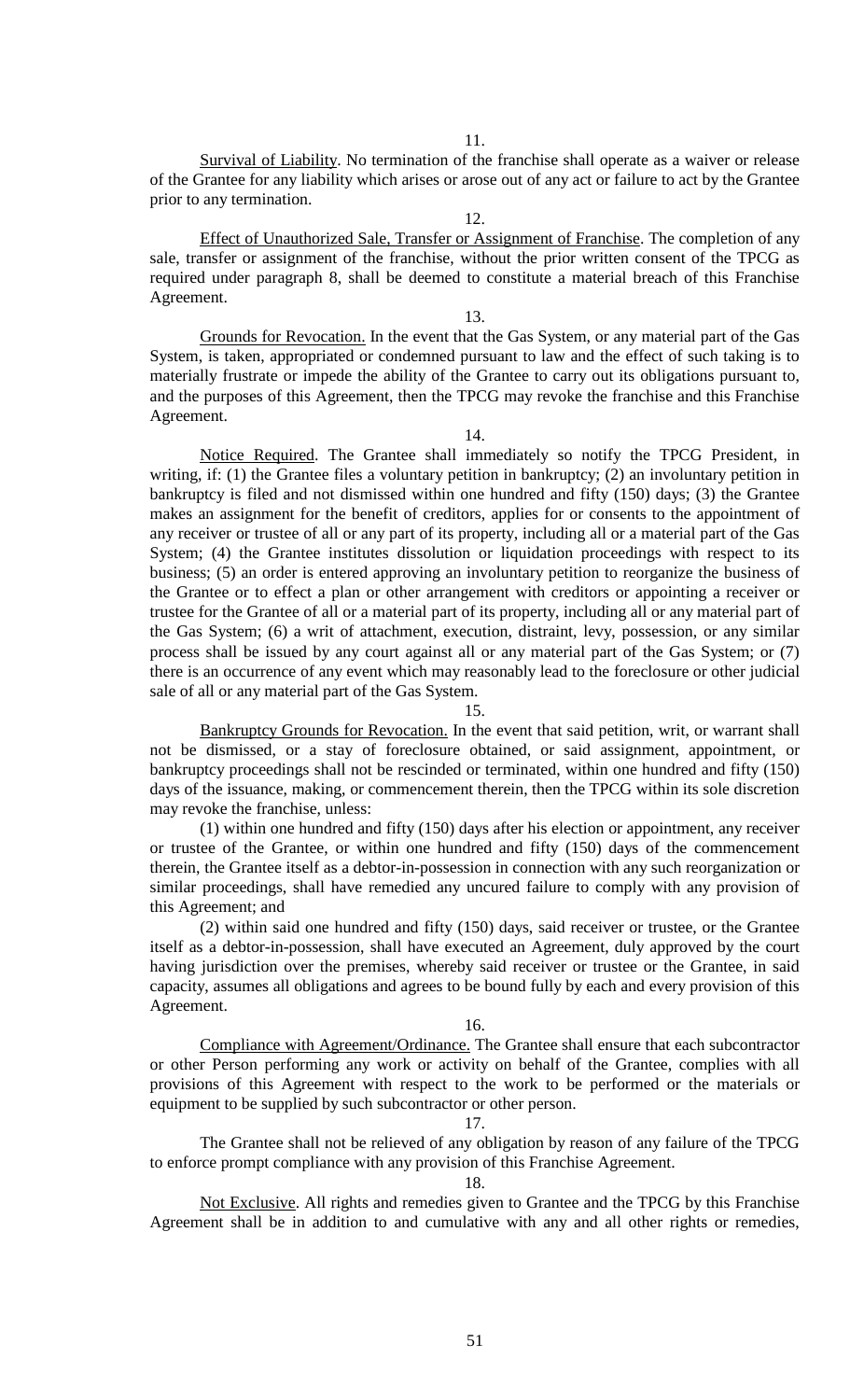11.

Survival of Liability. No termination of the franchise shall operate as a waiver or release of the Grantee for any liability which arises or arose out of any act or failure to act by the Grantee prior to any termination.

12.

Effect of Unauthorized Sale, Transfer or Assignment of Franchise. The completion of any sale, transfer or assignment of the franchise, without the prior written consent of the TPCG as required under paragraph 8, shall be deemed to constitute a material breach of this Franchise Agreement.

13.

Grounds for Revocation. In the event that the Gas System, or any material part of the Gas System, is taken, appropriated or condemned pursuant to law and the effect of such taking is to materially frustrate or impede the ability of the Grantee to carry out its obligations pursuant to, and the purposes of this Agreement, then the TPCG may revoke the franchise and this Franchise Agreement.

14.

Notice Required. The Grantee shall immediately so notify the TPCG President, in writing, if: (1) the Grantee files a voluntary petition in bankruptcy; (2) an involuntary petition in bankruptcy is filed and not dismissed within one hundred and fifty (150) days; (3) the Grantee makes an assignment for the benefit of creditors, applies for or consents to the appointment of any receiver or trustee of all or any part of its property, including all or a material part of the Gas System; (4) the Grantee institutes dissolution or liquidation proceedings with respect to its business; (5) an order is entered approving an involuntary petition to reorganize the business of the Grantee or to effect a plan or other arrangement with creditors or appointing a receiver or trustee for the Grantee of all or a material part of its property, including all or any material part of the Gas System; (6) a writ of attachment, execution, distraint, levy, possession, or any similar process shall be issued by any court against all or any material part of the Gas System; or (7) there is an occurrence of any event which may reasonably lead to the foreclosure or other judicial sale of all or any material part of the Gas System.

15.

Bankruptcy Grounds for Revocation. In the event that said petition, writ, or warrant shall not be dismissed, or a stay of foreclosure obtained, or said assignment, appointment, or bankruptcy proceedings shall not be rescinded or terminated, within one hundred and fifty (150) days of the issuance, making, or commencement therein, then the TPCG within its sole discretion may revoke the franchise, unless:

(1) within one hundred and fifty (150) days after his election or appointment, any receiver or trustee of the Grantee, or within one hundred and fifty (150) days of the commencement therein, the Grantee itself as a debtor-in-possession in connection with any such reorganization or similar proceedings, shall have remedied any uncured failure to comply with any provision of this Agreement; and

(2) within said one hundred and fifty (150) days, said receiver or trustee, or the Grantee itself as a debtor-in-possession, shall have executed an Agreement, duly approved by the court having jurisdiction over the premises, whereby said receiver or trustee or the Grantee, in said capacity, assumes all obligations and agrees to be bound fully by each and every provision of this Agreement.

16.

Compliance with Agreement/Ordinance. The Grantee shall ensure that each subcontractor or other Person performing any work or activity on behalf of the Grantee, complies with all provisions of this Agreement with respect to the work to be performed or the materials or equipment to be supplied by such subcontractor or other person.

17.

The Grantee shall not be relieved of any obligation by reason of any failure of the TPCG to enforce prompt compliance with any provision of this Franchise Agreement.

#### 18.

Not Exclusive. All rights and remedies given to Grantee and the TPCG by this Franchise Agreement shall be in addition to and cumulative with any and all other rights or remedies,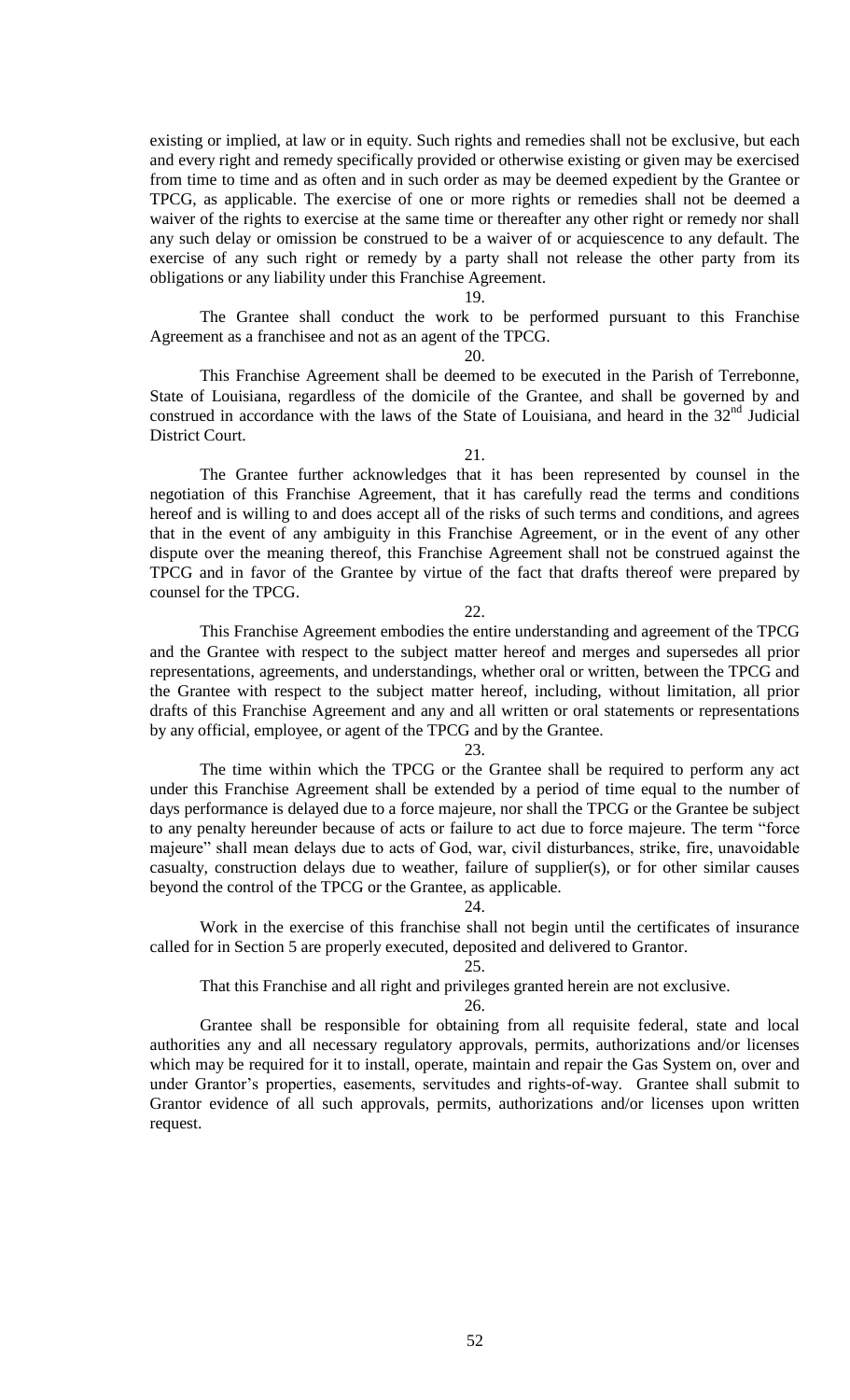existing or implied, at law or in equity. Such rights and remedies shall not be exclusive, but each and every right and remedy specifically provided or otherwise existing or given may be exercised from time to time and as often and in such order as may be deemed expedient by the Grantee or TPCG, as applicable. The exercise of one or more rights or remedies shall not be deemed a waiver of the rights to exercise at the same time or thereafter any other right or remedy nor shall any such delay or omission be construed to be a waiver of or acquiescence to any default. The exercise of any such right or remedy by a party shall not release the other party from its obligations or any liability under this Franchise Agreement.

#### 19.

The Grantee shall conduct the work to be performed pursuant to this Franchise Agreement as a franchisee and not as an agent of the TPCG.

#### 20.

This Franchise Agreement shall be deemed to be executed in the Parish of Terrebonne, State of Louisiana, regardless of the domicile of the Grantee, and shall be governed by and construed in accordance with the laws of the State of Louisiana, and heard in the  $32<sup>nd</sup>$  Judicial District Court.

#### 21.

The Grantee further acknowledges that it has been represented by counsel in the negotiation of this Franchise Agreement, that it has carefully read the terms and conditions hereof and is willing to and does accept all of the risks of such terms and conditions, and agrees that in the event of any ambiguity in this Franchise Agreement, or in the event of any other dispute over the meaning thereof, this Franchise Agreement shall not be construed against the TPCG and in favor of the Grantee by virtue of the fact that drafts thereof were prepared by counsel for the TPCG.

#### 22.

This Franchise Agreement embodies the entire understanding and agreement of the TPCG and the Grantee with respect to the subject matter hereof and merges and supersedes all prior representations, agreements, and understandings, whether oral or written, between the TPCG and the Grantee with respect to the subject matter hereof, including, without limitation, all prior drafts of this Franchise Agreement and any and all written or oral statements or representations by any official, employee, or agent of the TPCG and by the Grantee.

#### 23.

The time within which the TPCG or the Grantee shall be required to perform any act under this Franchise Agreement shall be extended by a period of time equal to the number of days performance is delayed due to a force majeure, nor shall the TPCG or the Grantee be subject to any penalty hereunder because of acts or failure to act due to force majeure. The term "force majeure" shall mean delays due to acts of God, war, civil disturbances, strike, fire, unavoidable casualty, construction delays due to weather, failure of supplier(s), or for other similar causes beyond the control of the TPCG or the Grantee, as applicable.

#### 24.

Work in the exercise of this franchise shall not begin until the certificates of insurance called for in Section 5 are properly executed, deposited and delivered to Grantor.

#### 25.

That this Franchise and all right and privileges granted herein are not exclusive.

26.

Grantee shall be responsible for obtaining from all requisite federal, state and local authorities any and all necessary regulatory approvals, permits, authorizations and/or licenses which may be required for it to install, operate, maintain and repair the Gas System on, over and under Grantor's properties, easements, servitudes and rights-of-way. Grantee shall submit to Grantor evidence of all such approvals, permits, authorizations and/or licenses upon written request.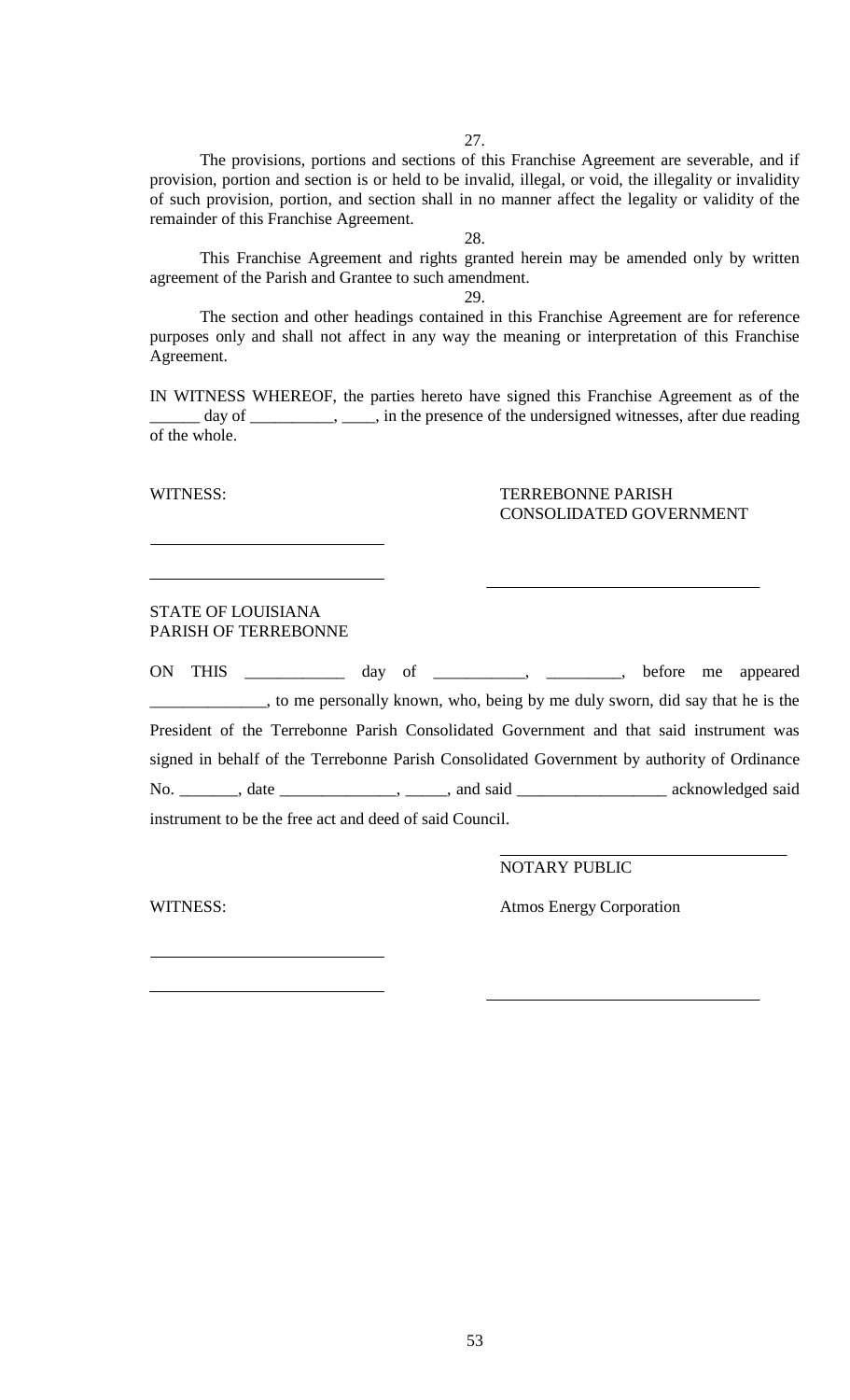27.

The provisions, portions and sections of this Franchise Agreement are severable, and if provision, portion and section is or held to be invalid, illegal, or void, the illegality or invalidity of such provision, portion, and section shall in no manner affect the legality or validity of the remainder of this Franchise Agreement.

28.

This Franchise Agreement and rights granted herein may be amended only by written agreement of the Parish and Grantee to such amendment.

29.

The section and other headings contained in this Franchise Agreement are for reference purposes only and shall not affect in any way the meaning or interpretation of this Franchise Agreement.

IN WITNESS WHEREOF, the parties hereto have signed this Franchise Agreement as of the day of \_\_\_\_\_\_\_\_, \_\_\_, in the presence of the undersigned witnesses, after due reading of the whole.

# WITNESS: TERREBONNE PARISH CONSOLIDATED GOVERNMENT

# STATE OF LOUISIANA PARISH OF TERREBONNE

ON THIS \_\_\_\_\_\_\_\_\_\_\_\_ day of \_\_\_\_\_\_\_\_\_\_\_, \_\_\_\_\_\_\_\_\_, before me appeared \_\_\_\_\_\_\_\_\_\_\_\_\_\_, to me personally known, who, being by me duly sworn, did say that he is the President of the Terrebonne Parish Consolidated Government and that said instrument was signed in behalf of the Terrebonne Parish Consolidated Government by authority of Ordinance No. \_\_\_\_\_\_\_, date \_\_\_\_\_\_\_\_\_\_\_\_, \_\_\_\_\_, and said \_\_\_\_\_\_\_\_\_\_\_\_\_\_\_\_\_\_\_\_ acknowledged said instrument to be the free act and deed of said Council.

NOTARY PUBLIC

WITNESS: Atmos Energy Corporation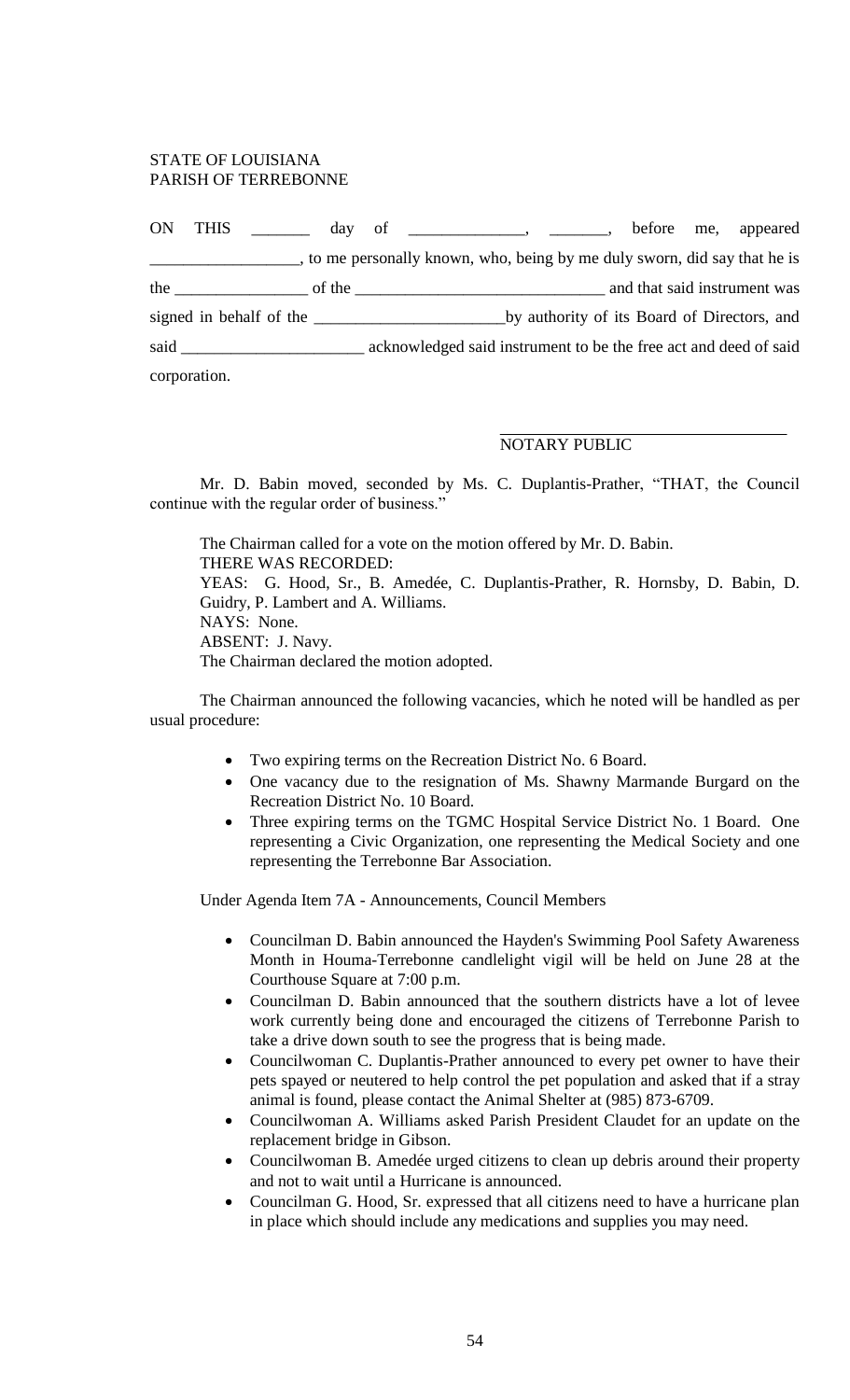# STATE OF LOUISIANA PARISH OF TERREBONNE

| <b>ON</b> | THIS         | day of | $\overbrace{\hspace{2.5cm}}^{}$ , $\overbrace{\hspace{2.5cm}}^{}$ , $\overbrace{\hspace{2.5cm}}^{}$ , |  |  | before me, appeared                                                       |
|-----------|--------------|--------|-------------------------------------------------------------------------------------------------------|--|--|---------------------------------------------------------------------------|
|           |              |        |                                                                                                       |  |  | , to me personally known, who, being by me duly sworn, did say that he is |
|           |              |        | the $\qquad \qquad$ of the $\qquad$                                                                   |  |  | and that said instrument was                                              |
|           |              |        | signed in behalf of the                                                                               |  |  | by authority of its Board of Directors, and                               |
| said      |              |        |                                                                                                       |  |  | acknowledged said instrument to be the free act and deed of said          |
|           | corporation. |        |                                                                                                       |  |  |                                                                           |

# NOTARY PUBLIC

Mr. D. Babin moved, seconded by Ms. C. Duplantis-Prather, "THAT, the Council continue with the regular order of business."

The Chairman called for a vote on the motion offered by Mr. D. Babin. THERE WAS RECORDED: YEAS: G. Hood, Sr., B. Amedée, C. Duplantis-Prather, R. Hornsby, D. Babin, D. Guidry, P. Lambert and A. Williams. NAYS: None. ABSENT: J. Navy. The Chairman declared the motion adopted.

The Chairman announced the following vacancies, which he noted will be handled as per usual procedure:

- Two expiring terms on the Recreation District No. 6 Board.
- One vacancy due to the resignation of Ms. Shawny Marmande Burgard on the Recreation District No. 10 Board.
- Three expiring terms on the TGMC Hospital Service District No. 1 Board. One representing a Civic Organization, one representing the Medical Society and one representing the Terrebonne Bar Association.

Under Agenda Item 7A - Announcements, Council Members

- Councilman D. Babin announced the Hayden's Swimming Pool Safety Awareness Month in Houma-Terrebonne candlelight vigil will be held on June 28 at the Courthouse Square at 7:00 p.m.
- Councilman D. Babin announced that the southern districts have a lot of levee work currently being done and encouraged the citizens of Terrebonne Parish to take a drive down south to see the progress that is being made.
- Councilwoman C. Duplantis-Prather announced to every pet owner to have their pets spayed or neutered to help control the pet population and asked that if a stray animal is found, please contact the Animal Shelter at (985) 873-6709.
- Councilwoman A. Williams asked Parish President Claudet for an update on the replacement bridge in Gibson.
- Councilwoman B. Amedée urged citizens to clean up debris around their property and not to wait until a Hurricane is announced.
- Councilman G. Hood, Sr. expressed that all citizens need to have a hurricane plan in place which should include any medications and supplies you may need.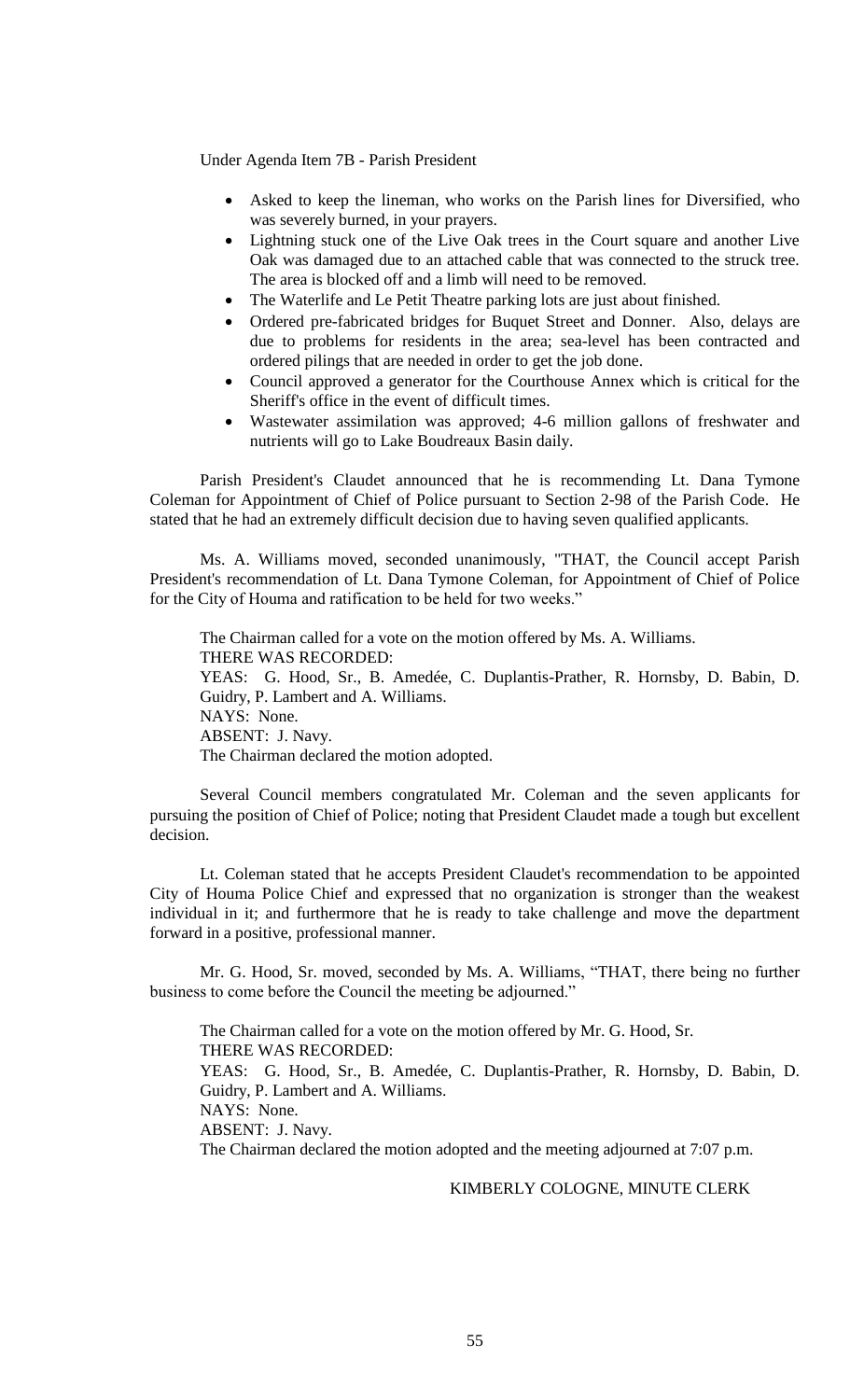Under Agenda Item 7B - Parish President

- Asked to keep the lineman, who works on the Parish lines for Diversified, who was severely burned, in your prayers.
- Lightning stuck one of the Live Oak trees in the Court square and another Live Oak was damaged due to an attached cable that was connected to the struck tree. The area is blocked off and a limb will need to be removed.
- The Waterlife and Le Petit Theatre parking lots are just about finished.
- Ordered pre-fabricated bridges for Buquet Street and Donner. Also, delays are due to problems for residents in the area; sea-level has been contracted and ordered pilings that are needed in order to get the job done.
- Council approved a generator for the Courthouse Annex which is critical for the Sheriff's office in the event of difficult times.
- Wastewater assimilation was approved; 4-6 million gallons of freshwater and nutrients will go to Lake Boudreaux Basin daily.

Parish President's Claudet announced that he is recommending Lt. Dana Tymone Coleman for Appointment of Chief of Police pursuant to Section 2-98 of the Parish Code. He stated that he had an extremely difficult decision due to having seven qualified applicants.

Ms. A. Williams moved, seconded unanimously, "THAT, the Council accept Parish President's recommendation of Lt. Dana Tymone Coleman, for Appointment of Chief of Police for the City of Houma and ratification to be held for two weeks."

The Chairman called for a vote on the motion offered by Ms. A. Williams. THERE WAS RECORDED: YEAS: G. Hood, Sr., B. Amedée, C. Duplantis-Prather, R. Hornsby, D. Babin, D. Guidry, P. Lambert and A. Williams. NAYS: None. ABSENT: J. Navy. The Chairman declared the motion adopted.

Several Council members congratulated Mr. Coleman and the seven applicants for pursuing the position of Chief of Police; noting that President Claudet made a tough but excellent decision.

Lt. Coleman stated that he accepts President Claudet's recommendation to be appointed City of Houma Police Chief and expressed that no organization is stronger than the weakest individual in it; and furthermore that he is ready to take challenge and move the department forward in a positive, professional manner.

Mr. G. Hood, Sr. moved, seconded by Ms. A. Williams, "THAT, there being no further business to come before the Council the meeting be adjourned."

The Chairman called for a vote on the motion offered by Mr. G. Hood, Sr. THERE WAS RECORDED: YEAS: G. Hood, Sr., B. Amedée, C. Duplantis-Prather, R. Hornsby, D. Babin, D. Guidry, P. Lambert and A. Williams. NAYS: None. ABSENT: J. Navy. The Chairman declared the motion adopted and the meeting adjourned at 7:07 p.m.

# KIMBERLY COLOGNE, MINUTE CLERK